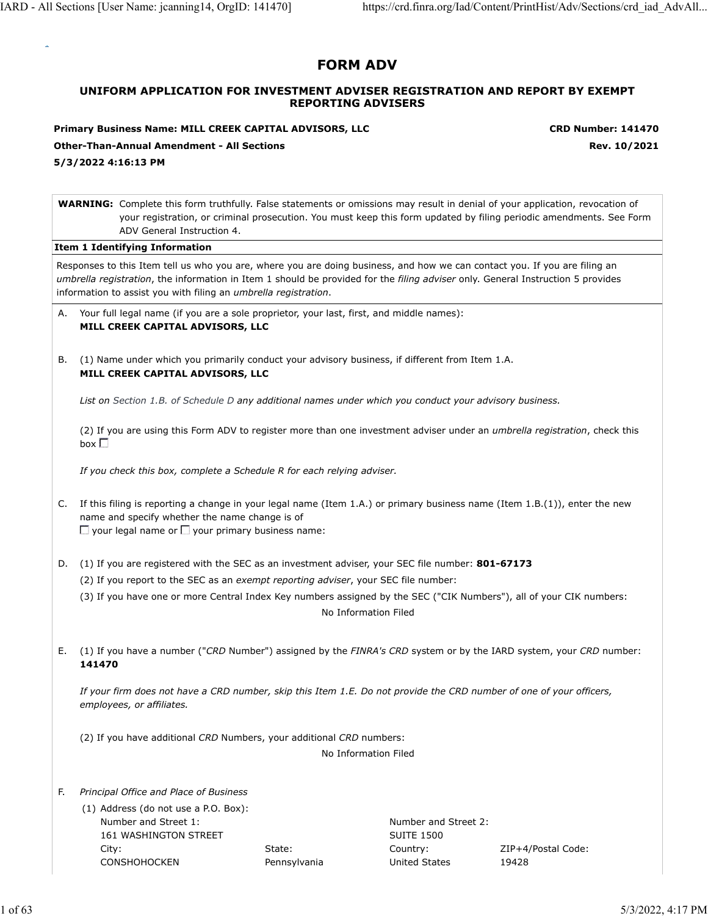# **FORM ADV**

## **UNIFORM APPLICATION FOR INVESTMENT ADVISER REGISTRATION AND REPORT BY EXEMPT REPORTING ADVISERS**

**Primary Business Name: MILL CREEK CAPITAL ADVISORS, LLC CRD Number: 141470**

**Other-Than-Annual Amendment - All Sections Rev. 10/2021 5/3/2022 4:16:13 PM**

**WARNING:** Complete this form truthfully. False statements or omissions may result in denial of your application, revocation of your registration, or criminal prosecution. You must keep this form updated by filing periodic amendments. See Form ADV General Instruction 4.

#### **Item 1 Identifying Information**

Responses to this Item tell us who you are, where you are doing business, and how we can contact you. If you are filing an *umbrella registration*, the information in Item 1 should be provided for the *filing adviser* only. General Instruction 5 provides information to assist you with filing an *umbrella registration*.

- A. Your full legal name (if you are a sole proprietor, your last, first, and middle names): **MILL CREEK CAPITAL ADVISORS, LLC**
- B. (1) Name under which you primarily conduct your advisory business, if different from Item 1.A. **MILL CREEK CAPITAL ADVISORS, LLC**

*List on Section 1.B. of Schedule D any additional names under which you conduct your advisory business.*

(2) If you are using this Form ADV to register more than one investment adviser under an *umbrella registration*, check this box  $\Box$ 

*If you check this box, complete a Schedule R for each relying adviser.*

- C. If this filing is reporting a change in your legal name (Item 1.A.) or primary business name (Item 1.B.(1)), enter the new name and specify whether the name change is of  $\Box$  your legal name or  $\Box$  your primary business name:
- D. (1) If you are registered with the SEC as an investment adviser, your SEC file number: **801-67173**
	- (2) If you report to the SEC as an *exempt reporting adviser*, your SEC file number:
	- (3) If you have one or more Central Index Key numbers assigned by the SEC ("CIK Numbers"), all of your CIK numbers: No Information Filed
- E. (1) If you have a number ("*CRD* Number") assigned by the *FINRA's CRD* system or by the IARD system, your *CRD* number: **141470**

*If your firm does not have a CRD number, skip this Item 1.E. Do not provide the CRD number of one of your officers, employees, or affiliates.*

(2) If you have additional *CRD* Numbers, your additional *CRD* numbers:

No Information Filed

- F. *Principal Office and Place of Business*
	- (1) Address (do not use a P.O. Box): Number and Street 1: 161 WASHINGTON STREET City: **CONSHOHOCKEN**

State: Pennsylvania Number and Street 2: SUITE 1500 Country: United States ZIP+4/Postal Code: 19428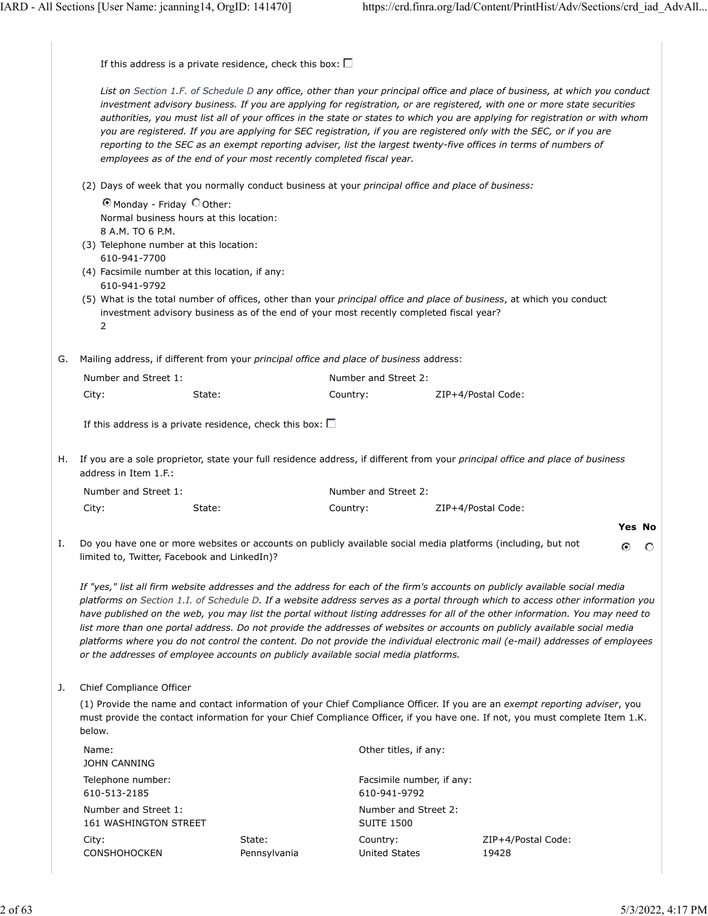|    |                                                                                                                                                                                                                                                                      | If this address is a private residence, check this box: $\square$                       |                                           |                                                                                                                                                                                                                                                                                                                                                                                                                                                                                                                                                                                                                                                                 |               |  |  |  |
|----|----------------------------------------------------------------------------------------------------------------------------------------------------------------------------------------------------------------------------------------------------------------------|-----------------------------------------------------------------------------------------|-------------------------------------------|-----------------------------------------------------------------------------------------------------------------------------------------------------------------------------------------------------------------------------------------------------------------------------------------------------------------------------------------------------------------------------------------------------------------------------------------------------------------------------------------------------------------------------------------------------------------------------------------------------------------------------------------------------------------|---------------|--|--|--|
|    |                                                                                                                                                                                                                                                                      | employees as of the end of your most recently completed fiscal year.                    |                                           | List on Section 1.F. of Schedule D any office, other than your principal office and place of business, at which you conduct<br>investment advisory business. If you are applying for registration, or are registered, with one or more state securities<br>authorities, you must list all of your offices in the state or states to which you are applying for registration or with whom<br>you are registered. If you are applying for SEC registration, if you are registered only with the SEC, or if you are<br>reporting to the SEC as an exempt reporting adviser, list the largest twenty-five offices in terms of numbers of                            |               |  |  |  |
|    |                                                                                                                                                                                                                                                                      |                                                                                         |                                           | (2) Days of week that you normally conduct business at your principal office and place of business:                                                                                                                                                                                                                                                                                                                                                                                                                                                                                                                                                             |               |  |  |  |
|    | O Monday - Friday O Other:<br>Normal business hours at this location:<br>8 A.M. TO 6 P.M.                                                                                                                                                                            |                                                                                         |                                           |                                                                                                                                                                                                                                                                                                                                                                                                                                                                                                                                                                                                                                                                 |               |  |  |  |
|    | (3) Telephone number at this location:<br>610-941-7700<br>(4) Facsimile number at this location, if any:<br>610-941-9792                                                                                                                                             |                                                                                         |                                           |                                                                                                                                                                                                                                                                                                                                                                                                                                                                                                                                                                                                                                                                 |               |  |  |  |
|    | 2                                                                                                                                                                                                                                                                    | investment advisory business as of the end of your most recently completed fiscal year? |                                           | (5) What is the total number of offices, other than your principal office and place of business, at which you conduct                                                                                                                                                                                                                                                                                                                                                                                                                                                                                                                                           |               |  |  |  |
| G. |                                                                                                                                                                                                                                                                      | Mailing address, if different from your principal office and place of business address: |                                           |                                                                                                                                                                                                                                                                                                                                                                                                                                                                                                                                                                                                                                                                 |               |  |  |  |
|    | Number and Street 1:                                                                                                                                                                                                                                                 |                                                                                         |                                           | Number and Street 2:                                                                                                                                                                                                                                                                                                                                                                                                                                                                                                                                                                                                                                            |               |  |  |  |
|    | City:                                                                                                                                                                                                                                                                | State:                                                                                  | Country:                                  | ZIP+4/Postal Code:                                                                                                                                                                                                                                                                                                                                                                                                                                                                                                                                                                                                                                              |               |  |  |  |
|    |                                                                                                                                                                                                                                                                      | If this address is a private residence, check this box: $\square$                       |                                           |                                                                                                                                                                                                                                                                                                                                                                                                                                                                                                                                                                                                                                                                 |               |  |  |  |
| Н. | address in Item 1.F.:                                                                                                                                                                                                                                                |                                                                                         |                                           | If you are a sole proprietor, state your full residence address, if different from your principal office and place of business                                                                                                                                                                                                                                                                                                                                                                                                                                                                                                                                  |               |  |  |  |
|    | Number and Street 1:                                                                                                                                                                                                                                                 |                                                                                         | Number and Street 2:                      |                                                                                                                                                                                                                                                                                                                                                                                                                                                                                                                                                                                                                                                                 |               |  |  |  |
|    | City:                                                                                                                                                                                                                                                                | State:                                                                                  | Country:                                  | ZIP+4/Postal Code:                                                                                                                                                                                                                                                                                                                                                                                                                                                                                                                                                                                                                                              |               |  |  |  |
|    |                                                                                                                                                                                                                                                                      |                                                                                         |                                           |                                                                                                                                                                                                                                                                                                                                                                                                                                                                                                                                                                                                                                                                 | <b>Yes No</b> |  |  |  |
| Ι. | limited to, Twitter, Facebook and LinkedIn)?                                                                                                                                                                                                                         |                                                                                         |                                           | Do you have one or more websites or accounts on publicly available social media platforms (including, but not                                                                                                                                                                                                                                                                                                                                                                                                                                                                                                                                                   | ⊙<br>O        |  |  |  |
|    |                                                                                                                                                                                                                                                                      | or the addresses of employee accounts on publicly available social media platforms.     |                                           | If "yes," list all firm website addresses and the address for each of the firm's accounts on publicly available social media<br>platforms on Section 1.1. of Schedule D. If a website address serves as a portal through which to access other information you<br>have published on the web, you may list the portal without listing addresses for all of the other information. You may need to<br>list more than one portal address. Do not provide the addresses of websites or accounts on publicly available social media<br>platforms where you do not control the content. Do not provide the individual electronic mail (e-mail) addresses of employees |               |  |  |  |
| J. | Chief Compliance Officer                                                                                                                                                                                                                                             |                                                                                         |                                           |                                                                                                                                                                                                                                                                                                                                                                                                                                                                                                                                                                                                                                                                 |               |  |  |  |
|    | (1) Provide the name and contact information of your Chief Compliance Officer. If you are an exempt reporting adviser, you<br>must provide the contact information for your Chief Compliance Officer, if you have one. If not, you must complete Item 1.K.<br>below. |                                                                                         |                                           |                                                                                                                                                                                                                                                                                                                                                                                                                                                                                                                                                                                                                                                                 |               |  |  |  |
|    | Name:<br><b>JOHN CANNING</b>                                                                                                                                                                                                                                         |                                                                                         | Other titles, if any:                     |                                                                                                                                                                                                                                                                                                                                                                                                                                                                                                                                                                                                                                                                 |               |  |  |  |
|    | Telephone number:<br>610-513-2185                                                                                                                                                                                                                                    |                                                                                         | 610-941-9792                              | Facsimile number, if any:                                                                                                                                                                                                                                                                                                                                                                                                                                                                                                                                                                                                                                       |               |  |  |  |
|    | Number and Street 1:<br>161 WASHINGTON STREET                                                                                                                                                                                                                        |                                                                                         | Number and Street 2:<br><b>SUITE 1500</b> |                                                                                                                                                                                                                                                                                                                                                                                                                                                                                                                                                                                                                                                                 |               |  |  |  |
|    | City:<br><b>CONSHOHOCKEN</b>                                                                                                                                                                                                                                         | State:<br>Pennsylvania                                                                  | Country:<br><b>United States</b>          | ZIP+4/Postal Code:<br>19428                                                                                                                                                                                                                                                                                                                                                                                                                                                                                                                                                                                                                                     |               |  |  |  |
|    |                                                                                                                                                                                                                                                                      |                                                                                         |                                           |                                                                                                                                                                                                                                                                                                                                                                                                                                                                                                                                                                                                                                                                 |               |  |  |  |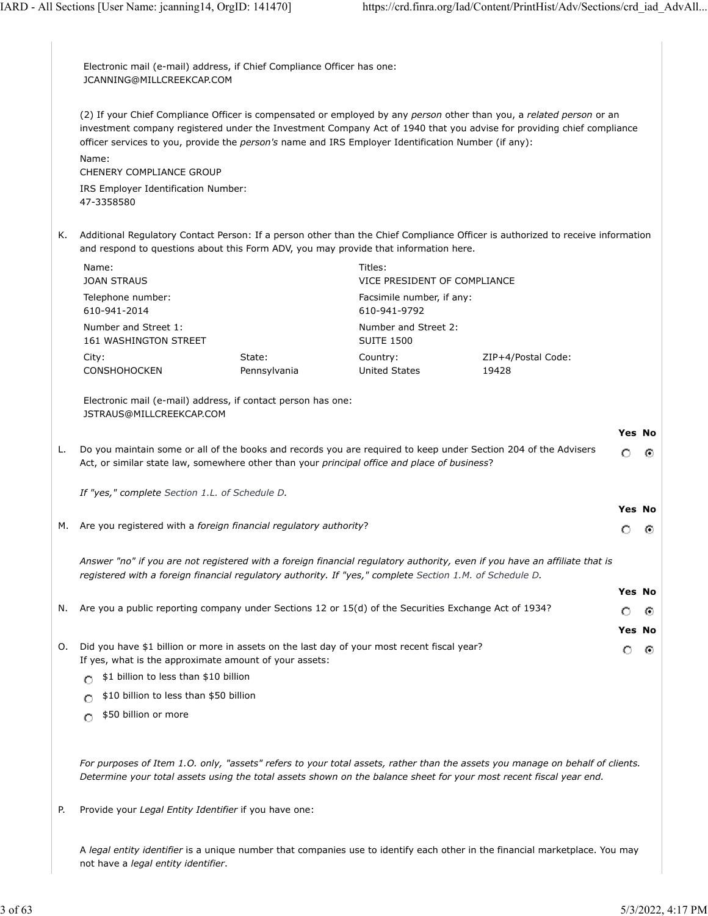|    | Electronic mail (e-mail) address, if Chief Compliance Officer has one:<br>JCANNING@MILLCREEKCAP.COM                                                                                           |                        |                                           |                                                                                                                                                                                                                                                      |                    |           |
|----|-----------------------------------------------------------------------------------------------------------------------------------------------------------------------------------------------|------------------------|-------------------------------------------|------------------------------------------------------------------------------------------------------------------------------------------------------------------------------------------------------------------------------------------------------|--------------------|-----------|
|    | officer services to you, provide the person's name and IRS Employer Identification Number (if any):<br>Name:<br>CHENERY COMPLIANCE GROUP<br>IRS Employer Identification Number:<br>47-3358580 |                        |                                           | (2) If your Chief Compliance Officer is compensated or employed by any person other than you, a related person or an<br>investment company registered under the Investment Company Act of 1940 that you advise for providing chief compliance        |                    |           |
| Κ. | and respond to questions about this Form ADV, you may provide that information here.                                                                                                          |                        |                                           | Additional Regulatory Contact Person: If a person other than the Chief Compliance Officer is authorized to receive information                                                                                                                       |                    |           |
|    | Name:<br><b>JOAN STRAUS</b>                                                                                                                                                                   |                        | Titles:<br>VICE PRESIDENT OF COMPLIANCE   |                                                                                                                                                                                                                                                      |                    |           |
|    | Telephone number:<br>610-941-2014                                                                                                                                                             |                        | Facsimile number, if any:<br>610-941-9792 |                                                                                                                                                                                                                                                      |                    |           |
|    | Number and Street 1:<br><b>161 WASHINGTON STREET</b>                                                                                                                                          |                        | Number and Street 2:<br><b>SUITE 1500</b> |                                                                                                                                                                                                                                                      |                    |           |
|    | City:<br><b>CONSHOHOCKEN</b>                                                                                                                                                                  | State:<br>Pennsylvania | Country:<br>United States                 | ZIP+4/Postal Code:<br>19428                                                                                                                                                                                                                          |                    |           |
|    | Electronic mail (e-mail) address, if contact person has one:<br>JSTRAUS@MILLCREEKCAP.COM                                                                                                      |                        |                                           |                                                                                                                                                                                                                                                      | <b>Yes No</b>      |           |
| L. | Act, or similar state law, somewhere other than your principal office and place of business?                                                                                                  |                        |                                           | Do you maintain some or all of the books and records you are required to keep under Section 204 of the Advisers                                                                                                                                      | Ω                  | Θ         |
|    | If "yes," complete Section 1.L. of Schedule D.                                                                                                                                                |                        |                                           |                                                                                                                                                                                                                                                      | <b>Yes No</b>      |           |
|    | M. Are you registered with a foreign financial regulatory authority?                                                                                                                          |                        |                                           |                                                                                                                                                                                                                                                      |                    | $\bullet$ |
|    | registered with a foreign financial regulatory authority. If "yes," complete Section 1.M. of Schedule D.                                                                                      |                        |                                           | Answer "no" if you are not registered with a foreign financial regulatory authority, even if you have an affiliate that is                                                                                                                           |                    |           |
| N. | Are you a public reporting company under Sections 12 or 15(d) of the Securities Exchange Act of 1934?                                                                                         |                        |                                           |                                                                                                                                                                                                                                                      | <b>Yes No</b><br>O | Θ         |
|    |                                                                                                                                                                                               |                        |                                           |                                                                                                                                                                                                                                                      | <b>Yes No</b>      |           |
| O. | Did you have \$1 billion or more in assets on the last day of your most recent fiscal year?<br>If yes, what is the approximate amount of your assets:                                         |                        |                                           |                                                                                                                                                                                                                                                      | О                  | ⊙         |
|    | \$1 billion to less than \$10 billion<br>С                                                                                                                                                    |                        |                                           |                                                                                                                                                                                                                                                      |                    |           |
|    | \$10 billion to less than \$50 billion<br>О                                                                                                                                                   |                        |                                           |                                                                                                                                                                                                                                                      |                    |           |
|    | \$50 billion or more<br>О                                                                                                                                                                     |                        |                                           |                                                                                                                                                                                                                                                      |                    |           |
|    |                                                                                                                                                                                               |                        |                                           | For purposes of Item 1.0. only, "assets" refers to your total assets, rather than the assets you manage on behalf of clients.<br>Determine your total assets using the total assets shown on the balance sheet for your most recent fiscal year end. |                    |           |
| P. | Provide your Legal Entity Identifier if you have one:                                                                                                                                         |                        |                                           |                                                                                                                                                                                                                                                      |                    |           |
|    | not have a legal entity identifier.                                                                                                                                                           |                        |                                           | A legal entity identifier is a unique number that companies use to identify each other in the financial marketplace. You may                                                                                                                         |                    |           |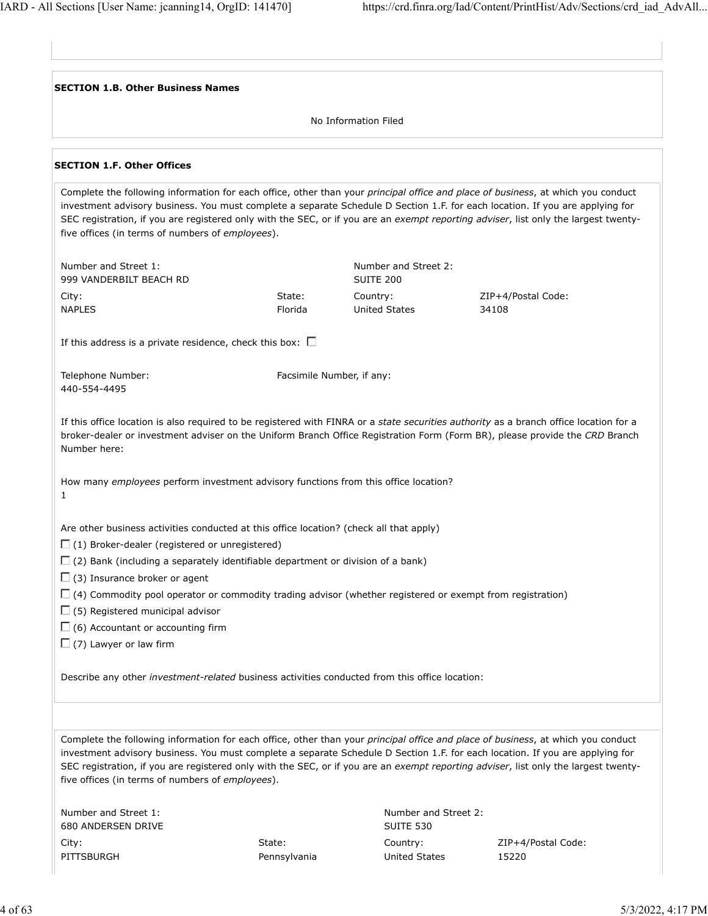| <b>SECTION 1.B. Other Business Names</b>                                                                                                                    |                           |                                          |                                                                                                                                                                                                                                                                                                                                                                                                          |
|-------------------------------------------------------------------------------------------------------------------------------------------------------------|---------------------------|------------------------------------------|----------------------------------------------------------------------------------------------------------------------------------------------------------------------------------------------------------------------------------------------------------------------------------------------------------------------------------------------------------------------------------------------------------|
|                                                                                                                                                             |                           | No Information Filed                     |                                                                                                                                                                                                                                                                                                                                                                                                          |
| <b>SECTION 1.F. Other Offices</b>                                                                                                                           |                           |                                          |                                                                                                                                                                                                                                                                                                                                                                                                          |
| five offices (in terms of numbers of employees).                                                                                                            |                           |                                          | Complete the following information for each office, other than your principal office and place of business, at which you conduct<br>investment advisory business. You must complete a separate Schedule D Section 1.F. for each location. If you are applying for<br>SEC registration, if you are registered only with the SEC, or if you are an exempt reporting adviser, list only the largest twenty- |
| Number and Street 1:<br>999 VANDERBILT BEACH RD                                                                                                             |                           | Number and Street 2:<br><b>SUITE 200</b> |                                                                                                                                                                                                                                                                                                                                                                                                          |
| City:<br><b>NAPLES</b>                                                                                                                                      | State:<br>Florida         | Country:<br><b>United States</b>         | ZIP+4/Postal Code:<br>34108                                                                                                                                                                                                                                                                                                                                                                              |
| If this address is a private residence, check this box: $\square$                                                                                           |                           |                                          |                                                                                                                                                                                                                                                                                                                                                                                                          |
| Telephone Number:<br>440-554-4495                                                                                                                           | Facsimile Number, if any: |                                          |                                                                                                                                                                                                                                                                                                                                                                                                          |
| Number here:                                                                                                                                                |                           |                                          | If this office location is also required to be registered with FINRA or a state securities authority as a branch office location for a<br>broker-dealer or investment adviser on the Uniform Branch Office Registration Form (Form BR), please provide the CRD Branch                                                                                                                                    |
| How many employees perform investment advisory functions from this office location?<br>1                                                                    |                           |                                          |                                                                                                                                                                                                                                                                                                                                                                                                          |
| Are other business activities conducted at this office location? (check all that apply)                                                                     |                           |                                          |                                                                                                                                                                                                                                                                                                                                                                                                          |
| $\Box$ (1) Broker-dealer (registered or unregistered)                                                                                                       |                           |                                          |                                                                                                                                                                                                                                                                                                                                                                                                          |
| $\Box$ (2) Bank (including a separately identifiable department or division of a bank)                                                                      |                           |                                          |                                                                                                                                                                                                                                                                                                                                                                                                          |
| $\Box$ (3) Insurance broker or agent                                                                                                                        |                           |                                          |                                                                                                                                                                                                                                                                                                                                                                                                          |
| $\Box$ (4) Commodity pool operator or commodity trading advisor (whether registered or exempt from registration)<br>$\Box$ (5) Registered municipal advisor |                           |                                          |                                                                                                                                                                                                                                                                                                                                                                                                          |
| $\Box$ (6) Accountant or accounting firm                                                                                                                    |                           |                                          |                                                                                                                                                                                                                                                                                                                                                                                                          |
| $\Box$ (7) Lawyer or law firm                                                                                                                               |                           |                                          |                                                                                                                                                                                                                                                                                                                                                                                                          |
| Describe any other investment-related business activities conducted from this office location:                                                              |                           |                                          |                                                                                                                                                                                                                                                                                                                                                                                                          |
|                                                                                                                                                             |                           |                                          |                                                                                                                                                                                                                                                                                                                                                                                                          |
| five offices (in terms of numbers of employees).                                                                                                            |                           |                                          | Complete the following information for each office, other than your principal office and place of business, at which you conduct<br>investment advisory business. You must complete a separate Schedule D Section 1.F. for each location. If you are applying for<br>SEC registration, if you are registered only with the SEC, or if you are an exempt reporting adviser, list only the largest twenty- |
| Number and Street 1:                                                                                                                                        |                           | Number and Street 2:                     |                                                                                                                                                                                                                                                                                                                                                                                                          |
| 680 ANDERSEN DRIVE                                                                                                                                          |                           | <b>SUITE 530</b>                         |                                                                                                                                                                                                                                                                                                                                                                                                          |
| City:<br>PITTSBURGH                                                                                                                                         | State:<br>Pennsylvania    | Country:<br><b>United States</b>         | ZIP+4/Postal Code:<br>15220                                                                                                                                                                                                                                                                                                                                                                              |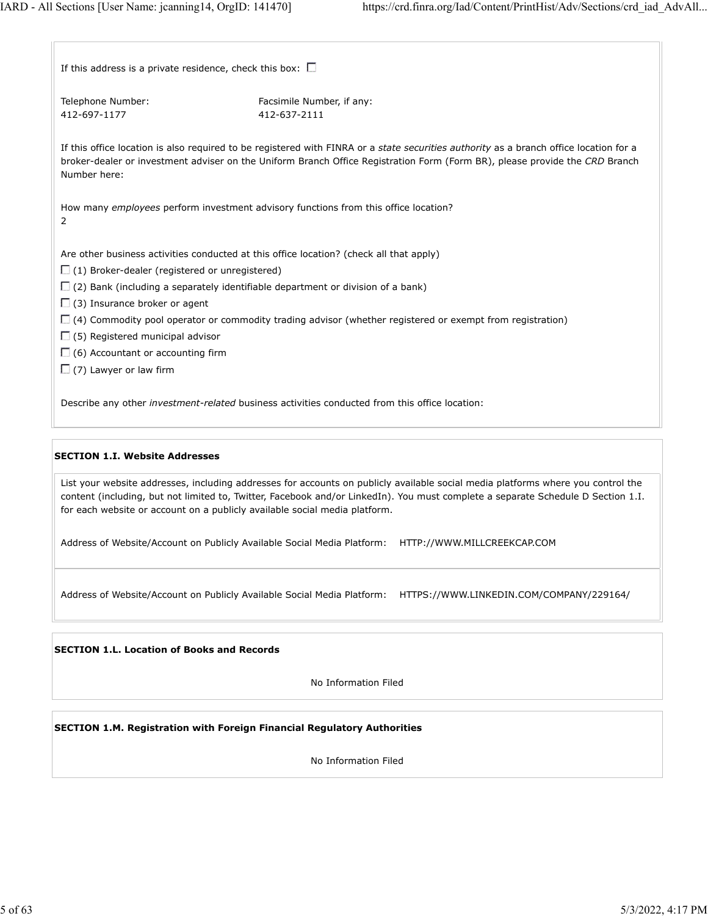| If this address is a private residence, check this box: $\square$ |                                                                                                                                                                                                                                                                                                                                                    |
|-------------------------------------------------------------------|----------------------------------------------------------------------------------------------------------------------------------------------------------------------------------------------------------------------------------------------------------------------------------------------------------------------------------------------------|
| Telephone Number:<br>412-697-1177                                 | Facsimile Number, if any:<br>412-637-2111                                                                                                                                                                                                                                                                                                          |
| Number here:                                                      | If this office location is also required to be registered with FINRA or a state securities authority as a branch office location for a<br>broker-dealer or investment adviser on the Uniform Branch Office Registration Form (Form BR), please provide the CRD Branch                                                                              |
| 2                                                                 | How many employees perform investment advisory functions from this office location?                                                                                                                                                                                                                                                                |
| $\Box$ (1) Broker-dealer (registered or unregistered)             | Are other business activities conducted at this office location? (check all that apply)                                                                                                                                                                                                                                                            |
|                                                                   | $\Box$ (2) Bank (including a separately identifiable department or division of a bank)                                                                                                                                                                                                                                                             |
| $\Box$ (3) Insurance broker or agent                              |                                                                                                                                                                                                                                                                                                                                                    |
| $\square$ (5) Registered municipal advisor                        | $\Box$ (4) Commodity pool operator or commodity trading advisor (whether registered or exempt from registration)                                                                                                                                                                                                                                   |
| $\Box$ (6) Accountant or accounting firm                          |                                                                                                                                                                                                                                                                                                                                                    |
| $\Box$ (7) Lawyer or law firm                                     |                                                                                                                                                                                                                                                                                                                                                    |
|                                                                   |                                                                                                                                                                                                                                                                                                                                                    |
|                                                                   | Describe any other investment-related business activities conducted from this office location:                                                                                                                                                                                                                                                     |
|                                                                   |                                                                                                                                                                                                                                                                                                                                                    |
| <b>SECTION 1.I. Website Addresses</b>                             |                                                                                                                                                                                                                                                                                                                                                    |
|                                                                   | List your website addresses, including addresses for accounts on publicly available social media platforms where you control the<br>content (including, but not limited to, Twitter, Facebook and/or LinkedIn). You must complete a separate Schedule D Section 1.I.<br>for each website or account on a publicly available social media platform. |
|                                                                   | Address of Website/Account on Publicly Available Social Media Platform:<br>HTTP://WWW.MILLCREEKCAP.COM                                                                                                                                                                                                                                             |
|                                                                   | Address of Website/Account on Publicly Available Social Media Platform: HTTPS://WWW.LINKEDIN.COM/COMPANY/229164/                                                                                                                                                                                                                                   |

**SECTION 1.L. Location of Books and Records**

No Information Filed

**SECTION 1.M. Registration with Foreign Financial Regulatory Authorities**

No Information Filed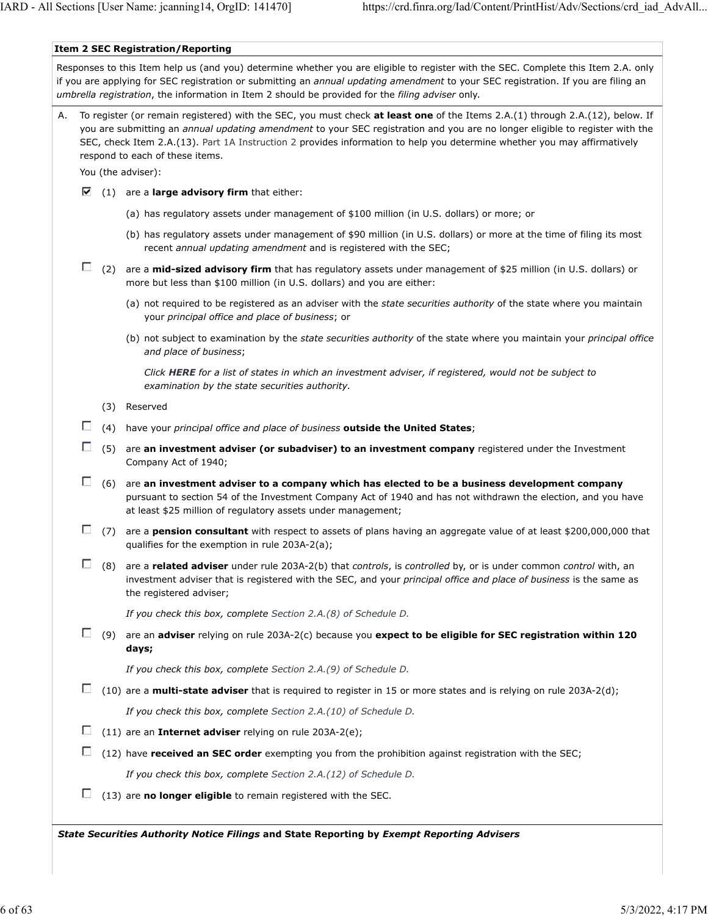|    |   |     | <b>Item 2 SEC Registration/Reporting</b>                                                                                                                                                                                                                                                                                                                                                                                     |
|----|---|-----|------------------------------------------------------------------------------------------------------------------------------------------------------------------------------------------------------------------------------------------------------------------------------------------------------------------------------------------------------------------------------------------------------------------------------|
|    |   |     | Responses to this Item help us (and you) determine whether you are eligible to register with the SEC. Complete this Item 2.A. only<br>if you are applying for SEC registration or submitting an annual updating amendment to your SEC registration. If you are filing an<br>umbrella registration, the information in Item 2 should be provided for the filing adviser only.                                                 |
| А. |   |     | To register (or remain registered) with the SEC, you must check at least one of the Items 2.A.(1) through 2.A.(12), below. If<br>you are submitting an annual updating amendment to your SEC registration and you are no longer eligible to register with the<br>SEC, check Item 2.A.(13). Part 1A Instruction 2 provides information to help you determine whether you may affirmatively<br>respond to each of these items. |
|    |   |     | You (the adviser):                                                                                                                                                                                                                                                                                                                                                                                                           |
|    | ⊽ |     | $(1)$ are a <b>large advisory firm</b> that either:                                                                                                                                                                                                                                                                                                                                                                          |
|    |   |     | (a) has regulatory assets under management of \$100 million (in U.S. dollars) or more; or                                                                                                                                                                                                                                                                                                                                    |
|    |   |     | (b) has regulatory assets under management of \$90 million (in U.S. dollars) or more at the time of filing its most<br>recent annual updating amendment and is registered with the SEC;                                                                                                                                                                                                                                      |
|    | П |     | (2) are a mid-sized advisory firm that has regulatory assets under management of \$25 million (in U.S. dollars) or<br>more but less than \$100 million (in U.S. dollars) and you are either:                                                                                                                                                                                                                                 |
|    |   |     | (a) not required to be registered as an adviser with the state securities authority of the state where you maintain<br>your principal office and place of business; or                                                                                                                                                                                                                                                       |
|    |   |     | (b) not subject to examination by the state securities authority of the state where you maintain your principal office<br>and place of business;                                                                                                                                                                                                                                                                             |
|    |   |     | Click HERE for a list of states in which an investment adviser, if registered, would not be subject to<br>examination by the state securities authority.                                                                                                                                                                                                                                                                     |
|    |   |     | (3) Reserved                                                                                                                                                                                                                                                                                                                                                                                                                 |
|    |   | (4) | have your principal office and place of business outside the United States;                                                                                                                                                                                                                                                                                                                                                  |
|    |   |     | (5) are an investment adviser (or subadviser) to an investment company registered under the Investment<br>Company Act of 1940;                                                                                                                                                                                                                                                                                               |
|    |   |     | (6) are an investment adviser to a company which has elected to be a business development company<br>pursuant to section 54 of the Investment Company Act of 1940 and has not withdrawn the election, and you have<br>at least \$25 million of regulatory assets under management;                                                                                                                                           |
|    | П |     | (7) are a <b>pension consultant</b> with respect to assets of plans having an aggregate value of at least \$200,000,000 that<br>qualifies for the exemption in rule 203A-2(a);                                                                                                                                                                                                                                               |
|    | п |     | (8) are a related adviser under rule 203A-2(b) that controls, is controlled by, or is under common control with, an<br>investment adviser that is registered with the SEC, and your principal office and place of business is the same as<br>the registered adviser;                                                                                                                                                         |
|    |   |     | If you check this box, complete Section 2.A.(8) of Schedule D.                                                                                                                                                                                                                                                                                                                                                               |
|    | п |     | (9) are an adviser relying on rule 203A-2(c) because you expect to be eligible for SEC registration within 120<br>days;                                                                                                                                                                                                                                                                                                      |
|    |   |     | If you check this box, complete Section 2.A.(9) of Schedule D.                                                                                                                                                                                                                                                                                                                                                               |
|    | п |     | (10) are a multi-state adviser that is required to register in 15 or more states and is relying on rule 203A-2(d);                                                                                                                                                                                                                                                                                                           |
|    |   |     | If you check this box, complete Section 2.A.(10) of Schedule D.                                                                                                                                                                                                                                                                                                                                                              |
|    | П |     | (11) are an Internet adviser relying on rule 203A-2(e);                                                                                                                                                                                                                                                                                                                                                                      |
|    | П |     | (12) have received an SEC order exempting you from the prohibition against registration with the SEC;                                                                                                                                                                                                                                                                                                                        |
|    |   |     | If you check this box, complete Section 2.A.(12) of Schedule D.                                                                                                                                                                                                                                                                                                                                                              |
|    | П |     | (13) are no longer eligible to remain registered with the SEC.                                                                                                                                                                                                                                                                                                                                                               |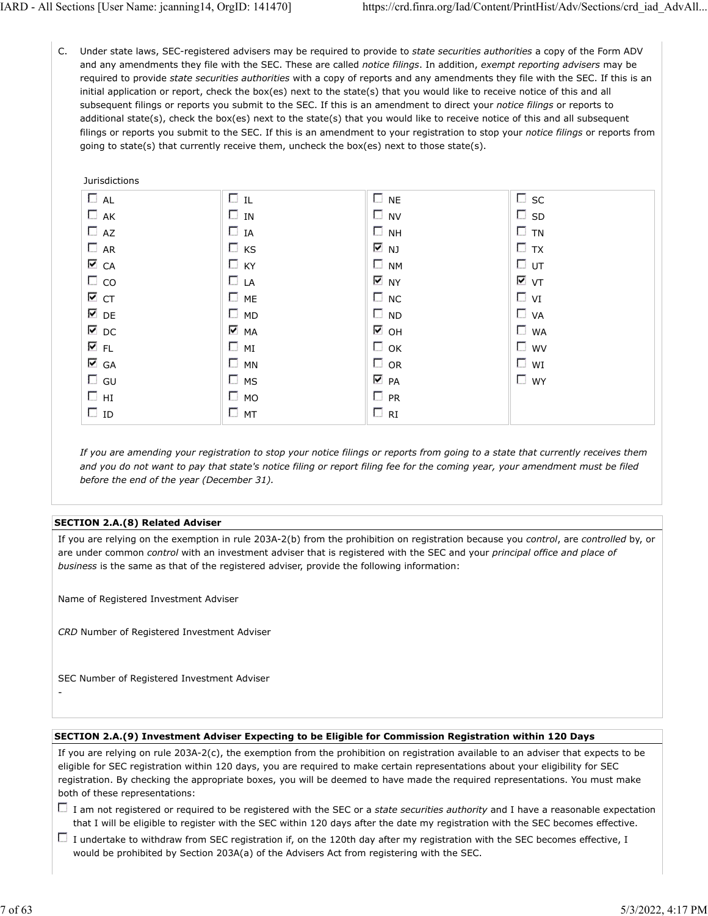C. Under state laws, SEC-registered advisers may be required to provide to *state securities authorities* a copy of the Form ADV and any amendments they file with the SEC. These are called *notice filings*. In addition, *exempt reporting advisers* may be required to provide *state securities authorities* with a copy of reports and any amendments they file with the SEC. If this is an initial application or report, check the box(es) next to the state(s) that you would like to receive notice of this and all subsequent filings or reports you submit to the SEC. If this is an amendment to direct your *notice filings* or reports to additional state(s), check the box(es) next to the state(s) that you would like to receive notice of this and all subsequent filings or reports you submit to the SEC. If this is an amendment to your registration to stop your *notice filings* or reports from going to state(s) that currently receive them, uncheck the box(es) next to those state(s).



*If you are amending your registration to stop your notice filings or reports from going to a state that currently receives them and you do not want to pay that state's notice filing or report filing fee for the coming year, your amendment must be filed before the end of the year (December 31).*

## **SECTION 2.A.(8) Related Adviser**

If you are relying on the exemption in rule 203A-2(b) from the prohibition on registration because you *control*, are *controlled* by, or are under common *control* with an investment adviser that is registered with the SEC and your *principal office and place of business* is the same as that of the registered adviser, provide the following information:

Name of Registered Investment Adviser

*CRD* Number of Registered Investment Adviser

SEC Number of Registered Investment Adviser

**SECTION 2.A.(9) Investment Adviser Expecting to be Eligible for Commission Registration within 120 Days**

If you are relying on rule 203A-2(c), the exemption from the prohibition on registration available to an adviser that expects to be eligible for SEC registration within 120 days, you are required to make certain representations about your eligibility for SEC registration. By checking the appropriate boxes, you will be deemed to have made the required representations. You must make both of these representations:

- I am not registered or required to be registered with the SEC or a *state securities authority* and I have a reasonable expectation that I will be eligible to register with the SEC within 120 days after the date my registration with the SEC becomes effective.
- $\Box$  I undertake to withdraw from SEC registration if, on the 120th day after my registration with the SEC becomes effective, I would be prohibited by Section 203A(a) of the Advisers Act from registering with the SEC.

-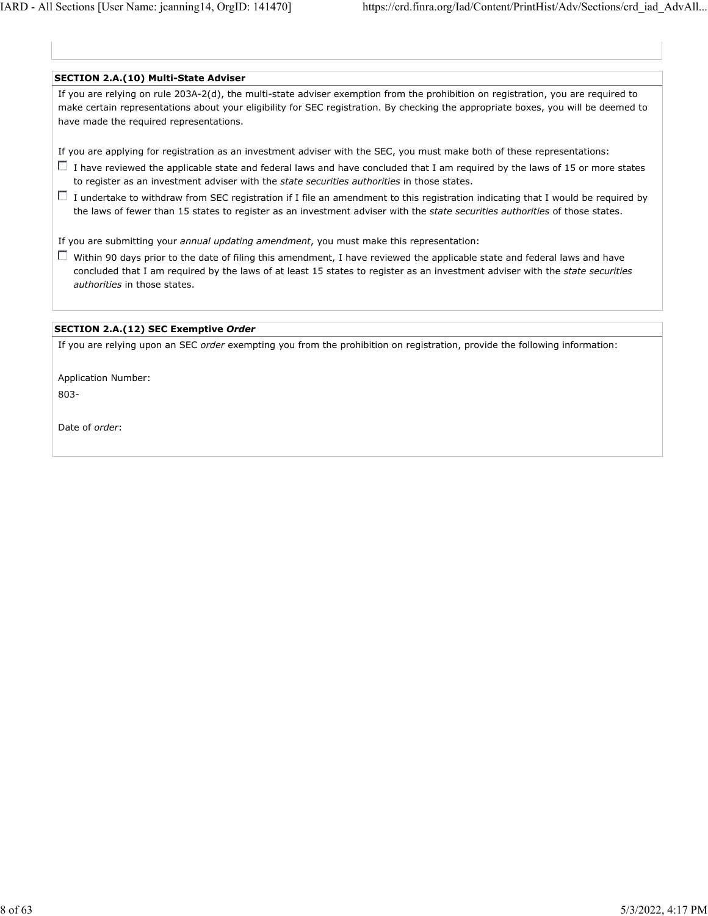#### **SECTION 2.A.(10) Multi-State Adviser**

If you are relying on rule 203A-2(d), the multi-state adviser exemption from the prohibition on registration, you are required to make certain representations about your eligibility for SEC registration. By checking the appropriate boxes, you will be deemed to have made the required representations.

If you are applying for registration as an investment adviser with the SEC, you must make both of these representations:

- $\Box$  I have reviewed the applicable state and federal laws and have concluded that I am required by the laws of 15 or more states to register as an investment adviser with the *state securities authorities* in those states.
- $\Box$  I undertake to withdraw from SEC registration if I file an amendment to this registration indicating that I would be required by the laws of fewer than 15 states to register as an investment adviser with the *state securities authorities* of those states.

If you are submitting your *annual updating amendment*, you must make this representation:

 $\Box$  Within 90 days prior to the date of filing this amendment, I have reviewed the applicable state and federal laws and have concluded that I am required by the laws of at least 15 states to register as an investment adviser with the *state securities authorities* in those states.

#### **SECTION 2.A.(12) SEC Exemptive** *Order*

If you are relying upon an SEC *order* exempting you from the prohibition on registration, provide the following information:

Application Number: 803-

Date of *order*: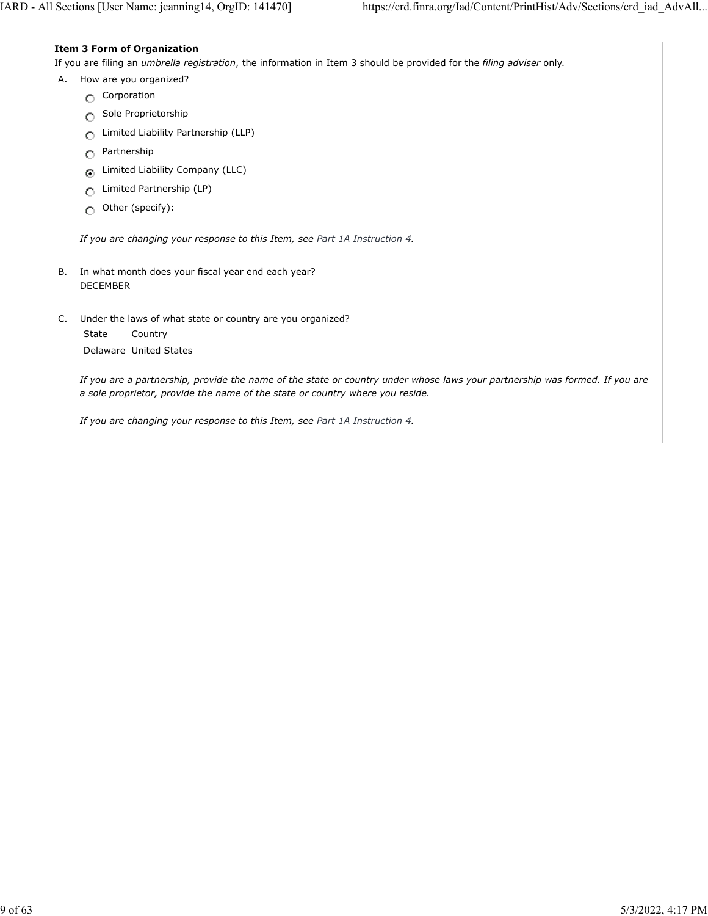|    | <b>Item 3 Form of Organization</b>                                                                                                                                                                           |
|----|--------------------------------------------------------------------------------------------------------------------------------------------------------------------------------------------------------------|
|    | If you are filing an umbrella registration, the information in Item 3 should be provided for the filing adviser only.                                                                                        |
| Α. | How are you organized?                                                                                                                                                                                       |
|    | Corporation<br>Ω                                                                                                                                                                                             |
|    | Sole Proprietorship<br>O                                                                                                                                                                                     |
|    | Limited Liability Partnership (LLP)<br>Ω                                                                                                                                                                     |
|    | Partnership<br>Ο                                                                                                                                                                                             |
|    | Limited Liability Company (LLC)<br>⊙                                                                                                                                                                         |
|    | Limited Partnership (LP)<br>Ο                                                                                                                                                                                |
|    | Other (specify):<br>Ο                                                                                                                                                                                        |
| В. | If you are changing your response to this Item, see Part 1A Instruction 4.<br>In what month does your fiscal year end each year?<br><b>DECEMBER</b>                                                          |
| C. | Under the laws of what state or country are you organized?<br>State<br>Country<br>Delaware United States                                                                                                     |
|    | If you are a partnership, provide the name of the state or country under whose laws your partnership was formed. If you are<br>a sole proprietor, provide the name of the state or country where you reside. |
|    | If you are changing your response to this Item, see Part 1A Instruction 4.                                                                                                                                   |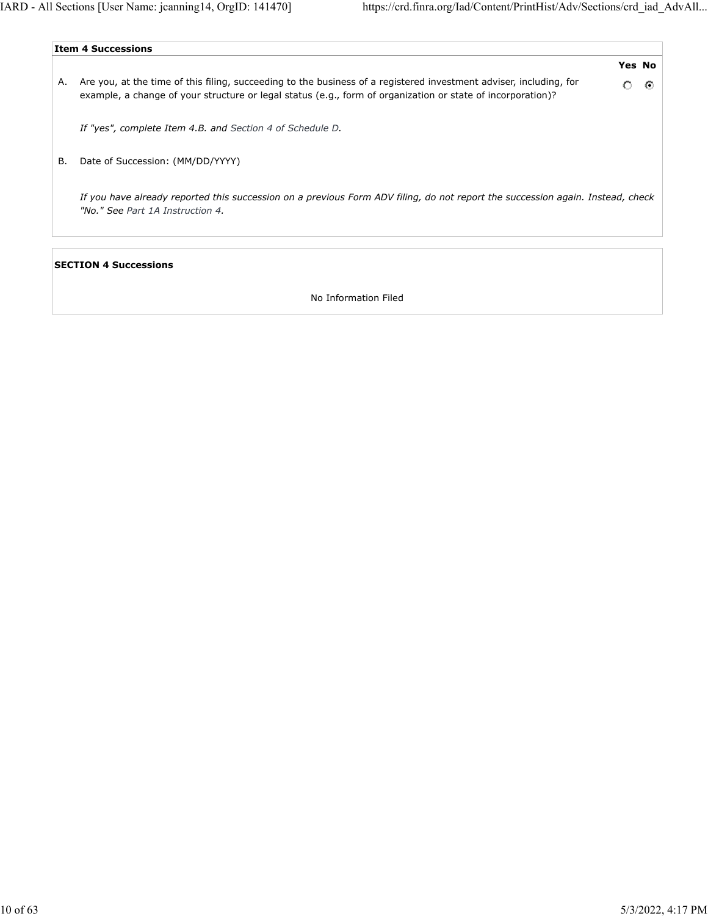|    | <b>Item 4 Successions</b>                                                                                                                                                                                                         |               |   |
|----|-----------------------------------------------------------------------------------------------------------------------------------------------------------------------------------------------------------------------------------|---------------|---|
|    |                                                                                                                                                                                                                                   | <b>Yes No</b> |   |
| А. | Are you, at the time of this filing, succeeding to the business of a registered investment adviser, including, for<br>example, a change of your structure or legal status (e.g., form of organization or state of incorporation)? |               | G |
|    | If "yes", complete Item 4.B. and Section 4 of Schedule D.                                                                                                                                                                         |               |   |
| В. | Date of Succession: (MM/DD/YYYY)                                                                                                                                                                                                  |               |   |
|    | If you have already reported this succession on a previous Form ADV filing, do not report the succession again. Instead, check<br>"No." See Part 1A Instruction 4.                                                                |               |   |
|    |                                                                                                                                                                                                                                   |               |   |
|    | <b>SECTION 4 Successions</b>                                                                                                                                                                                                      |               |   |

No Information Filed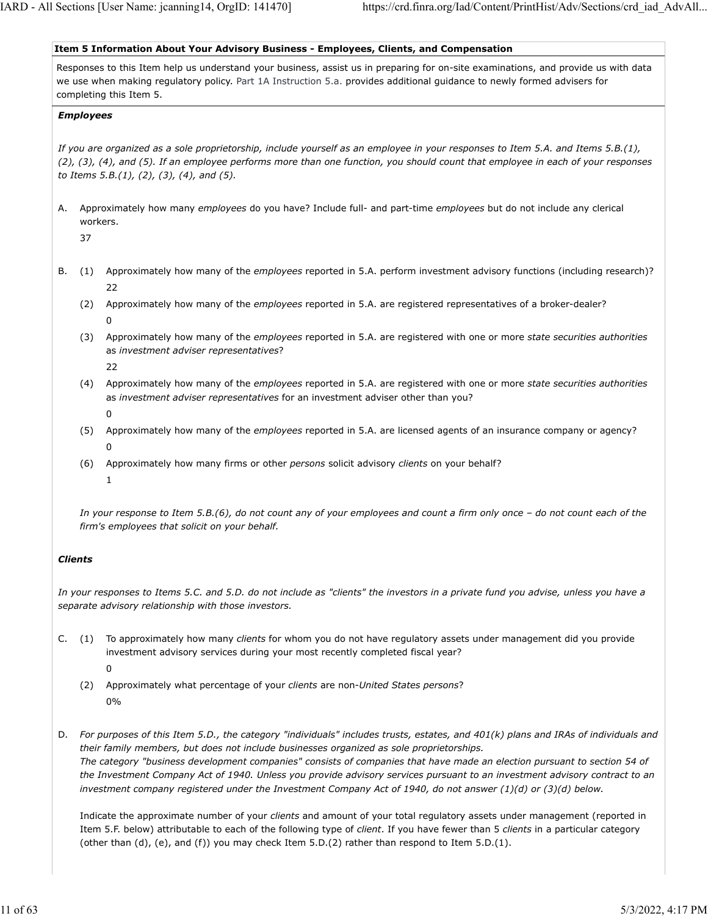#### **Item 5 Information About Your Advisory Business - Employees, Clients, and Compensation**

Responses to this Item help us understand your business, assist us in preparing for on-site examinations, and provide us with data we use when making regulatory policy. Part 1A Instruction 5.a. provides additional guidance to newly formed advisers for completing this Item 5.

#### *Employees*

*If you are organized as a sole proprietorship, include yourself as an employee in your responses to Item 5.A. and Items 5.B.(1), (2), (3), (4), and (5). If an employee performs more than one function, you should count that employee in each of your responses to Items 5.B.(1), (2), (3), (4), and (5).*

A. Approximately how many *employees* do you have? Include full- and part-time *employees* but do not include any clerical workers.

37

- B. (1) Approximately how many of the *employees* reported in 5.A. perform investment advisory functions (including research)? 22
	- (2) Approximately how many of the *employees* reported in 5.A. are registered representatives of a broker-dealer? 0
	- (3) Approximately how many of the *employees* reported in 5.A. are registered with one or more *state securities authorities* as *investment adviser representatives*?

22

0

- (4) Approximately how many of the *employees* reported in 5.A. are registered with one or more *state securities authorities* as *investment adviser representatives* for an investment adviser other than you?
- (5) Approximately how many of the *employees* reported in 5.A. are licensed agents of an insurance company or agency?  $\Omega$
- (6) Approximately how many firms or other *persons* solicit advisory *clients* on your behalf? 1

*In your response to Item 5.B.(6), do not count any of your employees and count a firm only once – do not count each of the firm's employees that solicit on your behalf.*

#### *Clients*

*In your responses to Items 5.C. and 5.D. do not include as "clients" the investors in a private fund you advise, unless you have a separate advisory relationship with those investors.*

- C. (1) To approximately how many *clients* for whom you do not have regulatory assets under management did you provide investment advisory services during your most recently completed fiscal year?  $\Omega$ 
	- (2) Approximately what percentage of your *clients* are non-*United States persons*? 0%
- D. *For purposes of this Item 5.D., the category "individuals" includes trusts, estates, and 401(k) plans and IRAs of individuals and their family members, but does not include businesses organized as sole proprietorships. The category "business development companies" consists of companies that have made an election pursuant to section 54 of the Investment Company Act of 1940. Unless you provide advisory services pursuant to an investment advisory contract to an investment company registered under the Investment Company Act of 1940, do not answer (1)(d) or (3)(d) below.*

Indicate the approximate number of your *clients* and amount of your total regulatory assets under management (reported in Item 5.F. below) attributable to each of the following type of *client*. If you have fewer than 5 *clients* in a particular category (other than  $(d)$ ,  $(e)$ , and  $(f)$ ) you may check Item 5.D. $(2)$  rather than respond to Item 5.D. $(1)$ .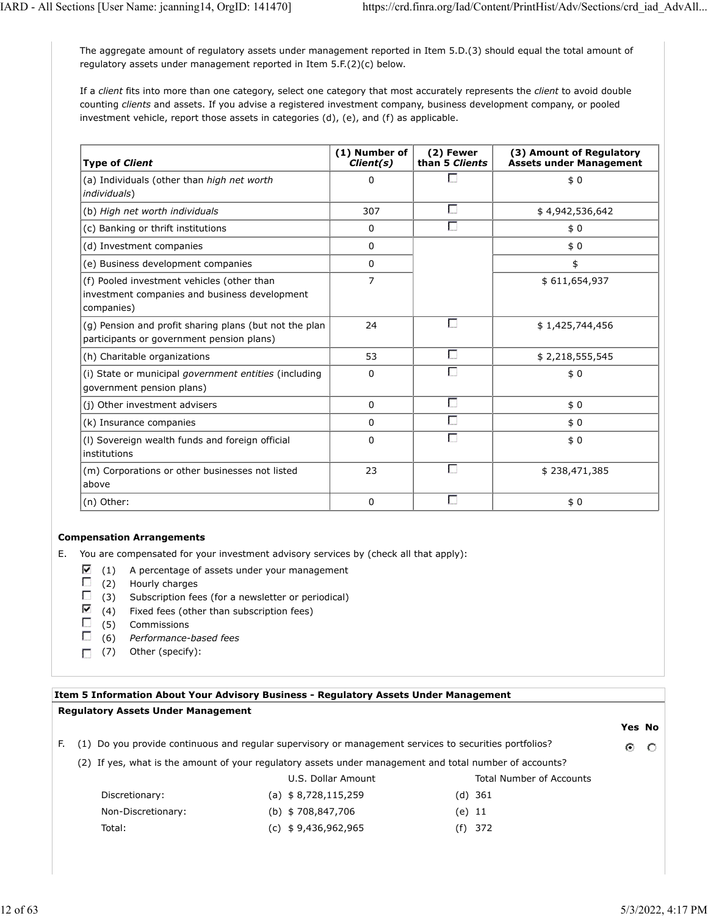The aggregate amount of regulatory assets under management reported in Item 5.D.(3) should equal the total amount of regulatory assets under management reported in Item 5.F.(2)(c) below.

If a *client* fits into more than one category, select one category that most accurately represents the *client* to avoid double counting *clients* and assets. If you advise a registered investment company, business development company, or pooled investment vehicle, report those assets in categories (d), (e), and (f) as applicable.

| <b>Type of Client</b>                                                                                     | (1) Number of<br>Client(s) | (2) Fewer<br>than 5 Clients | (3) Amount of Regulatory<br><b>Assets under Management</b> |
|-----------------------------------------------------------------------------------------------------------|----------------------------|-----------------------------|------------------------------------------------------------|
| (a) Individuals (other than high net worth<br><i>individuals</i> )                                        | 0                          | п                           | \$0                                                        |
| (b) High net worth individuals                                                                            | 307                        | Г                           | \$4,942,536,642                                            |
| (c) Banking or thrift institutions                                                                        | 0                          | Г                           | \$0                                                        |
| (d) Investment companies                                                                                  | $\Omega$                   |                             | \$0                                                        |
| (e) Business development companies                                                                        | 0                          |                             | \$                                                         |
| (f) Pooled investment vehicles (other than<br>investment companies and business development<br>companies) | $\overline{7}$             |                             | \$611,654,937                                              |
| (g) Pension and profit sharing plans (but not the plan<br>participants or government pension plans)       | 24                         | Г                           | \$1,425,744,456                                            |
| (h) Charitable organizations                                                                              | 53                         | Г                           | \$2,218,555,545                                            |
| (i) State or municipal <i>government entities</i> (including<br>qovernment pension plans)                 | 0                          | п                           | \$0                                                        |
| (i) Other investment advisers                                                                             | $\Omega$                   | Г                           | \$0                                                        |
| (k) Insurance companies                                                                                   | $\Omega$                   | Г                           | \$0                                                        |
| (I) Sovereign wealth funds and foreign official<br>institutions                                           | $\Omega$                   | г                           | \$0                                                        |
| (m) Corporations or other businesses not listed<br>above                                                  | 23                         | Г                           | \$238,471,385                                              |
| (n) Other:                                                                                                | 0                          | П                           | \$0                                                        |

#### **Compensation Arrangements**

- E. You are compensated for your investment advisory services by (check all that apply):
	- ☑ (1) A percentage of assets under your management
	- O (2) Hourly charges
	- $\Box$ (3) Subscription fees (for a newsletter or periodical)
	- ⊽ (4) Fixed fees (other than subscription fees)
	- $\Box$ (5) Commissions
	- (6) *Performance-based fees*
	- (7) Other (specify):

## **Item 5 Information About Your Advisory Business - Regulatory Assets Under Management**

|    | <b>Regulatory Assets Under Management</b>                                                               |                                                                                                    |                                 |               |   |
|----|---------------------------------------------------------------------------------------------------------|----------------------------------------------------------------------------------------------------|---------------------------------|---------------|---|
|    |                                                                                                         |                                                                                                    |                                 | <b>Yes No</b> |   |
| F. |                                                                                                         | Do you provide continuous and regular supervisory or management services to securities portfolios? |                                 | ⊙             | O |
|    | (2) If yes, what is the amount of your regulatory assets under management and total number of accounts? |                                                                                                    |                                 |               |   |
|    |                                                                                                         | U.S. Dollar Amount                                                                                 | <b>Total Number of Accounts</b> |               |   |
|    | Discretionary:                                                                                          | (a) $$8,728,115,259$                                                                               | $(d)$ 361                       |               |   |
|    | Non-Discretionary:                                                                                      | (b) $$708,847,706$                                                                                 | $(e)$ 11                        |               |   |
|    | Total:                                                                                                  | $(c)$ \$9,436,962,965                                                                              | $(f)$ 372                       |               |   |
|    |                                                                                                         |                                                                                                    |                                 |               |   |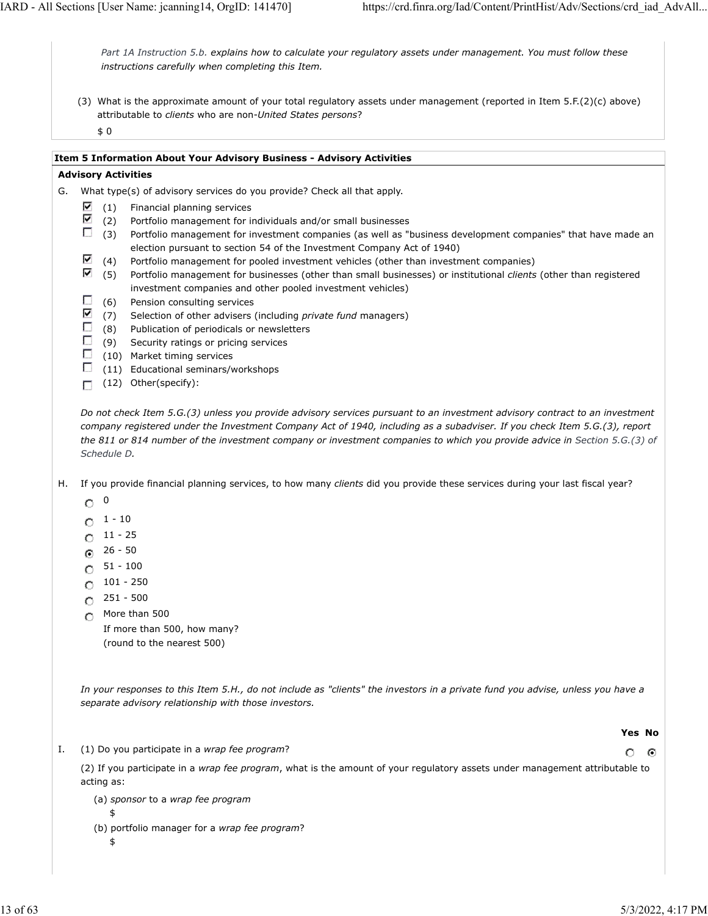*Part 1A Instruction 5.b. explains how to calculate your regulatory assets under management. You must follow these instructions carefully when completing this Item.*

(3) What is the approximate amount of your total regulatory assets under management (reported in Item 5.F.(2)(c) above) attributable to *clients* who are non-*United States persons*?

\$ 0

|                                                                                                   |                                                            |      | <b>Item 5 Information About Your Advisory Business - Advisory Activities</b>                                             |  |  |  |
|---------------------------------------------------------------------------------------------------|------------------------------------------------------------|------|--------------------------------------------------------------------------------------------------------------------------|--|--|--|
|                                                                                                   |                                                            |      | <b>Advisory Activities</b>                                                                                               |  |  |  |
| G.                                                                                                |                                                            |      | What type(s) of advisory services do you provide? Check all that apply.                                                  |  |  |  |
|                                                                                                   | ☑                                                          | (1)  | Financial planning services                                                                                              |  |  |  |
|                                                                                                   | ⊽                                                          | (2)  | Portfolio management for individuals and/or small businesses                                                             |  |  |  |
|                                                                                                   |                                                            | (3)  | Portfolio management for investment companies (as well as "business development companies" that have made an             |  |  |  |
|                                                                                                   |                                                            |      | election pursuant to section 54 of the Investment Company Act of 1940)                                                   |  |  |  |
| ☑<br>Portfolio management for pooled investment vehicles (other than investment companies)<br>(4) |                                                            |      |                                                                                                                          |  |  |  |
|                                                                                                   | П                                                          | (5)  | Portfolio management for businesses (other than small businesses) or institutional <i>clients</i> (other than registered |  |  |  |
|                                                                                                   | investment companies and other pooled investment vehicles) |      |                                                                                                                          |  |  |  |
|                                                                                                   |                                                            | (6)  | Pension consulting services                                                                                              |  |  |  |
|                                                                                                   | ☑                                                          | (7)  | Selection of other advisers (including <i>private fund</i> managers)                                                     |  |  |  |
|                                                                                                   |                                                            | (8)  | Publication of periodicals or newsletters                                                                                |  |  |  |
|                                                                                                   |                                                            | (9)  | Security ratings or pricing services                                                                                     |  |  |  |
|                                                                                                   |                                                            |      | (10) Market timing services                                                                                              |  |  |  |
|                                                                                                   |                                                            |      | (11) Educational seminars/workshops                                                                                      |  |  |  |
|                                                                                                   |                                                            | (12) | Other(specify):                                                                                                          |  |  |  |
|                                                                                                   |                                                            |      |                                                                                                                          |  |  |  |

*Do not check Item 5.G.(3) unless you provide advisory services pursuant to an investment advisory contract to an investment company registered under the Investment Company Act of 1940, including as a subadviser. If you check Item 5.G.(3), report the 811 or 814 number of the investment company or investment companies to which you provide advice in Section 5.G.(3) of Schedule D.*

- H. If you provide financial planning services, to how many *clients* did you provide these services during your last fiscal year?
	- $\circ$ <sup>0</sup>
	- $0^{-1 10}$
	- $O^{-11 25}$
	- 26 50
	- $O<sup>51 100</sup>$
	- $O$  101 250
	- $O$  251 500
	- More than 500

If more than 500, how many? (round to the nearest 500)

*In your responses to this Item 5.H., do not include as "clients" the investors in a private fund you advise, unless you have a separate advisory relationship with those investors.*

I. (1) Do you participate in a *wrap fee program*?

(2) If you participate in a *wrap fee program*, what is the amount of your regulatory assets under management attributable to acting as:

- (a) *sponsor* to a *wrap fee program*
- (b) portfolio manager for a *wrap fee program*?
	- \$

\$

**Yes No**

 $\circ$   $\circ$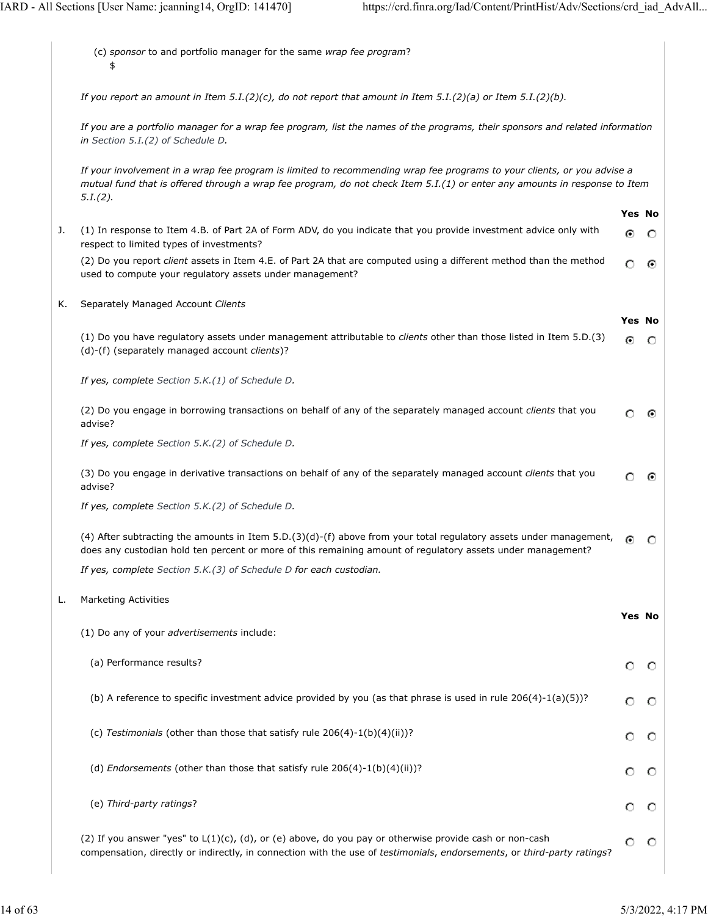|    | (c) sponsor to and portfolio manager for the same wrap fee program?<br>\$                                                                                                                                                                                        |               |   |
|----|------------------------------------------------------------------------------------------------------------------------------------------------------------------------------------------------------------------------------------------------------------------|---------------|---|
|    | If you report an amount in Item 5.I.(2)(c), do not report that amount in Item 5.I.(2)(a) or Item 5.I.(2)(b).                                                                                                                                                     |               |   |
|    | If you are a portfolio manager for a wrap fee program, list the names of the programs, their sponsors and related information<br>in Section 5.1.(2) of Schedule D.                                                                                               |               |   |
|    | If your involvement in a wrap fee program is limited to recommending wrap fee programs to your clients, or you advise a<br>mutual fund that is offered through a wrap fee program, do not check Item 5.I.(1) or enter any amounts in response to Item<br>5.1(2). |               |   |
|    |                                                                                                                                                                                                                                                                  | Yes No        |   |
| J. | (1) In response to Item 4.B. of Part 2A of Form ADV, do you indicate that you provide investment advice only with<br>respect to limited types of investments?                                                                                                    | Θ             | O |
|    | (2) Do you report client assets in Item 4.E. of Part 2A that are computed using a different method than the method<br>used to compute your regulatory assets under management?                                                                                   | O             | ⊙ |
| Κ. | Separately Managed Account Clients                                                                                                                                                                                                                               |               |   |
|    |                                                                                                                                                                                                                                                                  | <b>Yes No</b> |   |
|    | (1) Do you have regulatory assets under management attributable to clients other than those listed in Item 5.D.(3)<br>(d)-(f) (separately managed account clients)?                                                                                              | ⊙             | O |
|    | If yes, complete Section 5.K.(1) of Schedule D.                                                                                                                                                                                                                  |               |   |
|    | (2) Do you engage in borrowing transactions on behalf of any of the separately managed account clients that you<br>advise?                                                                                                                                       | О             | ⊙ |
|    | If yes, complete Section 5.K.(2) of Schedule D.                                                                                                                                                                                                                  |               |   |
|    | (3) Do you engage in derivative transactions on behalf of any of the separately managed account clients that you<br>advise?                                                                                                                                      | O             | ⊙ |
|    | If yes, complete Section 5.K.(2) of Schedule D.                                                                                                                                                                                                                  |               |   |
|    | (4) After subtracting the amounts in Item $5.D.(3)(d)-(f)$ above from your total regulatory assets under management,<br>does any custodian hold ten percent or more of this remaining amount of regulatory assets under management?                              | ⊙             | O |
|    | If yes, complete Section 5.K.(3) of Schedule D for each custodian.                                                                                                                                                                                               |               |   |
| L. | Marketing Activities                                                                                                                                                                                                                                             |               |   |
|    | (1) Do any of your advertisements include:                                                                                                                                                                                                                       | <b>Yes No</b> |   |
|    |                                                                                                                                                                                                                                                                  |               |   |
|    | (a) Performance results?                                                                                                                                                                                                                                         | O             |   |
|    | (b) A reference to specific investment advice provided by you (as that phrase is used in rule $206(4)-1(a)(5)$ ?                                                                                                                                                 |               |   |
|    | (c) Testimonials (other than those that satisfy rule $206(4)-1(b)(4)(ii)$ ?                                                                                                                                                                                      |               |   |
|    | (d) Endorsements (other than those that satisfy rule $206(4)-1(b)(4)(ii)$ ?                                                                                                                                                                                      |               |   |
|    | (e) Third-party ratings?                                                                                                                                                                                                                                         |               |   |
|    | (2) If you answer "yes" to $L(1)(c)$ , (d), or (e) above, do you pay or otherwise provide cash or non-cash<br>compensation, directly or indirectly, in connection with the use of testimonials, endorsements, or third-party ratings?                            |               |   |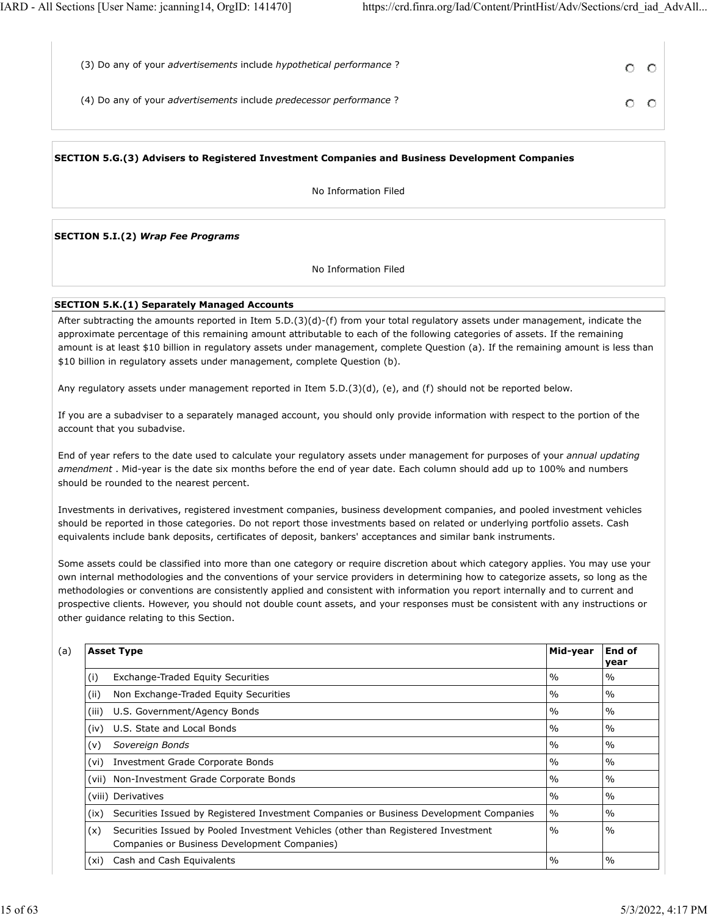| (3) Do any of your <i>advertisements</i> include <i>hypothetical performance</i> ? |  |
|------------------------------------------------------------------------------------|--|
| (4) Do any of your <i>advertisements</i> include <i>predecessor performance</i> ?  |  |

**SECTION 5.G.(3) Advisers to Registered Investment Companies and Business Development Companies**

No Information Filed

**SECTION 5.I.(2)** *Wrap Fee Programs*

No Information Filed

### **SECTION 5.K.(1) Separately Managed Accounts**

After subtracting the amounts reported in Item 5.D.(3)(d)-(f) from your total regulatory assets under management, indicate the approximate percentage of this remaining amount attributable to each of the following categories of assets. If the remaining amount is at least \$10 billion in regulatory assets under management, complete Question (a). If the remaining amount is less than \$10 billion in regulatory assets under management, complete Question (b).

Any regulatory assets under management reported in Item 5.D.(3)(d), (e), and (f) should not be reported below.

If you are a subadviser to a separately managed account, you should only provide information with respect to the portion of the account that you subadvise.

End of year refers to the date used to calculate your regulatory assets under management for purposes of your *annual updating amendment* . Mid-year is the date six months before the end of year date. Each column should add up to 100% and numbers should be rounded to the nearest percent.

Investments in derivatives, registered investment companies, business development companies, and pooled investment vehicles should be reported in those categories. Do not report those investments based on related or underlying portfolio assets. Cash equivalents include bank deposits, certificates of deposit, bankers' acceptances and similar bank instruments.

Some assets could be classified into more than one category or require discretion about which category applies. You may use your own internal methodologies and the conventions of your service providers in determining how to categorize assets, so long as the methodologies or conventions are consistently applied and consistent with information you report internally and to current and prospective clients. However, you should not double count assets, and your responses must be consistent with any instructions or other guidance relating to this Section.

|       | <b>Asset Type</b>                                                                                                                 | Mid-year      | End of<br>year |
|-------|-----------------------------------------------------------------------------------------------------------------------------------|---------------|----------------|
| (i)   | <b>Exchange-Traded Equity Securities</b>                                                                                          | $\frac{0}{0}$ | $\frac{0}{0}$  |
| (ii)  | Non Exchange-Traded Equity Securities                                                                                             | $\frac{0}{0}$ | $\frac{0}{0}$  |
| (iii) | U.S. Government/Agency Bonds                                                                                                      | $\%$          | $\frac{0}{0}$  |
| (iv)  | U.S. State and Local Bonds                                                                                                        | $\%$          | $\frac{0}{0}$  |
| (v)   | Sovereign Bonds                                                                                                                   | $\frac{0}{0}$ | $\frac{0}{0}$  |
| (vi)  | Investment Grade Corporate Bonds                                                                                                  | $\frac{0}{0}$ | $\frac{0}{0}$  |
| (vii) | Non-Investment Grade Corporate Bonds                                                                                              | $\frac{0}{0}$ | $\frac{0}{0}$  |
|       | (viii) Derivatives                                                                                                                | $\frac{0}{0}$ | $\frac{0}{0}$  |
| (ix)  | Securities Issued by Registered Investment Companies or Business Development Companies                                            | $\frac{0}{0}$ | $\frac{0}{0}$  |
| (x)   | Securities Issued by Pooled Investment Vehicles (other than Registered Investment<br>Companies or Business Development Companies) | $\frac{0}{0}$ | $\frac{0}{0}$  |
| (xi)  | Cash and Cash Equivalents                                                                                                         | $\frac{0}{0}$ | $\frac{0}{0}$  |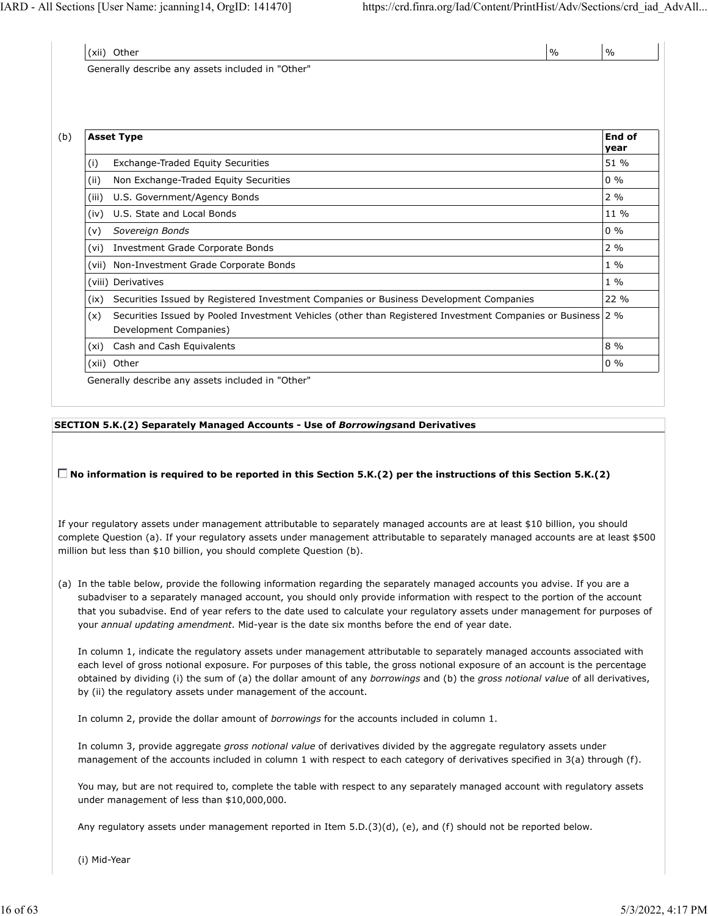|       | $\frac{0}{0}$<br>(xii) Other                                                                                                      | $\frac{0}{0}$  |
|-------|-----------------------------------------------------------------------------------------------------------------------------------|----------------|
|       | Generally describe any assets included in "Other"                                                                                 |                |
|       |                                                                                                                                   |                |
|       |                                                                                                                                   |                |
|       |                                                                                                                                   |                |
|       | <b>Asset Type</b>                                                                                                                 | End of<br>year |
| (i)   | Exchange-Traded Equity Securities                                                                                                 | 51 %           |
| (i)   | Non Exchange-Traded Equity Securities                                                                                             | $0\%$          |
| (iii) | U.S. Government/Agency Bonds                                                                                                      | $2\%$          |
| (iv)  | U.S. State and Local Bonds                                                                                                        | 11 %           |
| (v)   | Sovereign Bonds                                                                                                                   | $0\%$          |
| (vi)  | Investment Grade Corporate Bonds                                                                                                  | 2%             |
| (vii) | Non-Investment Grade Corporate Bonds                                                                                              | $1\%$          |
|       | (viii) Derivatives                                                                                                                | $1\%$          |
| (ix)  | Securities Issued by Registered Investment Companies or Business Development Companies                                            | 22 %           |
| (x)   | Securities Issued by Pooled Investment Vehicles (other than Registered Investment Companies or Business<br>Development Companies) | 2%             |
| (xi)  | Cash and Cash Equivalents                                                                                                         | $8\%$          |
| (xii) | Other                                                                                                                             | $0\%$          |

Generally describe any assets included in "Other"

#### **SECTION 5.K.(2) Separately Managed Accounts - Use of** *Borrowings***and Derivatives**

## **No information is required to be reported in this Section 5.K.(2) per the instructions of this Section 5.K.(2)**

If your regulatory assets under management attributable to separately managed accounts are at least \$10 billion, you should complete Question (a). If your regulatory assets under management attributable to separately managed accounts are at least \$500 million but less than \$10 billion, you should complete Question (b).

(a) In the table below, provide the following information regarding the separately managed accounts you advise. If you are a subadviser to a separately managed account, you should only provide information with respect to the portion of the account that you subadvise. End of year refers to the date used to calculate your regulatory assets under management for purposes of your *annual updating amendment*. Mid-year is the date six months before the end of year date.

In column 1, indicate the regulatory assets under management attributable to separately managed accounts associated with each level of gross notional exposure. For purposes of this table, the gross notional exposure of an account is the percentage obtained by dividing (i) the sum of (a) the dollar amount of any *borrowings* and (b) the *gross notional value* of all derivatives, by (ii) the regulatory assets under management of the account.

In column 2, provide the dollar amount of *borrowings* for the accounts included in column 1.

In column 3, provide aggregate *gross notional value* of derivatives divided by the aggregate regulatory assets under management of the accounts included in column 1 with respect to each category of derivatives specified in 3(a) through (f).

You may, but are not required to, complete the table with respect to any separately managed account with regulatory assets under management of less than \$10,000,000.

Any regulatory assets under management reported in Item 5.D.(3)(d), (e), and (f) should not be reported below.

(i) Mid-Year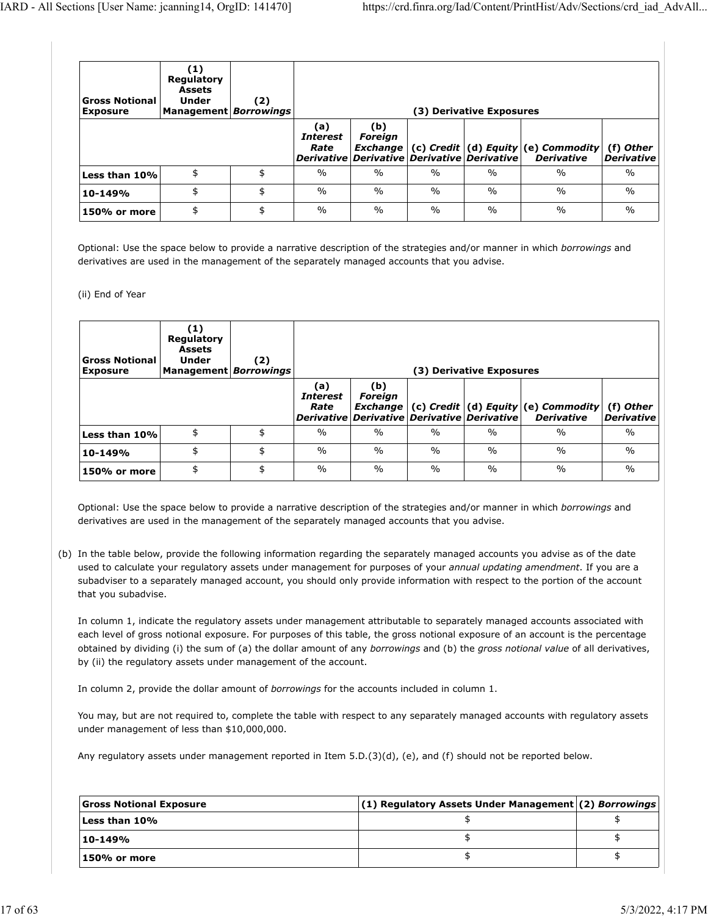| <b>Gross Notional</b><br><b>Exposure</b> | (1)<br>Regulatory<br><b>Assets</b><br>Under<br>Management Borrowings | (2) |                                |                                                                      |               | (3) Derivative Exposures |                                                                         |                                |
|------------------------------------------|----------------------------------------------------------------------|-----|--------------------------------|----------------------------------------------------------------------|---------------|--------------------------|-------------------------------------------------------------------------|--------------------------------|
|                                          |                                                                      |     | (a)<br><b>Interest</b><br>Rate | (b)<br><b>Foreign</b><br>Derivative Derivative Derivative Derivative |               |                          | Exchange $(c)$ Credit $(d)$ Equity $(e)$ Commodity<br><b>Derivative</b> | (f) Other<br><b>Derivative</b> |
| Less than 10%                            |                                                                      | \$  | $\%$                           | $\%$                                                                 | $\frac{0}{0}$ | $\%$                     | $\frac{0}{0}$                                                           | $\frac{0}{0}$                  |
| 10-149%                                  |                                                                      | \$  | $\frac{0}{0}$                  | $\frac{0}{0}$                                                        | $\frac{0}{0}$ | $\frac{0}{0}$            | $\frac{0}{0}$                                                           | $\frac{0}{0}$                  |
| 150% or more                             |                                                                      | \$  | $\frac{0}{0}$                  | $\frac{0}{0}$                                                        | $\frac{0}{0}$ | $\frac{0}{0}$            | $\%$                                                                    | $\frac{0}{0}$                  |

Optional: Use the space below to provide a narrative description of the strategies and/or manner in which *borrowings* and derivatives are used in the management of the separately managed accounts that you advise.

(ii) End of Year

| <b>Gross Notional</b><br><b>Exposure</b> | (1)<br>Regulatory<br><b>Assets</b><br>Under<br>Management Borrowings | (2) |                                |                                                                                         |               | (3) Derivative Exposures |                                                            |                                |
|------------------------------------------|----------------------------------------------------------------------|-----|--------------------------------|-----------------------------------------------------------------------------------------|---------------|--------------------------|------------------------------------------------------------|--------------------------------|
|                                          |                                                                      |     | (a)<br><b>Interest</b><br>Rate | (b)<br><b>Foreign</b><br><b>Exchange</b><br>Derivative Derivative Derivative Derivative |               |                          | (c) Credit $(d)$ Equity (e) Commodity<br><b>Derivative</b> | (f) Other<br><b>Derivative</b> |
| Less than 10%                            | \$                                                                   | \$  | $\frac{0}{0}$                  | $\frac{0}{0}$                                                                           | $\frac{0}{0}$ | $\frac{0}{0}$            | $\frac{0}{0}$                                              | $\frac{0}{0}$                  |
| 10-149%                                  | \$                                                                   | \$  | $\frac{0}{0}$                  | $\frac{0}{0}$                                                                           | $\frac{0}{0}$ | $\frac{0}{0}$            | $\frac{0}{0}$                                              | $\frac{0}{0}$                  |
| 150% or more                             |                                                                      | \$  | $\%$                           | $\frac{0}{0}$                                                                           | $\frac{0}{0}$ | $\frac{0}{0}$            | $\frac{0}{0}$                                              | $\frac{0}{0}$                  |

Optional: Use the space below to provide a narrative description of the strategies and/or manner in which *borrowings* and derivatives are used in the management of the separately managed accounts that you advise.

(b) In the table below, provide the following information regarding the separately managed accounts you advise as of the date used to calculate your regulatory assets under management for purposes of your *annual updating amendment*. If you are a subadviser to a separately managed account, you should only provide information with respect to the portion of the account that you subadvise.

In column 1, indicate the regulatory assets under management attributable to separately managed accounts associated with each level of gross notional exposure. For purposes of this table, the gross notional exposure of an account is the percentage obtained by dividing (i) the sum of (a) the dollar amount of any *borrowings* and (b) the *gross notional value* of all derivatives, by (ii) the regulatory assets under management of the account.

In column 2, provide the dollar amount of *borrowings* for the accounts included in column 1.

You may, but are not required to, complete the table with respect to any separately managed accounts with regulatory assets under management of less than \$10,000,000.

Any regulatory assets under management reported in Item 5.D.(3)(d), (e), and (f) should not be reported below.

| <b>Gross Notional Exposure</b> | $(1)$ Regulatory Assets Under Management (2) Borrowings |  |  |
|--------------------------------|---------------------------------------------------------|--|--|
| Less than 10%                  |                                                         |  |  |
| $10 - 149%$                    |                                                         |  |  |
| $150\%$ or more                |                                                         |  |  |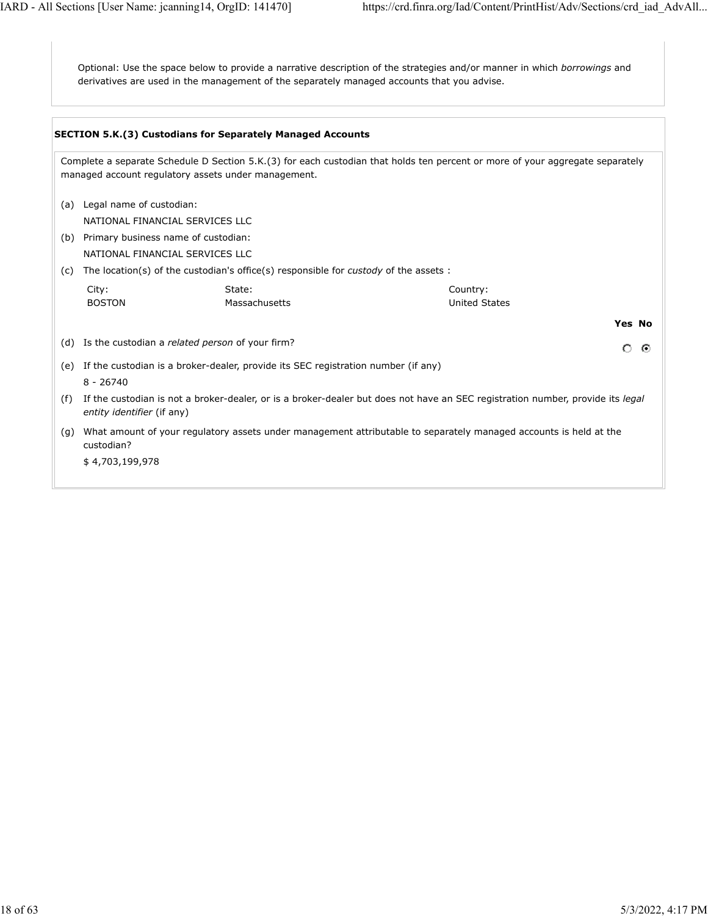Optional: Use the space below to provide a narrative description of the strategies and/or manner in which *borrowings* and derivatives are used in the management of the separately managed accounts that you advise.

|     |                                     | managed account regulatory assets under management.                                  | Complete a separate Schedule D Section 5.K.(3) for each custodian that holds ten percent or more of your aggregate separately  |        |
|-----|-------------------------------------|--------------------------------------------------------------------------------------|--------------------------------------------------------------------------------------------------------------------------------|--------|
| (a) | Legal name of custodian:            |                                                                                      |                                                                                                                                |        |
|     | NATIONAL FINANCIAL SERVICES LLC     |                                                                                      |                                                                                                                                |        |
| (b) | Primary business name of custodian: |                                                                                      |                                                                                                                                |        |
|     | NATIONAL FINANCIAL SERVICES LLC     |                                                                                      |                                                                                                                                |        |
| (c) |                                     | The location(s) of the custodian's office(s) responsible for custody of the assets : |                                                                                                                                |        |
|     | City:                               | State:                                                                               | Country:                                                                                                                       |        |
|     | <b>BOSTON</b>                       | Massachusetts                                                                        | <b>United States</b>                                                                                                           |        |
|     |                                     |                                                                                      |                                                                                                                                | Yes No |
|     |                                     | (d) Is the custodian a <i>related person</i> of your firm?                           |                                                                                                                                | O<br>ω |
| (e) |                                     | If the custodian is a broker-dealer, provide its SEC registration number (if any)    |                                                                                                                                |        |
|     | $8 - 26740$                         |                                                                                      |                                                                                                                                |        |
| (f) | entity identifier (if any)          |                                                                                      | If the custodian is not a broker-dealer, or is a broker-dealer but does not have an SEC registration number, provide its legal |        |
| (g) | custodian?                          |                                                                                      | What amount of your regulatory assets under management attributable to separately managed accounts is held at the              |        |
|     | \$4,703,199,978                     |                                                                                      |                                                                                                                                |        |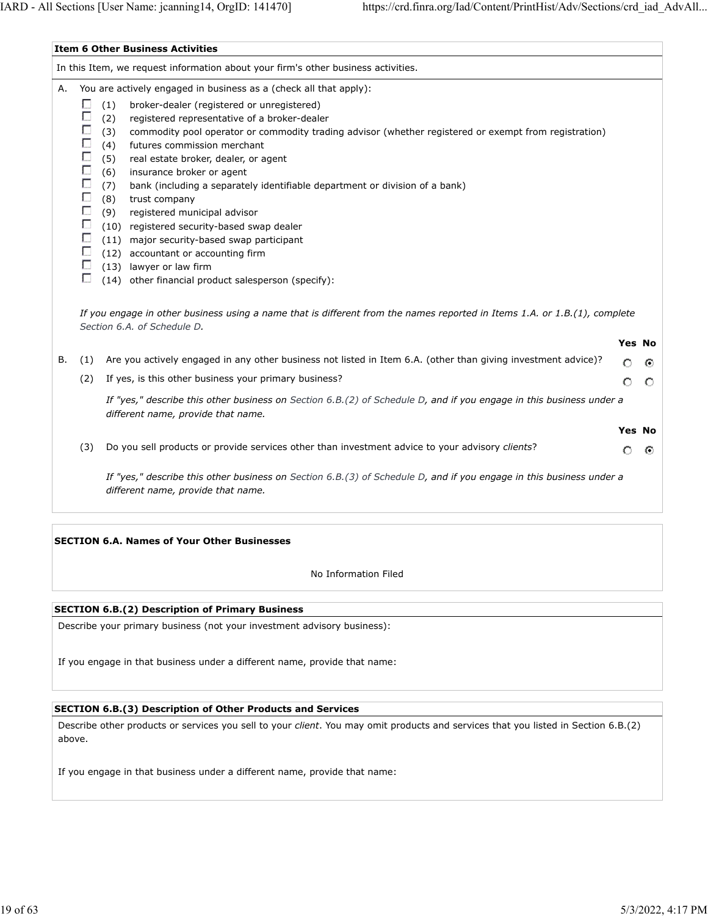|    |                                                          | <b>Item 6 Other Business Activities</b>                                                                                                                                                                                                                                                                                                                                                                                                                                                                                                                                                                                                                                                                                    |               |                          |
|----|----------------------------------------------------------|----------------------------------------------------------------------------------------------------------------------------------------------------------------------------------------------------------------------------------------------------------------------------------------------------------------------------------------------------------------------------------------------------------------------------------------------------------------------------------------------------------------------------------------------------------------------------------------------------------------------------------------------------------------------------------------------------------------------------|---------------|--------------------------|
|    |                                                          | In this Item, we request information about your firm's other business activities.                                                                                                                                                                                                                                                                                                                                                                                                                                                                                                                                                                                                                                          |               |                          |
| Α. |                                                          | You are actively engaged in business as a (check all that apply):                                                                                                                                                                                                                                                                                                                                                                                                                                                                                                                                                                                                                                                          |               |                          |
|    | П<br>П<br>Г<br>О<br>О<br>$\Box$<br>П<br>П<br>П<br>Г<br>П | (1)<br>broker-dealer (registered or unregistered)<br>(2)<br>registered representative of a broker-dealer<br>(3)<br>commodity pool operator or commodity trading advisor (whether registered or exempt from registration)<br>(4)<br>futures commission merchant<br>(5)<br>real estate broker, dealer, or agent<br>(6)<br>insurance broker or agent<br>(7)<br>bank (including a separately identifiable department or division of a bank)<br>(8)<br>trust company<br>(9)<br>registered municipal advisor<br>(10) registered security-based swap dealer<br>(11) major security-based swap participant<br>(12) accountant or accounting firm<br>(13) lawyer or law firm<br>(14) other financial product salesperson (specify): |               |                          |
|    |                                                          | If you engage in other business using a name that is different from the names reported in Items 1.A. or 1.B.(1), complete<br>Section 6.A. of Schedule D.                                                                                                                                                                                                                                                                                                                                                                                                                                                                                                                                                                   |               |                          |
|    |                                                          |                                                                                                                                                                                                                                                                                                                                                                                                                                                                                                                                                                                                                                                                                                                            | Yes No        |                          |
| В. | (1)                                                      | Are you actively engaged in any other business not listed in Item 6.A. (other than giving investment advice)?                                                                                                                                                                                                                                                                                                                                                                                                                                                                                                                                                                                                              | о             | $\odot$                  |
|    | (2)                                                      | If yes, is this other business your primary business?                                                                                                                                                                                                                                                                                                                                                                                                                                                                                                                                                                                                                                                                      | O             | $\circ$                  |
|    |                                                          | If "yes," describe this other business on Section 6.B.(2) of Schedule D, and if you engage in this business under a<br>different name, provide that name.                                                                                                                                                                                                                                                                                                                                                                                                                                                                                                                                                                  |               |                          |
|    |                                                          |                                                                                                                                                                                                                                                                                                                                                                                                                                                                                                                                                                                                                                                                                                                            | <b>Yes No</b> |                          |
|    | (3)                                                      | Do you sell products or provide services other than investment advice to your advisory clients?                                                                                                                                                                                                                                                                                                                                                                                                                                                                                                                                                                                                                            | Ο             | $\left( \bullet \right)$ |
|    |                                                          | If "yes," describe this other business on Section 6.B.(3) of Schedule D, and if you engage in this business under a<br>different name, provide that name.                                                                                                                                                                                                                                                                                                                                                                                                                                                                                                                                                                  |               |                          |
|    |                                                          |                                                                                                                                                                                                                                                                                                                                                                                                                                                                                                                                                                                                                                                                                                                            |               |                          |

**SECTION 6.A. Names of Your Other Businesses**

No Information Filed

## **SECTION 6.B.(2) Description of Primary Business**

Describe your primary business (not your investment advisory business):

If you engage in that business under a different name, provide that name:

## **SECTION 6.B.(3) Description of Other Products and Services**

Describe other products or services you sell to your *client*. You may omit products and services that you listed in Section 6.B.(2) above.

If you engage in that business under a different name, provide that name: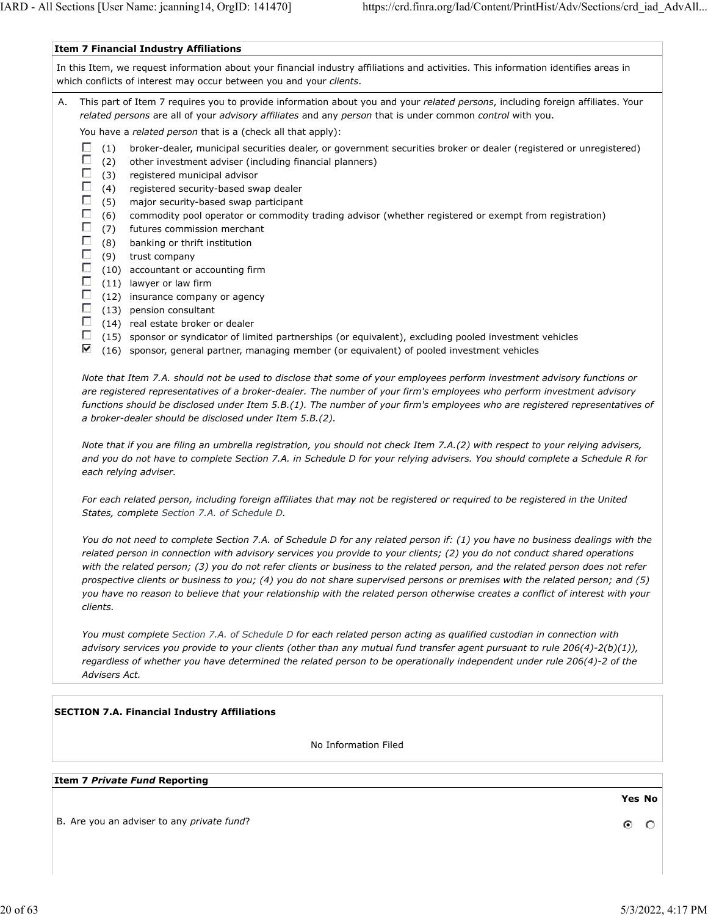|                      | <b>Item 7 Financial Industry Affiliations</b>                                                                                                                                                                                                                                                                                                                                                                                                                                                                                                                                                                                                                              |  |  |  |  |
|----------------------|----------------------------------------------------------------------------------------------------------------------------------------------------------------------------------------------------------------------------------------------------------------------------------------------------------------------------------------------------------------------------------------------------------------------------------------------------------------------------------------------------------------------------------------------------------------------------------------------------------------------------------------------------------------------------|--|--|--|--|
|                      | In this Item, we request information about your financial industry affiliations and activities. This information identifies areas in<br>which conflicts of interest may occur between you and your clients.                                                                                                                                                                                                                                                                                                                                                                                                                                                                |  |  |  |  |
|                      | This part of Item 7 requires you to provide information about you and your related persons, including foreign affiliates. Your<br>related persons are all of your advisory affiliates and any person that is under common control with you.                                                                                                                                                                                                                                                                                                                                                                                                                                |  |  |  |  |
|                      | You have a related person that is a (check all that apply):                                                                                                                                                                                                                                                                                                                                                                                                                                                                                                                                                                                                                |  |  |  |  |
|                      | П<br>(1)<br>broker-dealer, municipal securities dealer, or government securities broker or dealer (registered or unregistered)<br>П<br>(2)<br>other investment adviser (including financial planners)<br>П<br>(3)<br>registered municipal advisor<br>П<br>(4)<br>registered security-based swap dealer<br>П<br>(5)<br>major security-based swap participant<br>П<br>(6)<br>commodity pool operator or commodity trading advisor (whether registered or exempt from registration)<br>П                                                                                                                                                                                      |  |  |  |  |
|                      | (7)<br>futures commission merchant<br>П<br>(8)<br>banking or thrift institution<br>$\overline{\phantom{a}}$<br>(9)<br>trust company                                                                                                                                                                                                                                                                                                                                                                                                                                                                                                                                        |  |  |  |  |
|                      | П<br>(10) accountant or accounting firm                                                                                                                                                                                                                                                                                                                                                                                                                                                                                                                                                                                                                                    |  |  |  |  |
|                      | $\overline{\phantom{a}}$<br>(11) lawyer or law firm<br>П                                                                                                                                                                                                                                                                                                                                                                                                                                                                                                                                                                                                                   |  |  |  |  |
|                      | (12) insurance company or agency<br>П<br>(13) pension consultant                                                                                                                                                                                                                                                                                                                                                                                                                                                                                                                                                                                                           |  |  |  |  |
|                      | П<br>(14) real estate broker or dealer                                                                                                                                                                                                                                                                                                                                                                                                                                                                                                                                                                                                                                     |  |  |  |  |
|                      | П<br>(15) sponsor or syndicator of limited partnerships (or equivalent), excluding pooled investment vehicles<br>⊽<br>(16) sponsor, general partner, managing member (or equivalent) of pooled investment vehicles                                                                                                                                                                                                                                                                                                                                                                                                                                                         |  |  |  |  |
|                      | functions should be disclosed under Item 5.B.(1). The number of your firm's employees who are registered representatives of<br>a broker-dealer should be disclosed under Item 5.B.(2).<br>Note that if you are filing an umbrella registration, you should not check Item 7.A.(2) with respect to your relying advisers,<br>and you do not have to complete Section 7.A. in Schedule D for your relying advisers. You should complete a Schedule R for<br>each relying adviser.                                                                                                                                                                                            |  |  |  |  |
|                      | For each related person, including foreign affiliates that may not be registered or required to be registered in the United<br>States, complete Section 7.A. of Schedule D.                                                                                                                                                                                                                                                                                                                                                                                                                                                                                                |  |  |  |  |
|                      | You do not need to complete Section 7.A. of Schedule D for any related person if: (1) you have no business dealings with the<br>related person in connection with advisory services you provide to your clients; (2) you do not conduct shared operations<br>with the related person; (3) you do not refer clients or business to the related person, and the related person does not refer<br>prospective clients or business to you; (4) you do not share supervised persons or premises with the related person; and (5)<br>you have no reason to believe that your relationship with the related person otherwise creates a conflict of interest with your<br>clients. |  |  |  |  |
|                      | You must complete Section 7.A. of Schedule D for each related person acting as qualified custodian in connection with<br>advisory services you provide to your clients (other than any mutual fund transfer agent pursuant to rule 206(4)-2(b)(1)),<br>regardless of whether you have determined the related person to be operationally independent under rule 206(4)-2 of the<br>Advisers Act.                                                                                                                                                                                                                                                                            |  |  |  |  |
|                      | <b>SECTION 7.A. Financial Industry Affiliations</b>                                                                                                                                                                                                                                                                                                                                                                                                                                                                                                                                                                                                                        |  |  |  |  |
| No Information Filed |                                                                                                                                                                                                                                                                                                                                                                                                                                                                                                                                                                                                                                                                            |  |  |  |  |
|                      |                                                                                                                                                                                                                                                                                                                                                                                                                                                                                                                                                                                                                                                                            |  |  |  |  |

 $\circ$  0

B. Are you an adviser to any *private fund*?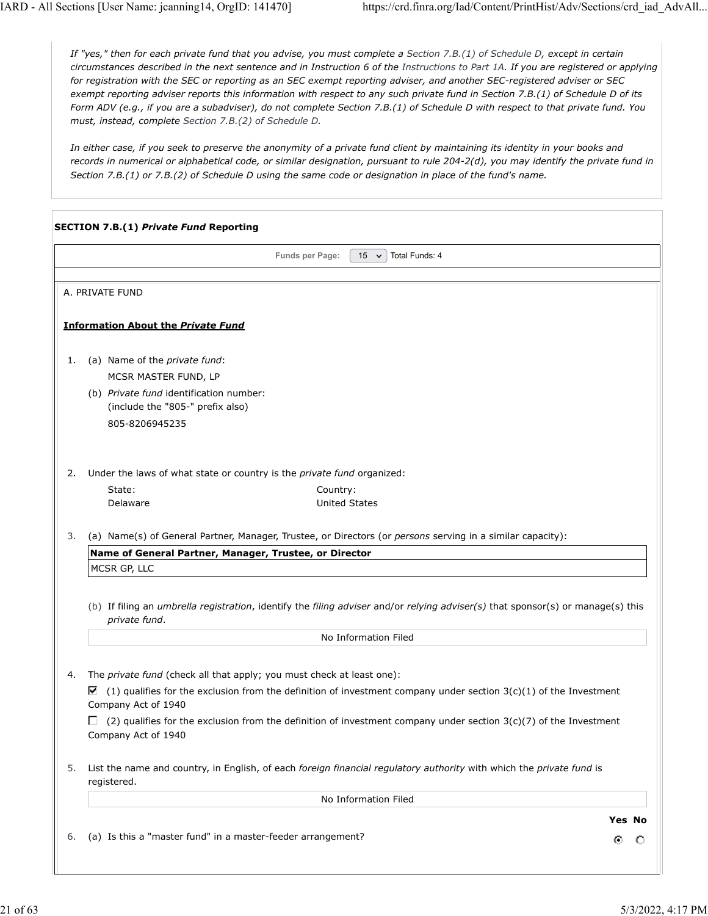*If "yes," then for each private fund that you advise, you must complete a Section 7.B.(1) of Schedule D, except in certain circumstances described in the next sentence and in Instruction 6 of the Instructions to Part 1A. If you are registered or applying for registration with the SEC or reporting as an SEC exempt reporting adviser, and another SEC-registered adviser or SEC exempt reporting adviser reports this information with respect to any such private fund in Section 7.B.(1) of Schedule D of its Form ADV (e.g., if you are a subadviser), do not complete Section 7.B.(1) of Schedule D with respect to that private fund. You must, instead, complete Section 7.B.(2) of Schedule D.*

*In either case, if you seek to preserve the anonymity of a private fund client by maintaining its identity in your books and records in numerical or alphabetical code, or similar designation, pursuant to rule 204-2(d), you may identify the private fund in Section 7.B.(1) or 7.B.(2) of Schedule D using the same code or designation in place of the fund's name.*

|    |                                                                             | Funds per Page:<br>Total Funds: 4<br>$15 \times$                                                                                 |
|----|-----------------------------------------------------------------------------|----------------------------------------------------------------------------------------------------------------------------------|
|    | A. PRIVATE FUND                                                             |                                                                                                                                  |
|    | <b>Information About the Private Fund</b>                                   |                                                                                                                                  |
|    |                                                                             |                                                                                                                                  |
| 1. | (a) Name of the <i>private fund</i> :                                       |                                                                                                                                  |
|    | MCSR MASTER FUND, LP                                                        |                                                                                                                                  |
|    | (b) Private fund identification number:<br>(include the "805-" prefix also) |                                                                                                                                  |
|    | 805-8206945235                                                              |                                                                                                                                  |
| 2. | Under the laws of what state or country is the private fund organized:      |                                                                                                                                  |
|    | State:                                                                      | Country:                                                                                                                         |
|    | Delaware                                                                    | <b>United States</b>                                                                                                             |
| 3. |                                                                             | (a) Name(s) of General Partner, Manager, Trustee, or Directors (or persons serving in a similar capacity):                       |
|    | Name of General Partner, Manager, Trustee, or Director                      |                                                                                                                                  |
|    |                                                                             |                                                                                                                                  |
|    | MCSR GP, LLC                                                                |                                                                                                                                  |
|    | private fund.                                                               | (b) If filing an umbrella registration, identify the filing adviser and/or relying adviser(s) that sponsor(s) or manage(s) this  |
|    |                                                                             | No Information Filed                                                                                                             |
|    |                                                                             |                                                                                                                                  |
| 4. | The private fund (check all that apply; you must check at least one):       |                                                                                                                                  |
|    | Company Act of 1940                                                         | $\blacksquare$ (1) qualifies for the exclusion from the definition of investment company under section 3(c)(1) of the Investment |
|    | Company Act of 1940                                                         | (2) qualifies for the exclusion from the definition of investment company under section $3(c)(7)$ of the Investment              |
| 5. | registered.                                                                 | List the name and country, in English, of each foreign financial regulatory authority with which the private fund is             |
|    |                                                                             | No Information Filed                                                                                                             |
|    |                                                                             | Yes No                                                                                                                           |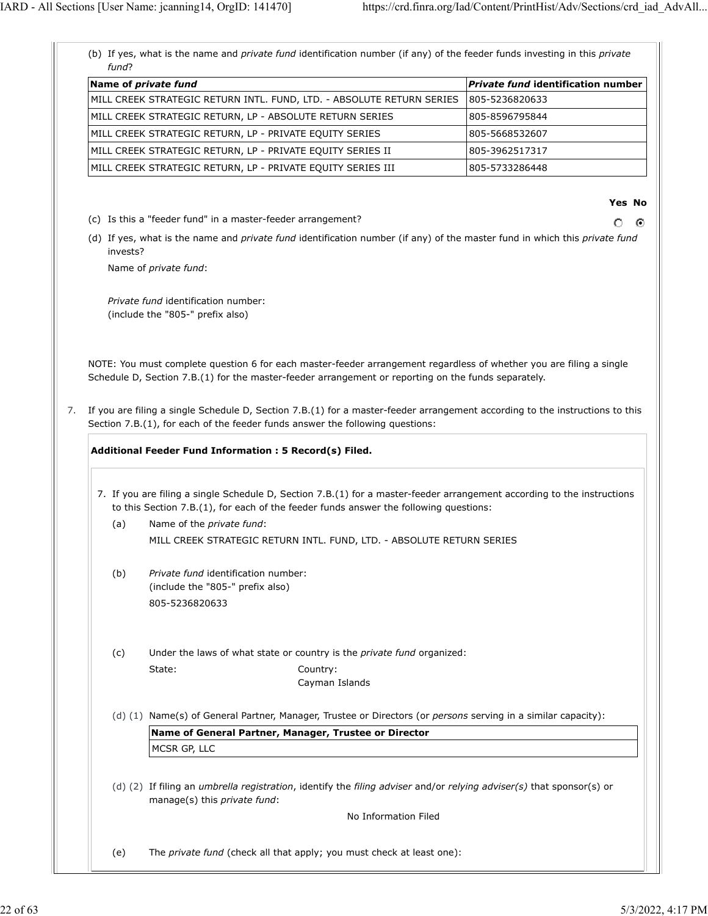**Yes No**

(b) If yes, what is the name and *private fund* identification number (if any) of the feeder funds investing in this *private fund*?

| Name of <i>private fund</i>                                           | <i>Private fund</i> identification number |
|-----------------------------------------------------------------------|-------------------------------------------|
| MILL CREEK STRATEGIC RETURN INTL. FUND, LTD. - ABSOLUTE RETURN SERIES | 805-5236820633                            |
| MILL CREEK STRATEGIC RETURN, LP - ABSOLUTE RETURN SERIES              | 805-8596795844                            |
| MILL CREEK STRATEGIC RETURN, LP - PRIVATE EQUITY SERIES               | 805-5668532607                            |
| MILL CREEK STRATEGIC RETURN, LP - PRIVATE EQUITY SERIES II            | 805-3962517317                            |
| MILL CREEK STRATEGIC RETURN, LP - PRIVATE EQUITY SERIES III           | 805-5733286448                            |

- (c) Is this a "feeder fund" in a master-feeder arrangement?
- $O$   $\odot$ (d) If yes, what is the name and *private fund* identification number (if any) of the master fund in which this *private fund* invests?

Name of *private fund*:

*Private fund* identification number: (include the "805-" prefix also)

NOTE: You must complete question 6 for each master-feeder arrangement regardless of whether you are filing a single Schedule D, Section 7.B.(1) for the master-feeder arrangement or reporting on the funds separately.

7. If you are filing a single Schedule D, Section 7.B.(1) for a master-feeder arrangement according to the instructions to this Section 7.B.(1), for each of the feeder funds answer the following questions:

| Additional Feeder Fund Information : 5 Record(s) Filed. |  |  |
|---------------------------------------------------------|--|--|
|---------------------------------------------------------|--|--|

|     | 7. If you are filing a single Schedule D, Section 7.B.(1) for a master-feeder arrangement according to the instructions<br>to this Section 7.B.(1), for each of the feeder funds answer the following questions: |
|-----|------------------------------------------------------------------------------------------------------------------------------------------------------------------------------------------------------------------|
| (a) | Name of the <i>private fund</i> :                                                                                                                                                                                |
|     | MILL CREEK STRATEGIC RETURN INTL. FUND, LTD. - ABSOLUTE RETURN SERIES                                                                                                                                            |
| (b) | Private fund identification number:                                                                                                                                                                              |
|     | (include the "805-" prefix also)                                                                                                                                                                                 |
|     | 805-5236820633                                                                                                                                                                                                   |
| (c) | Under the laws of what state or country is the <i>private fund</i> organized:                                                                                                                                    |
|     | State:<br>Country:                                                                                                                                                                                               |
|     | Cayman Islands                                                                                                                                                                                                   |
|     | (d) (1) Name(s) of General Partner, Manager, Trustee or Directors (or persons serving in a similar capacity):                                                                                                    |
|     | Name of General Partner, Manager, Trustee or Director                                                                                                                                                            |
|     | MCSR GP, LLC                                                                                                                                                                                                     |
|     | (d) (2) If filing an <i>umbrella registration</i> , identify the <i>filing adviser</i> and/or <i>relying adviser(s)</i> that sponsor(s) or<br>manage(s) this <i>private fund</i> :<br>No Information Filed       |
|     |                                                                                                                                                                                                                  |
| (e) | The private fund (check all that apply; you must check at least one):                                                                                                                                            |
|     |                                                                                                                                                                                                                  |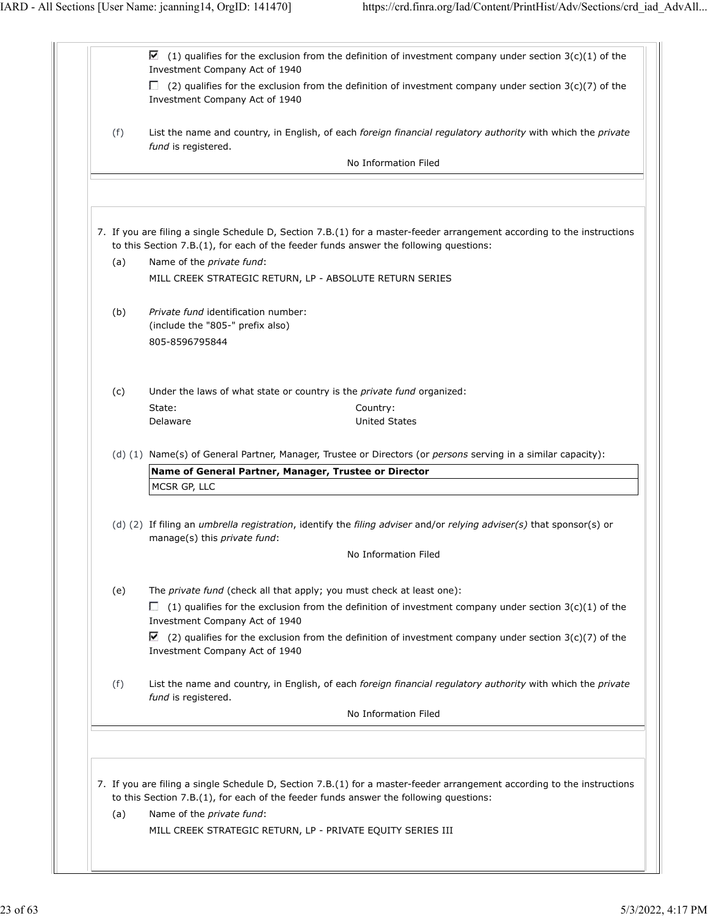|     | $\blacksquare$ (1) qualifies for the exclusion from the definition of investment company under section 3(c)(1) of the<br>Investment Company Act of 1940                                                                                                                                                                                                                                                                                                                                                |
|-----|--------------------------------------------------------------------------------------------------------------------------------------------------------------------------------------------------------------------------------------------------------------------------------------------------------------------------------------------------------------------------------------------------------------------------------------------------------------------------------------------------------|
|     | (2) qualifies for the exclusion from the definition of investment company under section $3(c)(7)$ of the<br>ш<br>Investment Company Act of 1940                                                                                                                                                                                                                                                                                                                                                        |
| (f) | List the name and country, in English, of each foreign financial regulatory authority with which the private<br>fund is registered.                                                                                                                                                                                                                                                                                                                                                                    |
|     | No Information Filed                                                                                                                                                                                                                                                                                                                                                                                                                                                                                   |
|     |                                                                                                                                                                                                                                                                                                                                                                                                                                                                                                        |
|     | 7. If you are filing a single Schedule D, Section 7.B.(1) for a master-feeder arrangement according to the instructions<br>to this Section 7.B.(1), for each of the feeder funds answer the following questions:                                                                                                                                                                                                                                                                                       |
| (a) | Name of the private fund:                                                                                                                                                                                                                                                                                                                                                                                                                                                                              |
|     | MILL CREEK STRATEGIC RETURN, LP - ABSOLUTE RETURN SERIES                                                                                                                                                                                                                                                                                                                                                                                                                                               |
| (b) | Private fund identification number:<br>(include the "805-" prefix also)                                                                                                                                                                                                                                                                                                                                                                                                                                |
|     | 805-8596795844                                                                                                                                                                                                                                                                                                                                                                                                                                                                                         |
| (c) | Under the laws of what state or country is the private fund organized:                                                                                                                                                                                                                                                                                                                                                                                                                                 |
|     | State:<br>Country:                                                                                                                                                                                                                                                                                                                                                                                                                                                                                     |
|     | Delaware<br><b>United States</b>                                                                                                                                                                                                                                                                                                                                                                                                                                                                       |
|     | (d) (1) Name(s) of General Partner, Manager, Trustee or Directors (or persons serving in a similar capacity):                                                                                                                                                                                                                                                                                                                                                                                          |
|     | Name of General Partner, Manager, Trustee or Director                                                                                                                                                                                                                                                                                                                                                                                                                                                  |
|     | MCSR GP, LLC                                                                                                                                                                                                                                                                                                                                                                                                                                                                                           |
|     | (d) (2) If filing an umbrella registration, identify the filing adviser and/or relying adviser(s) that sponsor(s) or<br>manage(s) this private fund:                                                                                                                                                                                                                                                                                                                                                   |
|     | No Information Filed                                                                                                                                                                                                                                                                                                                                                                                                                                                                                   |
| (e) | The private fund (check all that apply; you must check at least one):                                                                                                                                                                                                                                                                                                                                                                                                                                  |
|     |                                                                                                                                                                                                                                                                                                                                                                                                                                                                                                        |
|     | Investment Company Act of 1940                                                                                                                                                                                                                                                                                                                                                                                                                                                                         |
|     | Investment Company Act of 1940                                                                                                                                                                                                                                                                                                                                                                                                                                                                         |
| (f) | fund is registered.                                                                                                                                                                                                                                                                                                                                                                                                                                                                                    |
|     | No Information Filed                                                                                                                                                                                                                                                                                                                                                                                                                                                                                   |
|     |                                                                                                                                                                                                                                                                                                                                                                                                                                                                                                        |
|     | to this Section 7.B.(1), for each of the feeder funds answer the following questions:                                                                                                                                                                                                                                                                                                                                                                                                                  |
| (a) | (1) qualifies for the exclusion from the definition of investment company under section $3(c)(1)$ of the<br>[2] (2) qualifies for the exclusion from the definition of investment company under section 3(c)(7) of the<br>List the name and country, in English, of each foreign financial regulatory authority with which the private<br>7. If you are filing a single Schedule D, Section 7.B.(1) for a master-feeder arrangement according to the instructions<br>Name of the <i>private fund</i> : |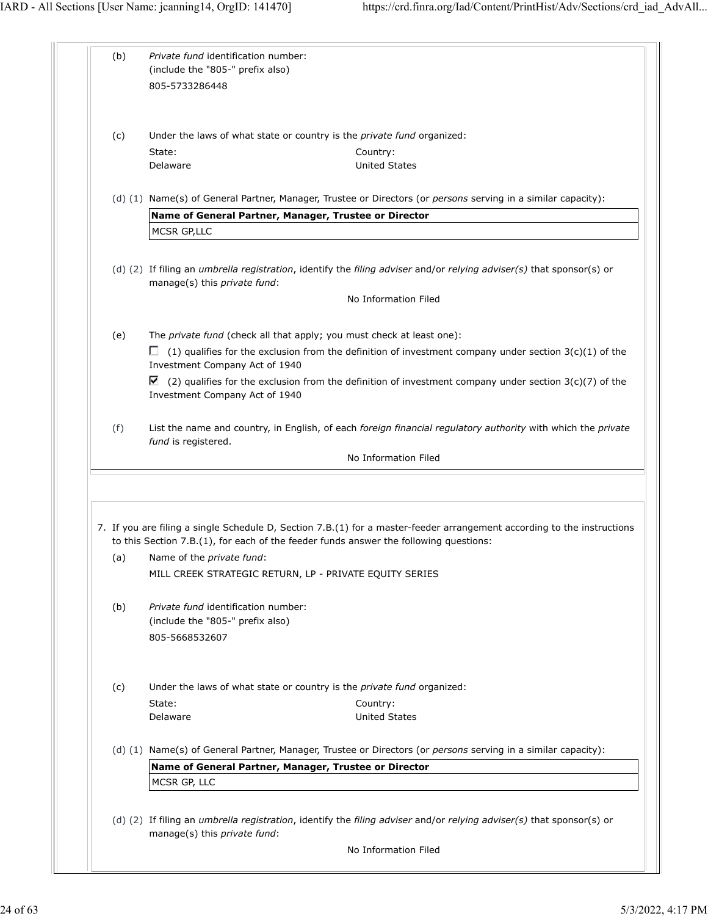| (b) |                                                                                                                                                                                 |
|-----|---------------------------------------------------------------------------------------------------------------------------------------------------------------------------------|
|     | Private fund identification number:<br>(include the "805-" prefix also)                                                                                                         |
|     | 805-5733286448                                                                                                                                                                  |
|     |                                                                                                                                                                                 |
| (c) | Under the laws of what state or country is the <i>private fund</i> organized:                                                                                                   |
|     | State:<br>Country:                                                                                                                                                              |
|     | Delaware<br><b>United States</b>                                                                                                                                                |
|     | (d) (1) Name(s) of General Partner, Manager, Trustee or Directors (or persons serving in a similar capacity):                                                                   |
|     | Name of General Partner, Manager, Trustee or Director                                                                                                                           |
|     | MCSR GP,LLC                                                                                                                                                                     |
|     | (d) (2) If filing an umbrella registration, identify the filing adviser and/or relying adviser(s) that sponsor(s) or<br>manage(s) this private fund:                            |
|     | No Information Filed                                                                                                                                                            |
| (e) | The private fund (check all that apply; you must check at least one):                                                                                                           |
|     | $\Box$ (1) qualifies for the exclusion from the definition of investment company under section 3(c)(1) of the                                                                   |
|     | Investment Company Act of 1940                                                                                                                                                  |
|     | $\blacksquare$ (2) qualifies for the exclusion from the definition of investment company under section 3(c)(7) of the<br>Investment Company Act of 1940                         |
| (f) | List the name and country, in English, of each foreign financial regulatory authority with which the private<br>fund is registered.                                             |
|     | No Information Filed                                                                                                                                                            |
|     |                                                                                                                                                                                 |
|     |                                                                                                                                                                                 |
|     | to this Section 7.B.(1), for each of the feeder funds answer the following questions:                                                                                           |
|     | Name of the <i>private fund</i> :                                                                                                                                               |
| (a) | MILL CREEK STRATEGIC RETURN, LP - PRIVATE EQUITY SERIES                                                                                                                         |
| (b) | Private fund identification number:                                                                                                                                             |
|     | (include the "805-" prefix also)<br>805-5668532607                                                                                                                              |
|     |                                                                                                                                                                                 |
| (c) | Under the laws of what state or country is the private fund organized:                                                                                                          |
|     | State:<br>Country:                                                                                                                                                              |
|     | Delaware<br><b>United States</b>                                                                                                                                                |
|     | (d) (1) Name(s) of General Partner, Manager, Trustee or Directors (or persons serving in a similar capacity):                                                                   |
|     | Name of General Partner, Manager, Trustee or Director                                                                                                                           |
|     | MCSR GP, LLC                                                                                                                                                                    |
|     | (d) (2) If filing an umbrella registration, identify the filing adviser and/or relying adviser(s) that sponsor(s) or                                                            |
|     | 7. If you are filing a single Schedule D, Section 7.B.(1) for a master-feeder arrangement according to the instructions<br>manage(s) this private fund:<br>No Information Filed |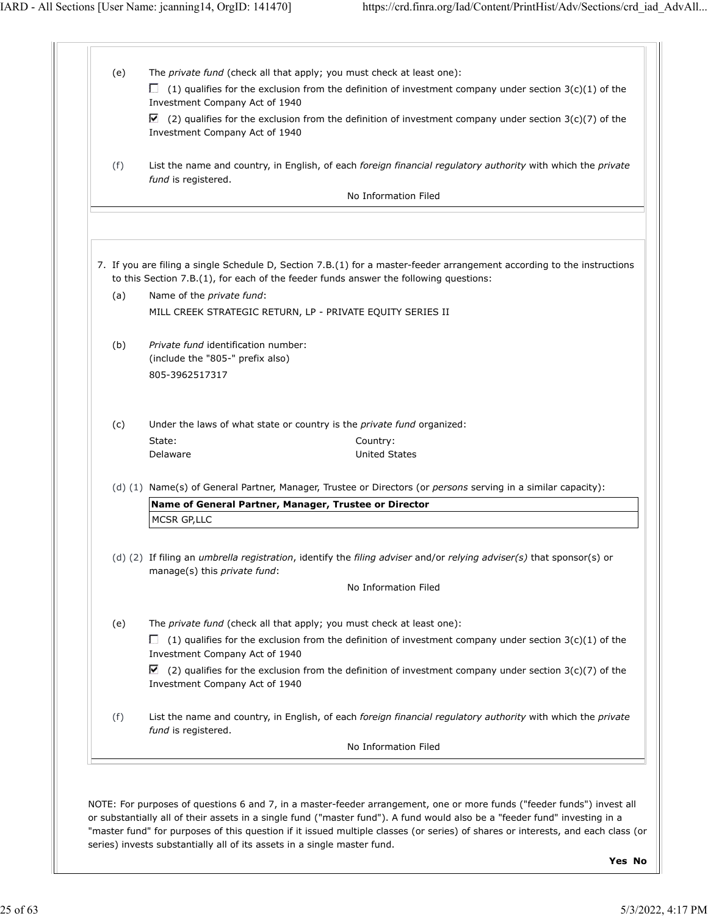$\mathbb{R}$ 

|     | Investment Company Act of 1940                                                                                                                                                                                   |
|-----|------------------------------------------------------------------------------------------------------------------------------------------------------------------------------------------------------------------|
|     |                                                                                                                                                                                                                  |
|     | $\blacksquare$ (2) qualifies for the exclusion from the definition of investment company under section 3(c)(7) of the<br>Investment Company Act of 1940                                                          |
| (f) | List the name and country, in English, of each foreign financial regulatory authority with which the private<br>fund is registered.                                                                              |
|     | No Information Filed                                                                                                                                                                                             |
|     |                                                                                                                                                                                                                  |
|     | 7. If you are filing a single Schedule D, Section 7.B.(1) for a master-feeder arrangement according to the instructions<br>to this Section 7.B.(1), for each of the feeder funds answer the following questions: |
| (a) | Name of the private fund:                                                                                                                                                                                        |
|     | MILL CREEK STRATEGIC RETURN, LP - PRIVATE EQUITY SERIES II                                                                                                                                                       |
| (b) | Private fund identification number:<br>(include the "805-" prefix also)                                                                                                                                          |
|     | 805-3962517317                                                                                                                                                                                                   |
|     |                                                                                                                                                                                                                  |
| (c) | Under the laws of what state or country is the <i>private fund</i> organized:                                                                                                                                    |
|     | State:<br>Country:                                                                                                                                                                                               |
|     | Delaware<br><b>United States</b>                                                                                                                                                                                 |
|     | (d) (1) Name(s) of General Partner, Manager, Trustee or Directors (or persons serving in a similar capacity):                                                                                                    |
|     | Name of General Partner, Manager, Trustee or Director                                                                                                                                                            |
|     | MCSR GP,LLC                                                                                                                                                                                                      |
|     | (d) (2) If filing an umbrella registration, identify the filing adviser and/or relying adviser(s) that sponsor(s) or<br>manage(s) this private fund:                                                             |
|     | No Information Filed                                                                                                                                                                                             |
| (e) | The <i>private fund</i> (check all that apply; you must check at least one):                                                                                                                                     |
|     | ш<br>(1) qualifies for the exclusion from the definition of investment company under section $3(c)(1)$ of the<br>Investment Company Act of 1940                                                                  |
|     | (2) qualifies for the exclusion from the definition of investment company under section 3(c)(7) of the<br>Investment Company Act of 1940                                                                         |
| (f) | List the name and country, in English, of each foreign financial regulatory authority with which the private<br>fund is registered.                                                                              |
|     | No Information Filed                                                                                                                                                                                             |
|     |                                                                                                                                                                                                                  |
|     |                                                                                                                                                                                                                  |
|     | NOTE: For purposes of questions 6 and 7, in a master-feeder arrangement, one or more funds ("feeder funds") invest all                                                                                           |

**Yes No**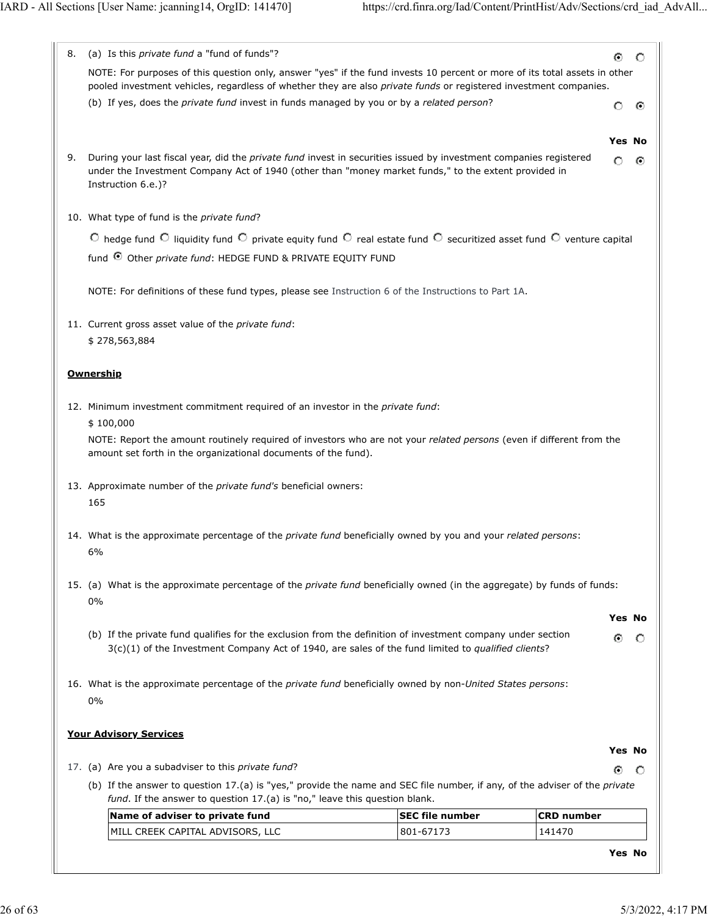| 8. | (a) Is this <i>private fund</i> a "fund of funds"?                                                                                                                                                                                              |                        | Θ                 | O             |
|----|-------------------------------------------------------------------------------------------------------------------------------------------------------------------------------------------------------------------------------------------------|------------------------|-------------------|---------------|
|    | NOTE: For purposes of this question only, answer "yes" if the fund invests 10 percent or more of its total assets in other<br>pooled investment vehicles, regardless of whether they are also private funds or registered investment companies. |                        |                   |               |
|    | (b) If yes, does the private fund invest in funds managed by you or by a related person?                                                                                                                                                        |                        | $\circ$           | ⊙             |
|    |                                                                                                                                                                                                                                                 |                        |                   | <b>Yes No</b> |
| 9. | During your last fiscal year, did the private fund invest in securities issued by investment companies registered                                                                                                                               |                        |                   |               |
|    | under the Investment Company Act of 1940 (other than "money market funds," to the extent provided in<br>Instruction 6.e.)?                                                                                                                      |                        | O                 | ⊙             |
|    | 10. What type of fund is the private fund?                                                                                                                                                                                                      |                        |                   |               |
|    | $\degree$ hedge fund $\degree$ liquidity fund $\degree$ private equity fund $\degree$ real estate fund $\degree$ securitized asset fund $\degree$ venture capital                                                                               |                        |                   |               |
|    | fund <sup>⊙</sup> Other <i>private fund</i> : HEDGE FUND & PRIVATE EQUITY FUND                                                                                                                                                                  |                        |                   |               |
|    | NOTE: For definitions of these fund types, please see Instruction 6 of the Instructions to Part 1A.                                                                                                                                             |                        |                   |               |
|    | 11. Current gross asset value of the private fund:                                                                                                                                                                                              |                        |                   |               |
|    | \$278,563,884                                                                                                                                                                                                                                   |                        |                   |               |
|    | <b>Ownership</b>                                                                                                                                                                                                                                |                        |                   |               |
|    | 12. Minimum investment commitment required of an investor in the <i>private fund</i> :                                                                                                                                                          |                        |                   |               |
|    | \$100,000                                                                                                                                                                                                                                       |                        |                   |               |
|    | NOTE: Report the amount routinely required of investors who are not your related persons (even if different from the<br>amount set forth in the organizational documents of the fund).                                                          |                        |                   |               |
|    | 13. Approximate number of the <i>private fund's</i> beneficial owners:<br>165                                                                                                                                                                   |                        |                   |               |
|    | 14. What is the approximate percentage of the private fund beneficially owned by you and your related persons:<br>6%                                                                                                                            |                        |                   |               |
|    | 15. (a) What is the approximate percentage of the <i>private fund</i> beneficially owned (in the aggregate) by funds of funds:                                                                                                                  |                        |                   |               |
|    | $0\%$                                                                                                                                                                                                                                           |                        |                   |               |
|    |                                                                                                                                                                                                                                                 |                        |                   | <b>Yes No</b> |
|    | (b) If the private fund qualifies for the exclusion from the definition of investment company under section<br>$3(c)(1)$ of the Investment Company Act of 1940, are sales of the fund limited to qualified clients?                             |                        | Θ                 | О             |
|    | 16. What is the approximate percentage of the private fund beneficially owned by non-United States persons:                                                                                                                                     |                        |                   |               |
|    | 0%                                                                                                                                                                                                                                              |                        |                   |               |
|    | <b>Your Advisory Services</b>                                                                                                                                                                                                                   |                        |                   |               |
|    | 17. (a) Are you a subadviser to this <i>private fund</i> ?                                                                                                                                                                                      |                        |                   | Yes No        |
|    | (b) If the answer to question 17.(a) is "yes," provide the name and SEC file number, if any, of the adviser of the private                                                                                                                      |                        | Θ                 | O             |
|    | fund. If the answer to question 17.(a) is "no," leave this question blank.                                                                                                                                                                      |                        |                   |               |
|    |                                                                                                                                                                                                                                                 |                        |                   |               |
|    | Name of adviser to private fund                                                                                                                                                                                                                 | <b>SEC file number</b> | <b>CRD</b> number |               |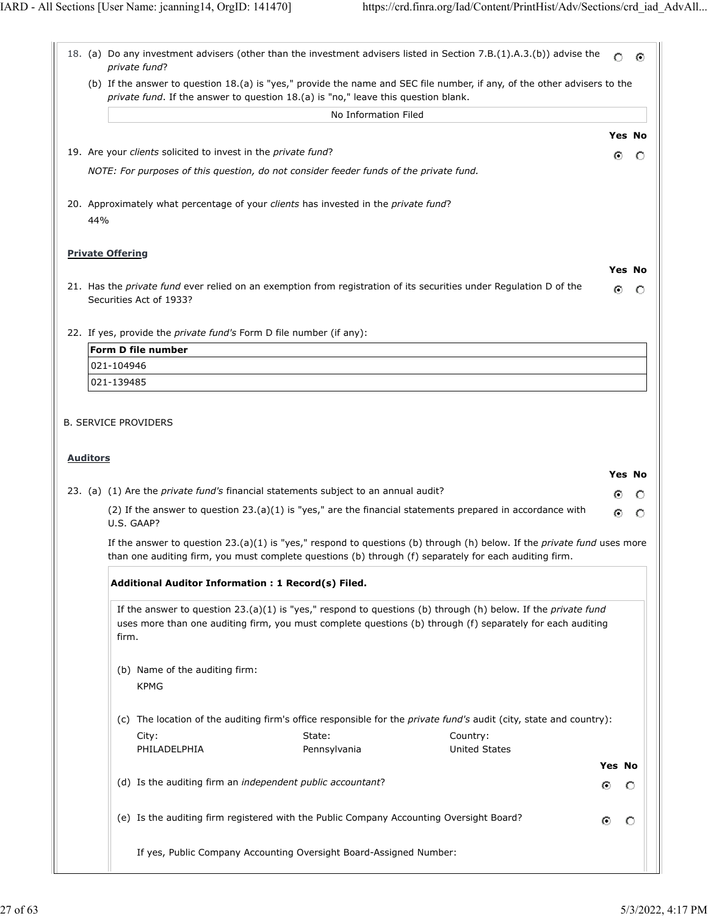|                 | 18. (a) Do any investment advisers (other than the investment advisers listed in Section 7.B.(1).A.3.(b)) advise the<br>private fund?                                                                                                         |               | ⊙ |
|-----------------|-----------------------------------------------------------------------------------------------------------------------------------------------------------------------------------------------------------------------------------------------|---------------|---|
|                 | (b) If the answer to question 18.(a) is "yes," provide the name and SEC file number, if any, of the other advisers to the<br>private fund. If the answer to question 18.(a) is "no," leave this question blank.                               |               |   |
|                 | No Information Filed                                                                                                                                                                                                                          |               |   |
|                 |                                                                                                                                                                                                                                               | Yes No        |   |
|                 | 19. Are your clients solicited to invest in the private fund?                                                                                                                                                                                 |               |   |
|                 | NOTE: For purposes of this question, do not consider feeder funds of the private fund.                                                                                                                                                        |               |   |
|                 |                                                                                                                                                                                                                                               |               |   |
| 44%             | 20. Approximately what percentage of your clients has invested in the private fund?                                                                                                                                                           |               |   |
|                 | <b>Private Offering</b>                                                                                                                                                                                                                       |               |   |
|                 |                                                                                                                                                                                                                                               | Yes No        |   |
|                 | 21. Has the private fund ever relied on an exemption from registration of its securities under Regulation D of the<br>Securities Act of 1933?                                                                                                 | Θ             | O |
|                 | 22. If yes, provide the <i>private fund's</i> Form D file number (if any):                                                                                                                                                                    |               |   |
|                 | Form D file number                                                                                                                                                                                                                            |               |   |
|                 | 021-104946                                                                                                                                                                                                                                    |               |   |
|                 | 021-139485                                                                                                                                                                                                                                    |               |   |
| <b>Auditors</b> | <b>B. SERVICE PROVIDERS</b>                                                                                                                                                                                                                   | Yes No        |   |
|                 | 23. (a) (1) Are the <i>private fund's</i> financial statements subject to an annual audit?                                                                                                                                                    | Θ             |   |
|                 | (2) If the answer to question $23.(a)(1)$ is "yes," are the financial statements prepared in accordance with<br>U.S. GAAP?                                                                                                                    | Θ             | O |
|                 | If the answer to question $23.(a)(1)$ is "yes," respond to questions (b) through (h) below. If the private fund uses more<br>than one auditing firm, you must complete questions (b) through (f) separately for each auditing firm.           |               |   |
|                 | Additional Auditor Information : 1 Record(s) Filed.                                                                                                                                                                                           |               |   |
|                 | If the answer to question $23.(a)(1)$ is "yes," respond to questions (b) through (h) below. If the <i>private fund</i><br>uses more than one auditing firm, you must complete questions (b) through (f) separately for each auditing<br>firm. |               |   |
|                 | (b) Name of the auditing firm:<br><b>KPMG</b>                                                                                                                                                                                                 |               |   |
|                 | (c) The location of the auditing firm's office responsible for the private fund's audit (city, state and country):<br>City:<br>State:<br>Country:<br>PHILADELPHIA<br><b>United States</b><br>Pennsylvania                                     |               |   |
|                 |                                                                                                                                                                                                                                               | <b>Yes No</b> |   |
|                 | (d) Is the auditing firm an independent public accountant?<br>Θ                                                                                                                                                                               |               |   |
|                 | (e) Is the auditing firm registered with the Public Company Accounting Oversight Board?<br>Θ                                                                                                                                                  |               |   |
|                 | If yes, Public Company Accounting Oversight Board-Assigned Number:                                                                                                                                                                            |               |   |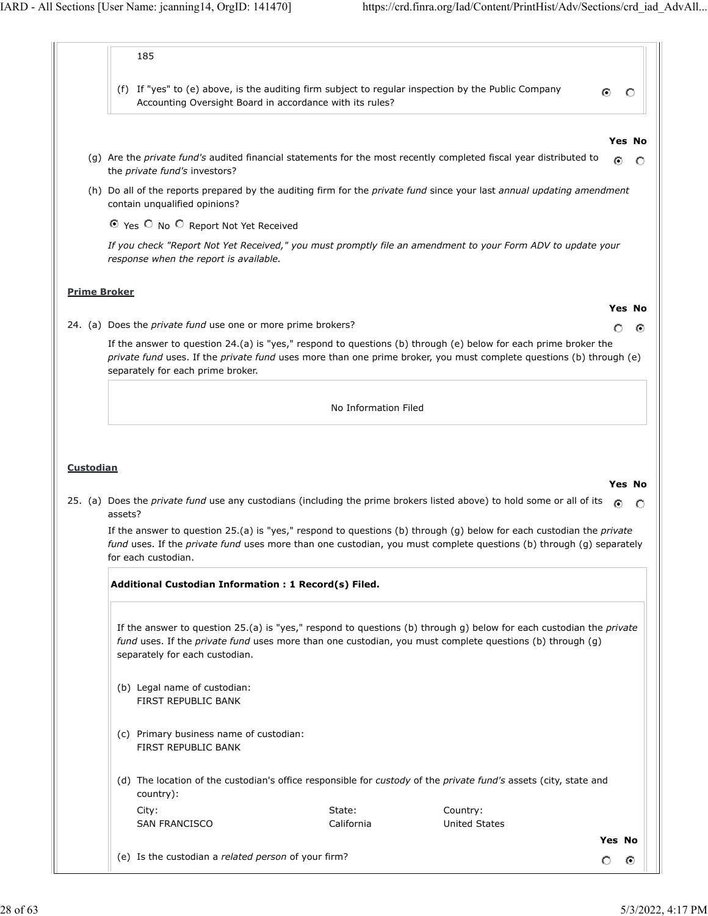|                     |         | 185                                                                 |                                                          |                                                                                                                                                                                                                                               |               |
|---------------------|---------|---------------------------------------------------------------------|----------------------------------------------------------|-----------------------------------------------------------------------------------------------------------------------------------------------------------------------------------------------------------------------------------------------|---------------|
|                     |         |                                                                     | Accounting Oversight Board in accordance with its rules? | (f) If "yes" to (e) above, is the auditing firm subject to regular inspection by the Public Company                                                                                                                                           | ⊙<br>C        |
|                     |         |                                                                     |                                                          |                                                                                                                                                                                                                                               | <b>Yes No</b> |
|                     |         | the private fund's investors?                                       |                                                          | (g) Are the private fund's audited financial statements for the most recently completed fiscal year distributed to                                                                                                                            | Θ<br>O        |
|                     |         | contain unqualified opinions?                                       |                                                          | (h) Do all of the reports prepared by the auditing firm for the private fund since your last annual updating amendment                                                                                                                        |               |
|                     |         | ⊙ Yes ○ No ○ Report Not Yet Received                                |                                                          |                                                                                                                                                                                                                                               |               |
|                     |         | response when the report is available.                              |                                                          | If you check "Report Not Yet Received," you must promptly file an amendment to your Form ADV to update your                                                                                                                                   |               |
| <b>Prime Broker</b> |         |                                                                     |                                                          |                                                                                                                                                                                                                                               | <b>Yes No</b> |
|                     |         | 24. (a) Does the <i>private fund</i> use one or more prime brokers? |                                                          |                                                                                                                                                                                                                                               | O<br>⊙        |
|                     |         | separately for each prime broker.                                   |                                                          | If the answer to question 24.(a) is "yes," respond to questions (b) through (e) below for each prime broker the<br>private fund uses. If the private fund uses more than one prime broker, you must complete questions (b) through (e)        |               |
|                     |         |                                                                     | No Information Filed                                     |                                                                                                                                                                                                                                               |               |
|                     |         |                                                                     |                                                          |                                                                                                                                                                                                                                               |               |
| <b>Custodian</b>    |         |                                                                     |                                                          |                                                                                                                                                                                                                                               | <b>Yes No</b> |
|                     | assets? |                                                                     |                                                          | 25. (a) Does the private fund use any custodians (including the prime brokers listed above) to hold some or all of its                                                                                                                        | Θ<br>O        |
|                     |         | for each custodian.                                                 |                                                          | If the answer to question $25.(a)$ is "yes," respond to questions (b) through (g) below for each custodian the private<br>fund uses. If the private fund uses more than one custodian, you must complete questions (b) through (g) separately |               |
|                     |         | Additional Custodian Information : 1 Record(s) Filed.               |                                                          |                                                                                                                                                                                                                                               |               |
|                     |         | separately for each custodian.                                      |                                                          | If the answer to question 25.(a) is "yes," respond to questions (b) through g) below for each custodian the private<br>fund uses. If the private fund uses more than one custodian, you must complete questions (b) through (g)               |               |
|                     |         | (b) Legal name of custodian:<br>FIRST REPUBLIC BANK                 |                                                          |                                                                                                                                                                                                                                               |               |
|                     |         | (c) Primary business name of custodian:<br>FIRST REPUBLIC BANK      |                                                          |                                                                                                                                                                                                                                               |               |
|                     |         | country):                                                           |                                                          | (d) The location of the custodian's office responsible for custody of the private fund's assets (city, state and                                                                                                                              |               |
|                     |         | City:<br><b>SAN FRANCISCO</b>                                       | State:<br>California                                     | Country:<br><b>United States</b>                                                                                                                                                                                                              |               |
|                     |         |                                                                     |                                                          |                                                                                                                                                                                                                                               | <b>Yes No</b> |
|                     |         | (e) Is the custodian a related person of your firm?                 |                                                          |                                                                                                                                                                                                                                               | O<br>Θ        |
|                     |         |                                                                     |                                                          |                                                                                                                                                                                                                                               |               |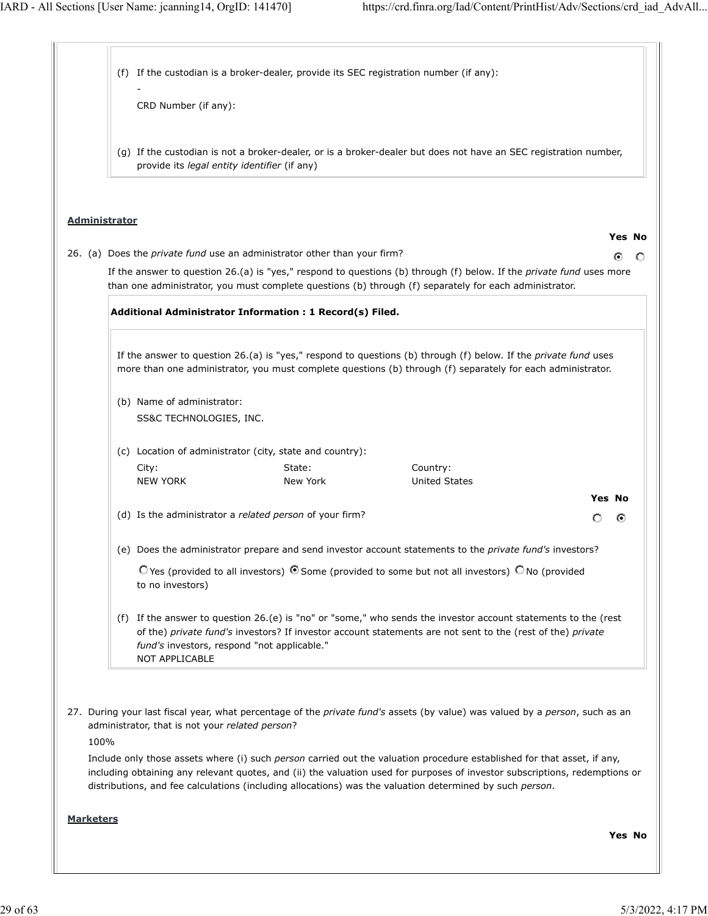|                      |                                                       |                                                                                 | (f) If the custodian is a broker-dealer, provide its SEC registration number (if any):                                                                                                                                                                                                                                                                             |               |
|----------------------|-------------------------------------------------------|---------------------------------------------------------------------------------|--------------------------------------------------------------------------------------------------------------------------------------------------------------------------------------------------------------------------------------------------------------------------------------------------------------------------------------------------------------------|---------------|
|                      | CRD Number (if any):                                  |                                                                                 |                                                                                                                                                                                                                                                                                                                                                                    |               |
|                      | provide its legal entity identifier (if any)          |                                                                                 | (g) If the custodian is not a broker-dealer, or is a broker-dealer but does not have an SEC registration number,                                                                                                                                                                                                                                                   |               |
| <u>Administrator</u> |                                                       |                                                                                 |                                                                                                                                                                                                                                                                                                                                                                    |               |
|                      |                                                       | 26. (a) Does the <i>private fund</i> use an administrator other than your firm? |                                                                                                                                                                                                                                                                                                                                                                    | <b>Yes No</b> |
|                      |                                                       |                                                                                 | If the answer to question 26.(a) is "yes," respond to questions (b) through (f) below. If the private fund uses more<br>than one administrator, you must complete questions (b) through (f) separately for each administrator.                                                                                                                                     |               |
|                      |                                                       | Additional Administrator Information : 1 Record(s) Filed.                       |                                                                                                                                                                                                                                                                                                                                                                    |               |
|                      |                                                       |                                                                                 | If the answer to question 26.(a) is "yes," respond to questions (b) through (f) below. If the private fund uses<br>more than one administrator, you must complete questions (b) through (f) separately for each administrator.                                                                                                                                     |               |
|                      | (b) Name of administrator:<br>SS&C TECHNOLOGIES, INC. |                                                                                 |                                                                                                                                                                                                                                                                                                                                                                    |               |
|                      |                                                       | (c) Location of administrator (city, state and country):                        |                                                                                                                                                                                                                                                                                                                                                                    |               |
|                      | City:<br><b>NEW YORK</b>                              | State:<br>New York                                                              | Country:<br><b>United States</b>                                                                                                                                                                                                                                                                                                                                   |               |
|                      |                                                       |                                                                                 |                                                                                                                                                                                                                                                                                                                                                                    | Yes No        |
|                      |                                                       | (d) Is the administrator a related person of your firm?                         |                                                                                                                                                                                                                                                                                                                                                                    | ⊙             |
|                      |                                                       |                                                                                 | (e) Does the administrator prepare and send investor account statements to the private fund's investors?                                                                                                                                                                                                                                                           |               |
|                      | to no investors)                                      |                                                                                 | $\bigcirc$ Yes (provided to all investors) $\bigcirc$ Some (provided to some but not all investors) $\bigcirc$ No (provided                                                                                                                                                                                                                                        |               |
|                      | NOT APPLICABLE                                        | fund's investors, respond "not applicable."                                     | (f) If the answer to question 26.(e) is "no" or "some," who sends the investor account statements to the (rest<br>of the) private fund's investors? If investor account statements are not sent to the (rest of the) private                                                                                                                                       |               |
|                      |                                                       |                                                                                 |                                                                                                                                                                                                                                                                                                                                                                    |               |
| 100%                 | administrator, that is not your related person?       |                                                                                 | 27. During your last fiscal year, what percentage of the private fund's assets (by value) was valued by a person, such as an                                                                                                                                                                                                                                       |               |
|                      |                                                       |                                                                                 | Include only those assets where (i) such person carried out the valuation procedure established for that asset, if any,<br>including obtaining any relevant quotes, and (ii) the valuation used for purposes of investor subscriptions, redemptions or<br>distributions, and fee calculations (including allocations) was the valuation determined by such person. |               |
| <b>Marketers</b>     |                                                       |                                                                                 |                                                                                                                                                                                                                                                                                                                                                                    | Yes No        |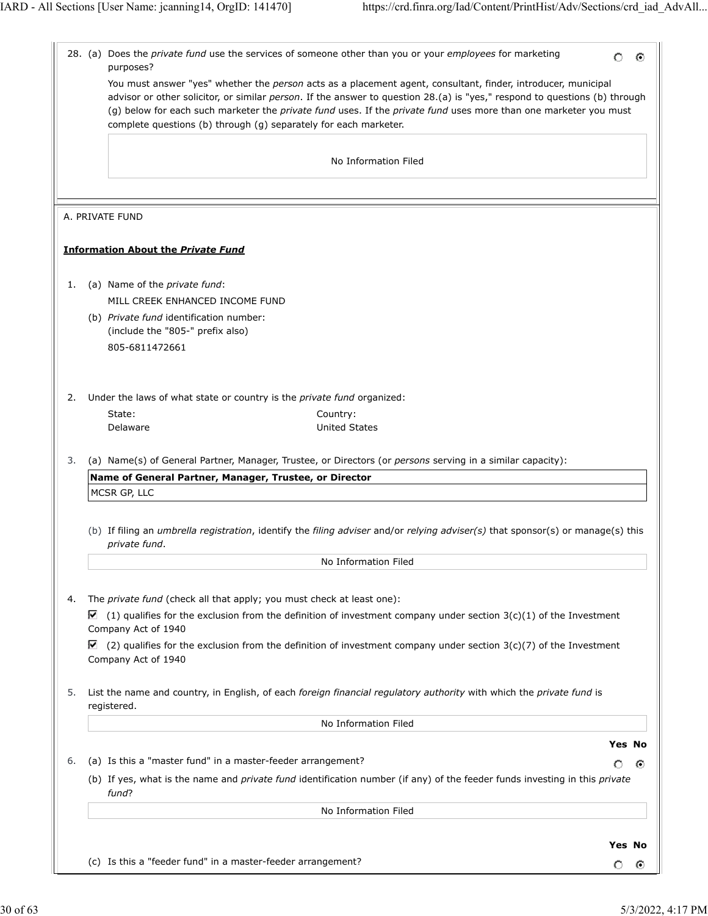|                | 28. (a) Does the private fund use the services of someone other than you or your employees for marketing<br>purposes?                                                                                                                                                                                                                                                                                                               | O             | € |
|----------------|-------------------------------------------------------------------------------------------------------------------------------------------------------------------------------------------------------------------------------------------------------------------------------------------------------------------------------------------------------------------------------------------------------------------------------------|---------------|---|
|                | You must answer "yes" whether the person acts as a placement agent, consultant, finder, introducer, municipal<br>advisor or other solicitor, or similar person. If the answer to question 28.(a) is "yes," respond to questions (b) through<br>(g) below for each such marketer the private fund uses. If the private fund uses more than one marketer you must<br>complete questions (b) through (g) separately for each marketer. |               |   |
|                | No Information Filed                                                                                                                                                                                                                                                                                                                                                                                                                |               |   |
|                | A. PRIVATE FUND                                                                                                                                                                                                                                                                                                                                                                                                                     |               |   |
|                | <b>Information About the Private Fund</b>                                                                                                                                                                                                                                                                                                                                                                                           |               |   |
| 1.             | (a) Name of the private fund:                                                                                                                                                                                                                                                                                                                                                                                                       |               |   |
|                | MILL CREEK ENHANCED INCOME FUND                                                                                                                                                                                                                                                                                                                                                                                                     |               |   |
|                | (b) Private fund identification number:                                                                                                                                                                                                                                                                                                                                                                                             |               |   |
|                | (include the "805-" prefix also)                                                                                                                                                                                                                                                                                                                                                                                                    |               |   |
|                | 805-6811472661                                                                                                                                                                                                                                                                                                                                                                                                                      |               |   |
| 2.             | Under the laws of what state or country is the <i>private fund</i> organized:                                                                                                                                                                                                                                                                                                                                                       |               |   |
|                | State:<br>Country:                                                                                                                                                                                                                                                                                                                                                                                                                  |               |   |
|                | Delaware<br><b>United States</b>                                                                                                                                                                                                                                                                                                                                                                                                    |               |   |
|                |                                                                                                                                                                                                                                                                                                                                                                                                                                     |               |   |
|                | Name of General Partner, Manager, Trustee, or Director<br>MCSR GP, LLC                                                                                                                                                                                                                                                                                                                                                              |               |   |
|                | (b) If filing an umbrella registration, identify the filing adviser and/or relying adviser(s) that sponsor(s) or manage(s) this<br>private fund.                                                                                                                                                                                                                                                                                    |               |   |
|                | No Information Filed                                                                                                                                                                                                                                                                                                                                                                                                                |               |   |
|                |                                                                                                                                                                                                                                                                                                                                                                                                                                     |               |   |
|                | The private fund (check all that apply; you must check at least one):                                                                                                                                                                                                                                                                                                                                                               |               |   |
| ↜              | (1) qualifies for the exclusion from the definition of investment company under section $3(c)(1)$ of the Investment                                                                                                                                                                                                                                                                                                                 |               |   |
|                | Company Act of 1940<br>(2) qualifies for the exclusion from the definition of investment company under section $3(c)(7)$ of the Investment<br>Company Act of 1940                                                                                                                                                                                                                                                                   |               |   |
|                | List the name and country, in English, of each foreign financial regulatory authority with which the private fund is<br>registered.                                                                                                                                                                                                                                                                                                 |               |   |
|                | No Information Filed                                                                                                                                                                                                                                                                                                                                                                                                                |               |   |
|                |                                                                                                                                                                                                                                                                                                                                                                                                                                     | <b>Yes No</b> |   |
|                | (a) Is this a "master fund" in a master-feeder arrangement?<br>(b) If yes, what is the name and private fund identification number (if any) of the feeder funds investing in this private                                                                                                                                                                                                                                           |               |   |
|                | fund?<br>No Information Filed                                                                                                                                                                                                                                                                                                                                                                                                       |               | ⊙ |
| 4.<br>5.<br>6. |                                                                                                                                                                                                                                                                                                                                                                                                                                     |               |   |
|                | (c) Is this a "feeder fund" in a master-feeder arrangement?                                                                                                                                                                                                                                                                                                                                                                         | <b>Yes No</b> |   |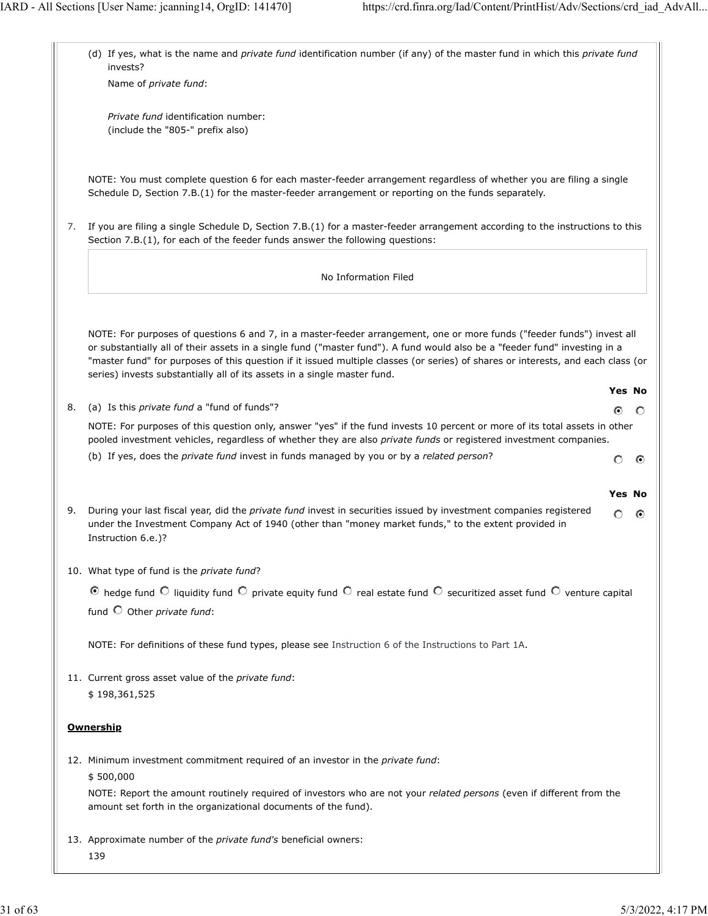|    | (d) If yes, what is the name and private fund identification number (if any) of the master fund in which this private fund<br>invests?                                                                                                                                                                                                                                                                                                                               |               |   |
|----|----------------------------------------------------------------------------------------------------------------------------------------------------------------------------------------------------------------------------------------------------------------------------------------------------------------------------------------------------------------------------------------------------------------------------------------------------------------------|---------------|---|
|    | Name of private fund:                                                                                                                                                                                                                                                                                                                                                                                                                                                |               |   |
|    | Private fund identification number:<br>(include the "805-" prefix also)                                                                                                                                                                                                                                                                                                                                                                                              |               |   |
|    | NOTE: You must complete question 6 for each master-feeder arrangement regardless of whether you are filing a single<br>Schedule D, Section 7.B.(1) for the master-feeder arrangement or reporting on the funds separately.                                                                                                                                                                                                                                           |               |   |
| 7. | If you are filing a single Schedule D, Section 7.B.(1) for a master-feeder arrangement according to the instructions to this<br>Section 7.B.(1), for each of the feeder funds answer the following questions:                                                                                                                                                                                                                                                        |               |   |
|    | No Information Filed                                                                                                                                                                                                                                                                                                                                                                                                                                                 |               |   |
|    | NOTE: For purposes of questions 6 and 7, in a master-feeder arrangement, one or more funds ("feeder funds") invest all<br>or substantially all of their assets in a single fund ("master fund"). A fund would also be a "feeder fund" investing in a<br>"master fund" for purposes of this question if it issued multiple classes (or series) of shares or interests, and each class (or<br>series) invests substantially all of its assets in a single master fund. | Yes No        |   |
| 8. | (a) Is this <i>private fund</i> a "fund of funds"?                                                                                                                                                                                                                                                                                                                                                                                                                   |               | O |
|    | NOTE: For purposes of this question only, answer "yes" if the fund invests 10 percent or more of its total assets in other                                                                                                                                                                                                                                                                                                                                           |               |   |
|    | pooled investment vehicles, regardless of whether they are also private funds or registered investment companies.<br>(b) If yes, does the private fund invest in funds managed by you or by a related person?                                                                                                                                                                                                                                                        | О             | ⊙ |
|    |                                                                                                                                                                                                                                                                                                                                                                                                                                                                      |               |   |
|    |                                                                                                                                                                                                                                                                                                                                                                                                                                                                      | <b>Yes No</b> |   |
| 9. | During your last fiscal year, did the private fund invest in securities issued by investment companies registered<br>under the Investment Company Act of 1940 (other than "money market funds," to the extent provided in<br>Instruction 6.e.)?                                                                                                                                                                                                                      | O             | ⊙ |
|    | 10. What type of fund is the private fund?                                                                                                                                                                                                                                                                                                                                                                                                                           |               |   |
|    | $\odot$ hedge fund $\odot$ liquidity fund $\odot$ private equity fund $\odot$ real estate fund $\odot$ securitized asset fund $\odot$ venture capital<br>fund $\bigcirc$ Other private fund:                                                                                                                                                                                                                                                                         |               |   |
|    | NOTE: For definitions of these fund types, please see Instruction 6 of the Instructions to Part 1A.                                                                                                                                                                                                                                                                                                                                                                  |               |   |
|    | 11. Current gross asset value of the private fund:<br>\$198,361,525                                                                                                                                                                                                                                                                                                                                                                                                  |               |   |
|    | <b>Ownership</b>                                                                                                                                                                                                                                                                                                                                                                                                                                                     |               |   |
|    | 12. Minimum investment commitment required of an investor in the private fund:<br>\$500,000                                                                                                                                                                                                                                                                                                                                                                          |               |   |
|    | NOTE: Report the amount routinely required of investors who are not your related persons (even if different from the<br>amount set forth in the organizational documents of the fund).                                                                                                                                                                                                                                                                               |               |   |
|    | 13. Approximate number of the private fund's beneficial owners:<br>139                                                                                                                                                                                                                                                                                                                                                                                               |               |   |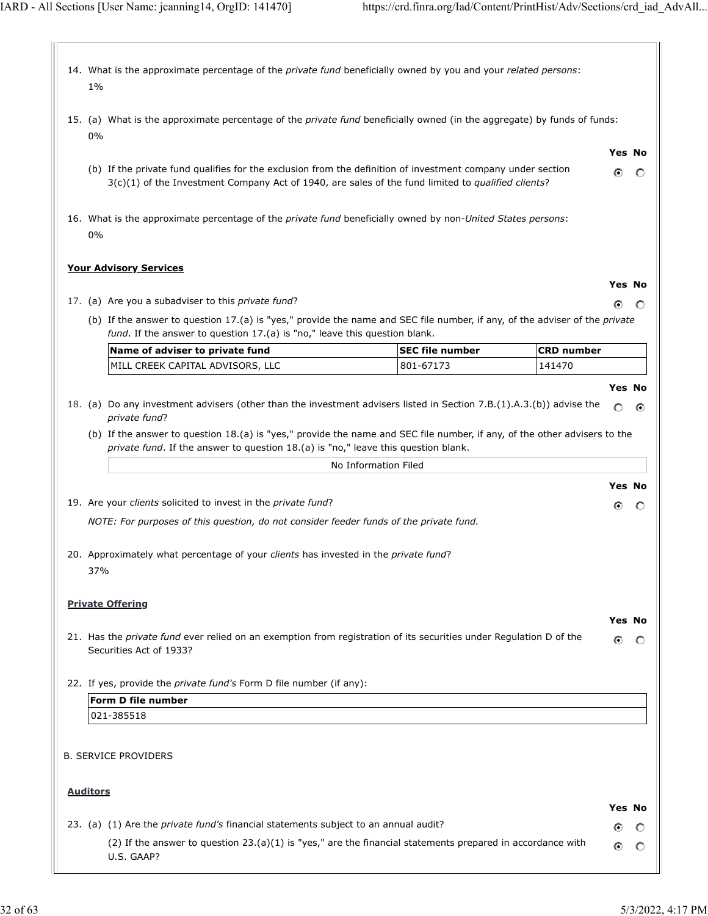| $1\%$           | 14. What is the approximate percentage of the private fund beneficially owned by you and your related persons:                                                                                                      |                        |                   |               |                  |
|-----------------|---------------------------------------------------------------------------------------------------------------------------------------------------------------------------------------------------------------------|------------------------|-------------------|---------------|------------------|
| 0%              | 15. (a) What is the approximate percentage of the <i>private fund</i> beneficially owned (in the aggregate) by funds of funds:                                                                                      |                        |                   |               |                  |
|                 |                                                                                                                                                                                                                     |                        |                   | <b>Yes No</b> |                  |
|                 | (b) If the private fund qualifies for the exclusion from the definition of investment company under section<br>$3(c)(1)$ of the Investment Company Act of 1940, are sales of the fund limited to qualified clients? |                        |                   | Θ             | O                |
| $0\%$           | 16. What is the approximate percentage of the private fund beneficially owned by non-United States persons:                                                                                                         |                        |                   |               |                  |
|                 | <b>Your Advisory Services</b>                                                                                                                                                                                       |                        |                   | <b>Yes No</b> |                  |
|                 | 17. (a) Are you a subadviser to this <i>private fund</i> ?                                                                                                                                                          |                        |                   |               | O                |
|                 | (b) If the answer to question 17.(a) is "yes," provide the name and SEC file number, if any, of the adviser of the private<br>fund. If the answer to question 17.(a) is "no," leave this question blank.            |                        |                   |               |                  |
|                 | Name of adviser to private fund                                                                                                                                                                                     | <b>SEC file number</b> | <b>CRD</b> number |               |                  |
|                 | MILL CREEK CAPITAL ADVISORS, LLC                                                                                                                                                                                    | 801-67173              | 141470            |               |                  |
|                 |                                                                                                                                                                                                                     |                        |                   | Yes No        |                  |
|                 | 18. (a) Do any investment advisers (other than the investment advisers listed in Section 7.B.(1).A.3.(b)) advise the                                                                                                |                        |                   | Ω             |                  |
|                 | private fund?                                                                                                                                                                                                       |                        |                   |               |                  |
|                 | (b) If the answer to question 18.(a) is "yes," provide the name and SEC file number, if any, of the other advisers to the<br>private fund. If the answer to question 18.(a) is "no," leave this question blank.     |                        |                   |               |                  |
|                 |                                                                                                                                                                                                                     | No Information Filed   |                   |               |                  |
|                 |                                                                                                                                                                                                                     |                        |                   | <b>Yes No</b> |                  |
|                 | 19. Are your clients solicited to invest in the private fund?                                                                                                                                                       |                        |                   | Θ             |                  |
|                 | NOTE: For purposes of this question, do not consider feeder funds of the private fund.                                                                                                                              |                        |                   |               |                  |
| 37%             | 20. Approximately what percentage of your clients has invested in the private fund?                                                                                                                                 |                        |                   |               |                  |
|                 | <b>Private Offering</b>                                                                                                                                                                                             |                        |                   |               |                  |
|                 |                                                                                                                                                                                                                     |                        |                   | <b>Yes No</b> |                  |
|                 | 21. Has the private fund ever relied on an exemption from registration of its securities under Regulation D of the<br>Securities Act of 1933?                                                                       |                        |                   | Θ             |                  |
|                 | 22. If yes, provide the private fund's Form D file number (if any):                                                                                                                                                 |                        |                   |               |                  |
|                 | Form D file number                                                                                                                                                                                                  |                        |                   |               |                  |
|                 | 021-385518                                                                                                                                                                                                          |                        |                   |               |                  |
|                 | <b>B. SERVICE PROVIDERS</b>                                                                                                                                                                                         |                        |                   |               |                  |
| <b>Auditors</b> |                                                                                                                                                                                                                     |                        |                   |               |                  |
|                 | 23. (a) (1) Are the <i>private fund's</i> financial statements subject to an annual audit?                                                                                                                          |                        |                   | <b>Yes No</b> | ⊙<br>O<br>O<br>O |
|                 | (2) If the answer to question 23.(a)(1) is "yes," are the financial statements prepared in accordance with                                                                                                          |                        |                   | Θ<br>Θ        | О                |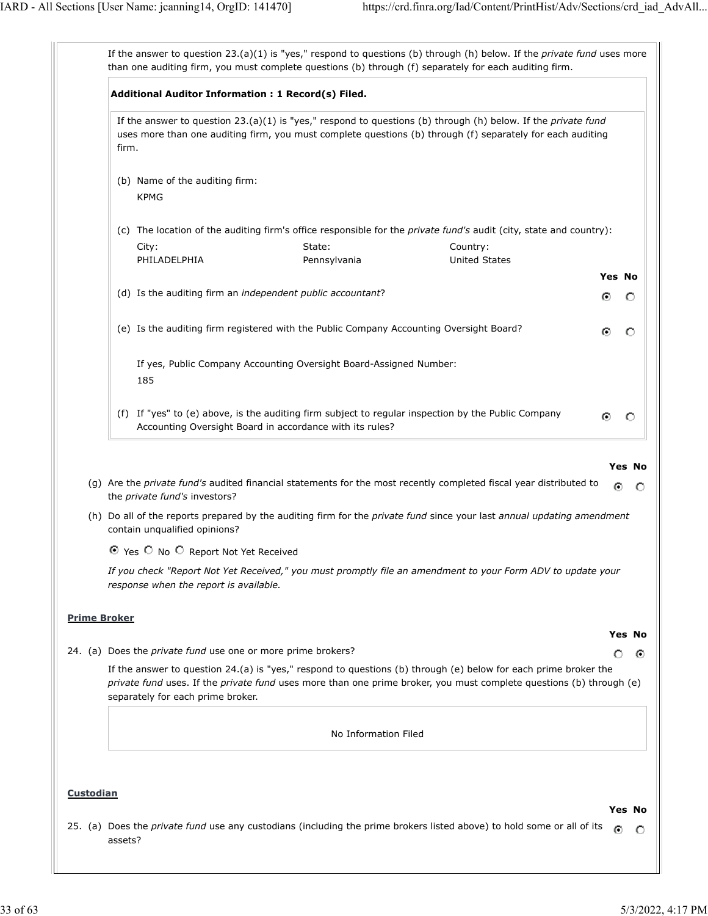|                  | Additional Auditor Information : 1 Record(s) Filed.                   |                                                                    |                                                                                                                                                                                                                                        |               |        |
|------------------|-----------------------------------------------------------------------|--------------------------------------------------------------------|----------------------------------------------------------------------------------------------------------------------------------------------------------------------------------------------------------------------------------------|---------------|--------|
|                  | firm.                                                                 |                                                                    | If the answer to question $23.(a)(1)$ is "yes," respond to questions (b) through (h) below. If the <i>private fund</i><br>uses more than one auditing firm, you must complete questions (b) through (f) separately for each auditing   |               |        |
|                  | (b) Name of the auditing firm:<br><b>KPMG</b>                         |                                                                    |                                                                                                                                                                                                                                        |               |        |
|                  | City:                                                                 | State:                                                             | (c) The location of the auditing firm's office responsible for the private fund's audit (city, state and country):<br>Country:                                                                                                         |               |        |
|                  | PHILADELPHIA                                                          | Pennsylvania                                                       | <b>United States</b>                                                                                                                                                                                                                   | <b>Yes No</b> |        |
|                  | (d) Is the auditing firm an independent public accountant?            |                                                                    |                                                                                                                                                                                                                                        | Θ             | С      |
|                  |                                                                       |                                                                    | (e) Is the auditing firm registered with the Public Company Accounting Oversight Board?                                                                                                                                                | Θ             | С      |
|                  | 185                                                                   | If yes, Public Company Accounting Oversight Board-Assigned Number: |                                                                                                                                                                                                                                        |               |        |
|                  |                                                                       | Accounting Oversight Board in accordance with its rules?           | (f) If "yes" to (e) above, is the auditing firm subject to regular inspection by the Public Company                                                                                                                                    | Θ             |        |
|                  | the private fund's investors?                                         |                                                                    | (g) Are the private fund's audited financial statements for the most recently completed fiscal year distributed to                                                                                                                     | Θ             | O      |
|                  | contain unqualified opinions?<br>⊙ Yes ○ No ○ Report Not Yet Received |                                                                    | (h) Do all of the reports prepared by the auditing firm for the private fund since your last annual updating amendment                                                                                                                 |               |        |
|                  | response when the report is available.                                |                                                                    | If you check "Report Not Yet Received," you must promptly file an amendment to your Form ADV to update your                                                                                                                            |               |        |
|                  | <b>Prime Broker</b>                                                   |                                                                    |                                                                                                                                                                                                                                        |               | Yes No |
|                  | 24. (a) Does the <i>private fund</i> use one or more prime brokers?   |                                                                    |                                                                                                                                                                                                                                        |               |        |
|                  | separately for each prime broker.                                     |                                                                    | If the answer to question 24.(a) is "yes," respond to questions (b) through (e) below for each prime broker the<br>private fund uses. If the private fund uses more than one prime broker, you must complete questions (b) through (e) | О             | ⊙      |
|                  |                                                                       | No Information Filed                                               |                                                                                                                                                                                                                                        |               |        |
| <b>Custodian</b> |                                                                       |                                                                    |                                                                                                                                                                                                                                        |               |        |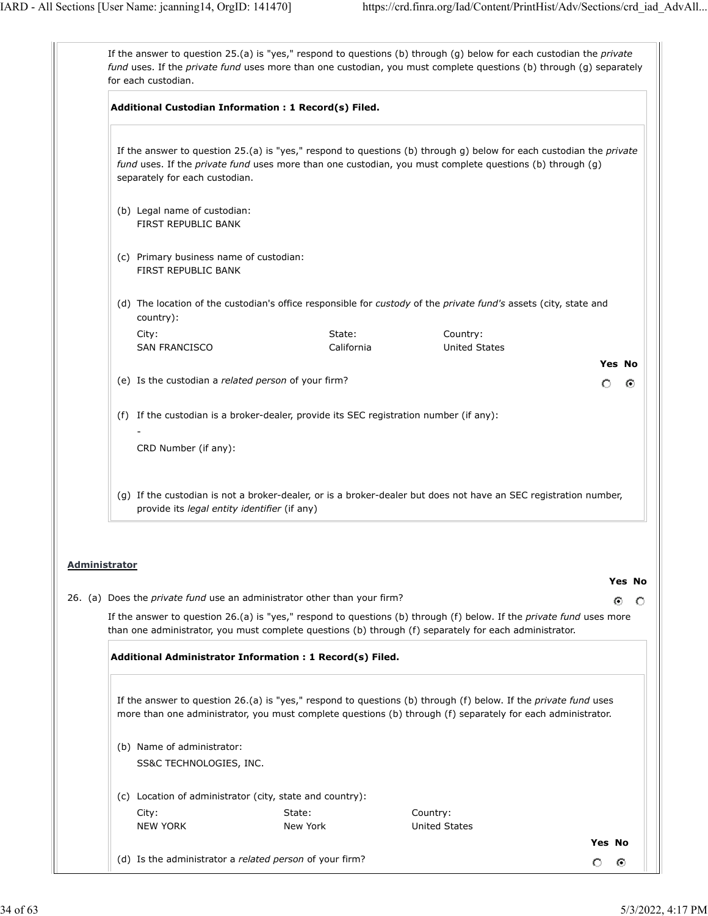| Additional Custodian Information : 1 Record(s) Filed.<br>If the answer to question $25.(a)$ is "yes," respond to questions (b) through g) below for each custodian the private<br>fund uses. If the private fund uses more than one custodian, you must complete questions (b) through (g)<br>separately for each custodian.<br>(b) Legal name of custodian:<br><b>FIRST REPUBLIC BANK</b><br>(c) Primary business name of custodian:<br>FIRST REPUBLIC BANK<br>(d) The location of the custodian's office responsible for custody of the private fund's assets (city, state and<br>country):<br>City:<br>State:<br>Country:<br><b>SAN FRANCISCO</b><br>California<br><b>United States</b><br><b>Yes No</b><br>(e) Is the custodian a related person of your firm?<br>(f) If the custodian is a broker-dealer, provide its SEC registration number (if any):<br>CRD Number (if any):<br>(g) If the custodian is not a broker-dealer, or is a broker-dealer but does not have an SEC registration number,<br>provide its legal entity identifier (if any)<br><b>Yes No</b><br>26. (a) Does the <i>private fund</i> use an administrator other than your firm?<br>Θ<br>If the answer to question 26.(a) is "yes," respond to questions (b) through (f) below. If the <i>private fund</i> uses more<br>than one administrator, you must complete questions (b) through (f) separately for each administrator.<br>Additional Administrator Information: 1 Record(s) Filed.<br>If the answer to question 26.(a) is "yes," respond to questions (b) through (f) below. If the private fund uses<br>more than one administrator, you must complete questions (b) through (f) separately for each administrator.<br>(b) Name of administrator:<br>SS&C TECHNOLOGIES, INC.<br>(c) Location of administrator (city, state and country):<br>State:<br>Country:<br>City:<br><b>NEW YORK</b><br>New York<br><b>United States</b><br><b>Yes No</b> |                      |  |  |
|--------------------------------------------------------------------------------------------------------------------------------------------------------------------------------------------------------------------------------------------------------------------------------------------------------------------------------------------------------------------------------------------------------------------------------------------------------------------------------------------------------------------------------------------------------------------------------------------------------------------------------------------------------------------------------------------------------------------------------------------------------------------------------------------------------------------------------------------------------------------------------------------------------------------------------------------------------------------------------------------------------------------------------------------------------------------------------------------------------------------------------------------------------------------------------------------------------------------------------------------------------------------------------------------------------------------------------------------------------------------------------------------------------------------------------------------------------------------------------------------------------------------------------------------------------------------------------------------------------------------------------------------------------------------------------------------------------------------------------------------------------------------------------------------------------------------------------------------------------------------------------------------------------------------------------------|----------------------|--|--|
|                                                                                                                                                                                                                                                                                                                                                                                                                                                                                                                                                                                                                                                                                                                                                                                                                                                                                                                                                                                                                                                                                                                                                                                                                                                                                                                                                                                                                                                                                                                                                                                                                                                                                                                                                                                                                                                                                                                                      |                      |  |  |
|                                                                                                                                                                                                                                                                                                                                                                                                                                                                                                                                                                                                                                                                                                                                                                                                                                                                                                                                                                                                                                                                                                                                                                                                                                                                                                                                                                                                                                                                                                                                                                                                                                                                                                                                                                                                                                                                                                                                      |                      |  |  |
|                                                                                                                                                                                                                                                                                                                                                                                                                                                                                                                                                                                                                                                                                                                                                                                                                                                                                                                                                                                                                                                                                                                                                                                                                                                                                                                                                                                                                                                                                                                                                                                                                                                                                                                                                                                                                                                                                                                                      |                      |  |  |
|                                                                                                                                                                                                                                                                                                                                                                                                                                                                                                                                                                                                                                                                                                                                                                                                                                                                                                                                                                                                                                                                                                                                                                                                                                                                                                                                                                                                                                                                                                                                                                                                                                                                                                                                                                                                                                                                                                                                      |                      |  |  |
|                                                                                                                                                                                                                                                                                                                                                                                                                                                                                                                                                                                                                                                                                                                                                                                                                                                                                                                                                                                                                                                                                                                                                                                                                                                                                                                                                                                                                                                                                                                                                                                                                                                                                                                                                                                                                                                                                                                                      |                      |  |  |
|                                                                                                                                                                                                                                                                                                                                                                                                                                                                                                                                                                                                                                                                                                                                                                                                                                                                                                                                                                                                                                                                                                                                                                                                                                                                                                                                                                                                                                                                                                                                                                                                                                                                                                                                                                                                                                                                                                                                      |                      |  |  |
|                                                                                                                                                                                                                                                                                                                                                                                                                                                                                                                                                                                                                                                                                                                                                                                                                                                                                                                                                                                                                                                                                                                                                                                                                                                                                                                                                                                                                                                                                                                                                                                                                                                                                                                                                                                                                                                                                                                                      |                      |  |  |
|                                                                                                                                                                                                                                                                                                                                                                                                                                                                                                                                                                                                                                                                                                                                                                                                                                                                                                                                                                                                                                                                                                                                                                                                                                                                                                                                                                                                                                                                                                                                                                                                                                                                                                                                                                                                                                                                                                                                      |                      |  |  |
|                                                                                                                                                                                                                                                                                                                                                                                                                                                                                                                                                                                                                                                                                                                                                                                                                                                                                                                                                                                                                                                                                                                                                                                                                                                                                                                                                                                                                                                                                                                                                                                                                                                                                                                                                                                                                                                                                                                                      |                      |  |  |
|                                                                                                                                                                                                                                                                                                                                                                                                                                                                                                                                                                                                                                                                                                                                                                                                                                                                                                                                                                                                                                                                                                                                                                                                                                                                                                                                                                                                                                                                                                                                                                                                                                                                                                                                                                                                                                                                                                                                      |                      |  |  |
|                                                                                                                                                                                                                                                                                                                                                                                                                                                                                                                                                                                                                                                                                                                                                                                                                                                                                                                                                                                                                                                                                                                                                                                                                                                                                                                                                                                                                                                                                                                                                                                                                                                                                                                                                                                                                                                                                                                                      |                      |  |  |
|                                                                                                                                                                                                                                                                                                                                                                                                                                                                                                                                                                                                                                                                                                                                                                                                                                                                                                                                                                                                                                                                                                                                                                                                                                                                                                                                                                                                                                                                                                                                                                                                                                                                                                                                                                                                                                                                                                                                      |                      |  |  |
|                                                                                                                                                                                                                                                                                                                                                                                                                                                                                                                                                                                                                                                                                                                                                                                                                                                                                                                                                                                                                                                                                                                                                                                                                                                                                                                                                                                                                                                                                                                                                                                                                                                                                                                                                                                                                                                                                                                                      | <b>Administrator</b> |  |  |
|                                                                                                                                                                                                                                                                                                                                                                                                                                                                                                                                                                                                                                                                                                                                                                                                                                                                                                                                                                                                                                                                                                                                                                                                                                                                                                                                                                                                                                                                                                                                                                                                                                                                                                                                                                                                                                                                                                                                      |                      |  |  |
|                                                                                                                                                                                                                                                                                                                                                                                                                                                                                                                                                                                                                                                                                                                                                                                                                                                                                                                                                                                                                                                                                                                                                                                                                                                                                                                                                                                                                                                                                                                                                                                                                                                                                                                                                                                                                                                                                                                                      |                      |  |  |
|                                                                                                                                                                                                                                                                                                                                                                                                                                                                                                                                                                                                                                                                                                                                                                                                                                                                                                                                                                                                                                                                                                                                                                                                                                                                                                                                                                                                                                                                                                                                                                                                                                                                                                                                                                                                                                                                                                                                      |                      |  |  |
|                                                                                                                                                                                                                                                                                                                                                                                                                                                                                                                                                                                                                                                                                                                                                                                                                                                                                                                                                                                                                                                                                                                                                                                                                                                                                                                                                                                                                                                                                                                                                                                                                                                                                                                                                                                                                                                                                                                                      |                      |  |  |
|                                                                                                                                                                                                                                                                                                                                                                                                                                                                                                                                                                                                                                                                                                                                                                                                                                                                                                                                                                                                                                                                                                                                                                                                                                                                                                                                                                                                                                                                                                                                                                                                                                                                                                                                                                                                                                                                                                                                      |                      |  |  |
|                                                                                                                                                                                                                                                                                                                                                                                                                                                                                                                                                                                                                                                                                                                                                                                                                                                                                                                                                                                                                                                                                                                                                                                                                                                                                                                                                                                                                                                                                                                                                                                                                                                                                                                                                                                                                                                                                                                                      |                      |  |  |
|                                                                                                                                                                                                                                                                                                                                                                                                                                                                                                                                                                                                                                                                                                                                                                                                                                                                                                                                                                                                                                                                                                                                                                                                                                                                                                                                                                                                                                                                                                                                                                                                                                                                                                                                                                                                                                                                                                                                      |                      |  |  |
| (d) Is the administrator a related person of your firm?                                                                                                                                                                                                                                                                                                                                                                                                                                                                                                                                                                                                                                                                                                                                                                                                                                                                                                                                                                                                                                                                                                                                                                                                                                                                                                                                                                                                                                                                                                                                                                                                                                                                                                                                                                                                                                                                              |                      |  |  |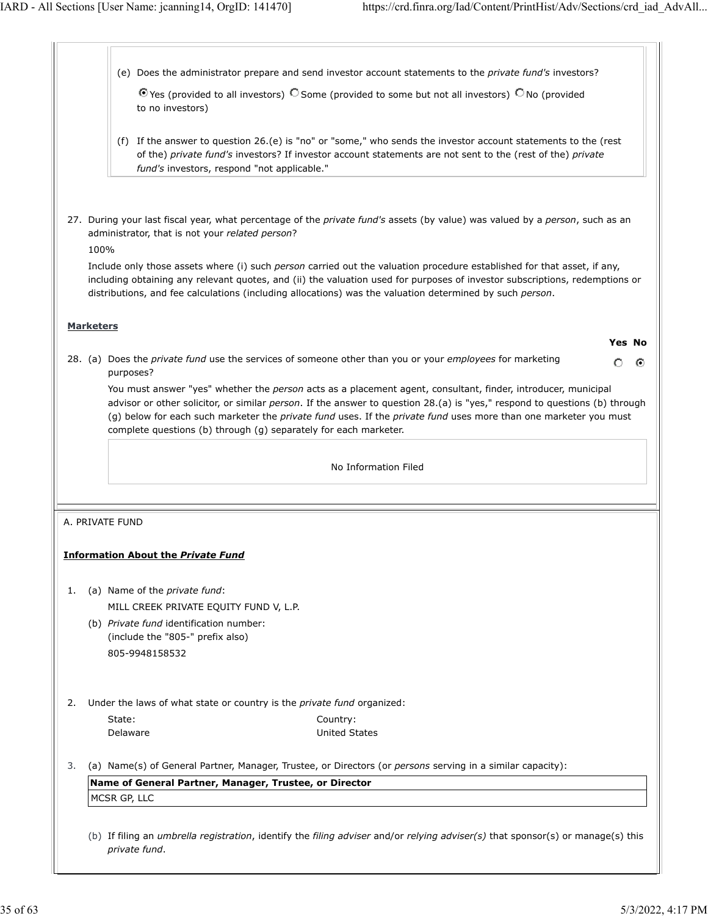IARD - All Sections [User Name: jcanning14, OrgID: 141470] https://crd.finra.org/Iad/Content/PrintHist/Adv/Sections/crd\_iad\_AdvAll... (e) Does the administrator prepare and send investor account statements to the *private fund's* investors? Yes (provided to all investors) Some (provided to some but not all investors) No (provided to no investors) (f) If the answer to question 26.(e) is "no" or "some," who sends the investor account statements to the (rest of the) *private fund's* investors? If investor account statements are not sent to the (rest of the) *private fund's* investors, respond "not applicable." 27. During your last fiscal year, what percentage of the *private fund's* assets (by value) was valued by a *person*, such as an administrator, that is not your *related person*? 100% Include only those assets where (i) such *person* carried out the valuation procedure established for that asset, if any, including obtaining any relevant quotes, and (ii) the valuation used for purposes of investor subscriptions, redemptions or distributions, and fee calculations (including allocations) was the valuation determined by such *person*. **Marketers Yes No** 28. (a) Does the *private fund* use the services of someone other than you or your *employees* for marketing  $\circ$   $\circ$ purposes? You must answer "yes" whether the *person* acts as a placement agent, consultant, finder, introducer, municipal advisor or other solicitor, or similar *person*. If the answer to question 28.(a) is "yes," respond to questions (b) through (g) below for each such marketer the *private fund* uses. If the *private fund* uses more than one marketer you must complete questions (b) through (g) separately for each marketer. No Information Filed A. PRIVATE FUND **Information About the** *Private Fund* 1. (a) Name of the *private fund*: MILL CREEK PRIVATE EQUITY FUND V, L.P. (b) *Private fund* identification number: (include the "805-" prefix also) 805-9948158532 2. Under the laws of what state or country is the *private fund* organized: State: Country: Delaware United States 3. (a) Name(s) of General Partner, Manager, Trustee, or Directors (or *persons* serving in a similar capacity): **Name of General Partner, Manager, Trustee, or Director** MCSR GP, LLC (b) If filing an *umbrella registration*, identify the *filing adviser* and/or *relying adviser(s)* that sponsor(s) or manage(s) this *private fund*.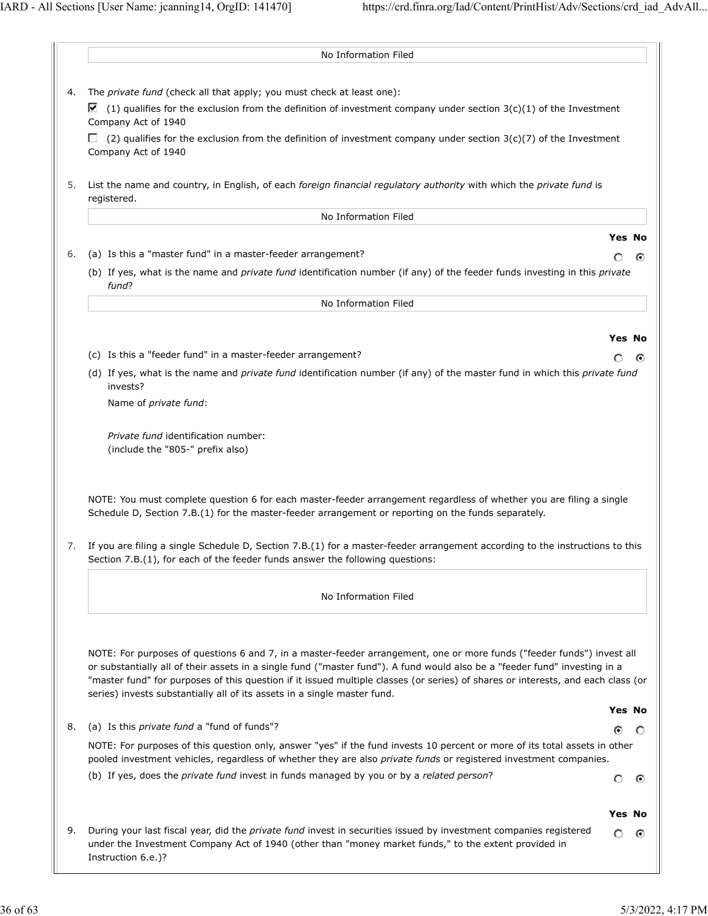|    | No Information Filed                                                                                                                                                                                                                                                                                                                                                                                                                                                 |               |               |
|----|----------------------------------------------------------------------------------------------------------------------------------------------------------------------------------------------------------------------------------------------------------------------------------------------------------------------------------------------------------------------------------------------------------------------------------------------------------------------|---------------|---------------|
| 4. | The <i>private fund</i> (check all that apply; you must check at least one):<br>$\blacksquare$ (1) qualifies for the exclusion from the definition of investment company under section 3(c)(1) of the Investment<br>Company Act of 1940                                                                                                                                                                                                                              |               |               |
|    | (2) qualifies for the exclusion from the definition of investment company under section $3(c)(7)$ of the Investment<br>Company Act of 1940                                                                                                                                                                                                                                                                                                                           |               |               |
| 5. | List the name and country, in English, of each foreign financial regulatory authority with which the private fund is<br>registered.                                                                                                                                                                                                                                                                                                                                  |               |               |
|    | No Information Filed                                                                                                                                                                                                                                                                                                                                                                                                                                                 |               |               |
|    |                                                                                                                                                                                                                                                                                                                                                                                                                                                                      | <b>Yes No</b> |               |
| 6. | (a) Is this a "master fund" in a master-feeder arrangement?                                                                                                                                                                                                                                                                                                                                                                                                          |               | ⊙             |
|    | (b) If yes, what is the name and private fund identification number (if any) of the feeder funds investing in this private<br>fund?                                                                                                                                                                                                                                                                                                                                  |               |               |
|    | No Information Filed                                                                                                                                                                                                                                                                                                                                                                                                                                                 |               |               |
|    |                                                                                                                                                                                                                                                                                                                                                                                                                                                                      |               | <b>Yes No</b> |
|    | (c) Is this a "feeder fund" in a master-feeder arrangement?                                                                                                                                                                                                                                                                                                                                                                                                          |               | ⊙             |
|    | (d) If yes, what is the name and private fund identification number (if any) of the master fund in which this private fund<br>invests?                                                                                                                                                                                                                                                                                                                               |               |               |
|    | Name of <i>private fund</i> :                                                                                                                                                                                                                                                                                                                                                                                                                                        |               |               |
|    | Private fund identification number:<br>(include the "805-" prefix also)                                                                                                                                                                                                                                                                                                                                                                                              |               |               |
|    | NOTE: You must complete question 6 for each master-feeder arrangement regardless of whether you are filing a single<br>Schedule D, Section 7.B.(1) for the master-feeder arrangement or reporting on the funds separately.                                                                                                                                                                                                                                           |               |               |
| 7. | If you are filing a single Schedule D, Section 7.B.(1) for a master-feeder arrangement according to the instructions to this<br>Section 7.B.(1), for each of the feeder funds answer the following questions:                                                                                                                                                                                                                                                        |               |               |
|    | No Information Filed                                                                                                                                                                                                                                                                                                                                                                                                                                                 |               |               |
|    | NOTE: For purposes of questions 6 and 7, in a master-feeder arrangement, one or more funds ("feeder funds") invest all<br>or substantially all of their assets in a single fund ("master fund"). A fund would also be a "feeder fund" investing in a<br>"master fund" for purposes of this question if it issued multiple classes (or series) of shares or interests, and each class (or<br>series) invests substantially all of its assets in a single master fund. |               |               |
|    |                                                                                                                                                                                                                                                                                                                                                                                                                                                                      |               | <b>Yes No</b> |
| 8. | (a) Is this <i>private fund</i> a "fund of funds"?                                                                                                                                                                                                                                                                                                                                                                                                                   |               |               |
|    | NOTE: For purposes of this question only, answer "yes" if the fund invests 10 percent or more of its total assets in other<br>pooled investment vehicles, regardless of whether they are also private funds or registered investment companies.                                                                                                                                                                                                                      |               |               |
|    | (b) If yes, does the private fund invest in funds managed by you or by a related person?                                                                                                                                                                                                                                                                                                                                                                             | Ω             | €             |
|    |                                                                                                                                                                                                                                                                                                                                                                                                                                                                      |               | <b>Yes No</b> |
| 9. | During your last fiscal year, did the private fund invest in securities issued by investment companies registered<br>under the Investment Company Act of 1940 (other than "money market funds," to the extent provided in<br>Instruction 6.e.)?                                                                                                                                                                                                                      | O             | $\bullet$     |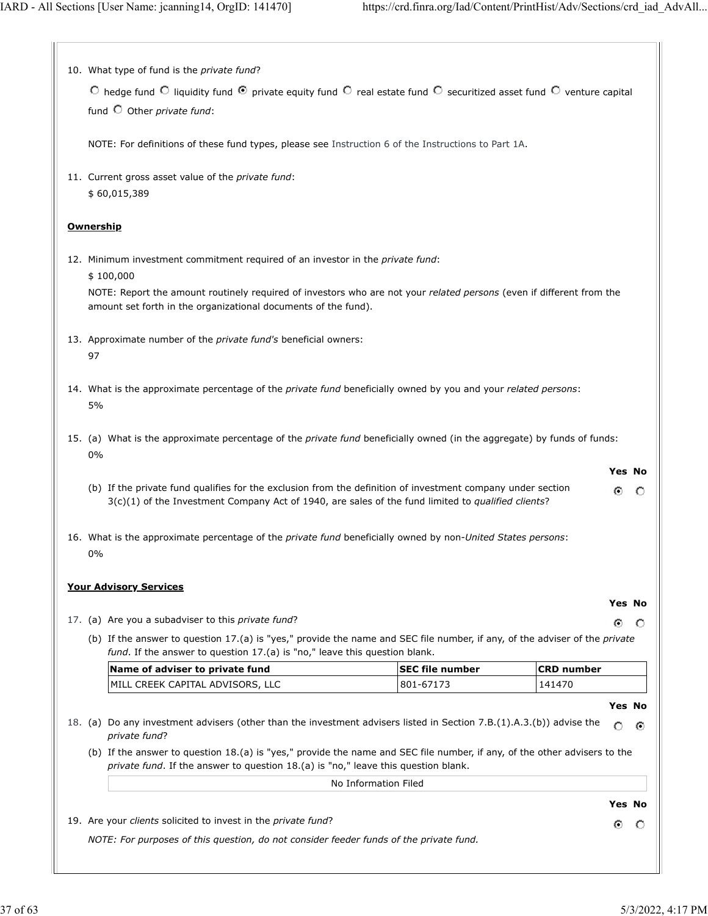10. What type of fund is the *private fund*?  $\degree$  hedge fund  $\degree$  liquidity fund  $\degree$  private equity fund  $\degree$  real estate fund  $\degree$  securitized asset fund  $\degree$  venture capital fund  $\bigcirc$  Other *private fund*: NOTE: For definitions of these fund types, please see Instruction 6 of the Instructions to Part 1A. 11. Current gross asset value of the *private fund*: \$ 60,015,389 **Ownership** 12. Minimum investment commitment required of an investor in the *private fund*: \$ 100,000 NOTE: Report the amount routinely required of investors who are not your *related persons* (even if different from the amount set forth in the organizational documents of the fund). 13. Approximate number of the *private fund's* beneficial owners: 97 14. What is the approximate percentage of the *private fund* beneficially owned by you and your *related persons*: 5% 15. (a) What is the approximate percentage of the *private fund* beneficially owned (in the aggregate) by funds of funds: 0% **Yes No** (b) If the private fund qualifies for the exclusion from the definition of investment company under section  $\odot$  $\circ$ 3(c)(1) of the Investment Company Act of 1940, are sales of the fund limited to *qualified clients*? 16. What is the approximate percentage of the *private fund* beneficially owned by non-*United States persons*: 0% **Your Advisory Services Yes No** 17. (a) Are you a subadviser to this *private fund*? ⊙  $\circ$ (b) If the answer to question 17.(a) is "yes," provide the name and SEC file number, if any, of the adviser of the *private fund*. If the answer to question 17.(a) is "no," leave this question blank. **Name of adviser to private fund SEC file number CRD number** MILL CREEK CAPITAL ADVISORS, LLC 801-67173 141470 **Yes No** 18. (a) Do any investment advisers (other than the investment advisers listed in Section 7.B.(1).A.3.(b)) advise the  $O$   $\odot$ *private fund*? (b) If the answer to question 18.(a) is "yes," provide the name and SEC file number, if any, of the other advisers to the *private fund*. If the answer to question 18.(a) is "no," leave this question blank. No Information Filed **Yes No** 19. Are your *clients* solicited to invest in the *private fund*?  $\circ$   $\circ$ *NOTE: For purposes of this question, do not consider feeder funds of the private fund.*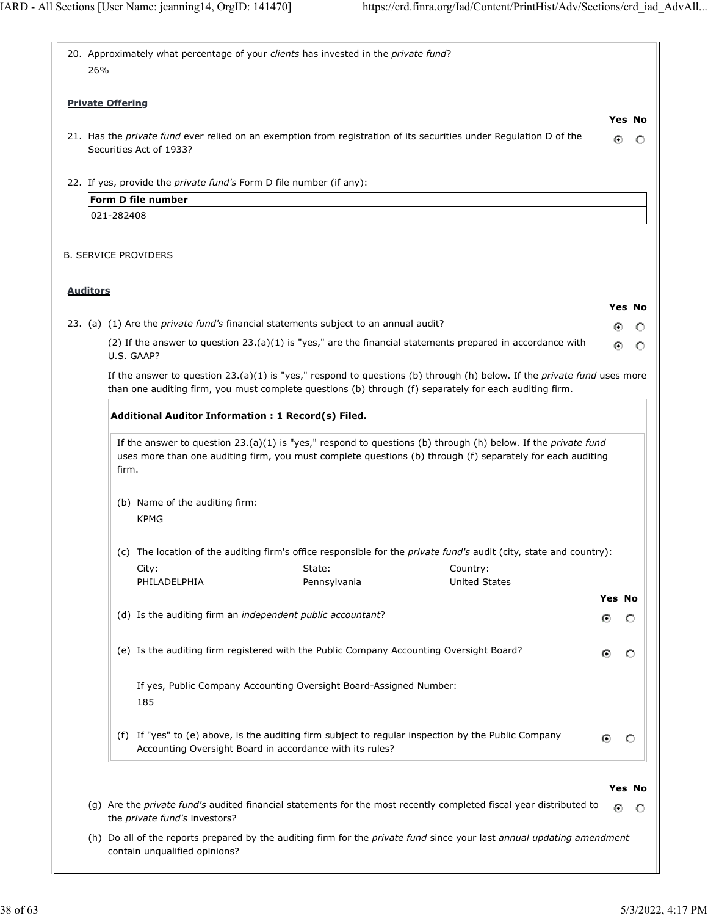|                 | 20. Approximately what percentage of your clients has invested in the private fund?<br>26%                                                                                                                                                                                                                     |                                  |                   |               |
|-----------------|----------------------------------------------------------------------------------------------------------------------------------------------------------------------------------------------------------------------------------------------------------------------------------------------------------------|----------------------------------|-------------------|---------------|
|                 | <b>Private Offering</b>                                                                                                                                                                                                                                                                                        |                                  |                   |               |
|                 | 21. Has the private fund ever relied on an exemption from registration of its securities under Regulation D of the<br>Securities Act of 1933?                                                                                                                                                                  |                                  | o                 | <b>Yes No</b> |
|                 | 22. If yes, provide the <i>private fund's</i> Form D file number (if any):                                                                                                                                                                                                                                     |                                  |                   |               |
|                 | Form D file number<br>021-282408                                                                                                                                                                                                                                                                               |                                  |                   |               |
|                 |                                                                                                                                                                                                                                                                                                                |                                  |                   |               |
|                 | <b>B. SERVICE PROVIDERS</b>                                                                                                                                                                                                                                                                                    |                                  |                   |               |
| <b>Auditors</b> |                                                                                                                                                                                                                                                                                                                |                                  |                   |               |
|                 |                                                                                                                                                                                                                                                                                                                |                                  |                   | <b>Yes No</b> |
|                 | 23. (a) (1) Are the <i>private fund's</i> financial statements subject to an annual audit?                                                                                                                                                                                                                     |                                  |                   |               |
|                 | (2) If the answer to question 23.(a)(1) is "yes," are the financial statements prepared in accordance with<br>U.S. GAAP?                                                                                                                                                                                       |                                  | Θ                 | O             |
|                 | If the answer to question $23.(a)(1)$ is "yes," respond to questions (b) through (h) below. If the private fund uses more<br>than one auditing firm, you must complete questions (b) through (f) separately for each auditing firm.                                                                            |                                  |                   |               |
|                 | Additional Auditor Information : 1 Record(s) Filed.                                                                                                                                                                                                                                                            |                                  |                   |               |
|                 | uses more than one auditing firm, you must complete questions (b) through (f) separately for each auditing<br>firm.<br>(b) Name of the auditing firm:<br><b>KPMG</b>                                                                                                                                           |                                  |                   |               |
|                 | (c) The location of the auditing firm's office responsible for the private fund's audit (city, state and country):                                                                                                                                                                                             |                                  |                   |               |
|                 | City:<br>State:<br>PHILADELPHIA<br>Pennsylvania                                                                                                                                                                                                                                                                | Country:<br><b>United States</b> |                   |               |
|                 | (d) Is the auditing firm an independent public accountant?                                                                                                                                                                                                                                                     |                                  | Yes No<br>$\odot$ |               |
|                 | (e) Is the auditing firm registered with the Public Company Accounting Oversight Board?                                                                                                                                                                                                                        |                                  | Θ                 |               |
|                 | If yes, Public Company Accounting Oversight Board-Assigned Number:<br>185                                                                                                                                                                                                                                      |                                  |                   |               |
|                 | If "yes" to (e) above, is the auditing firm subject to regular inspection by the Public Company<br>(f)<br>Accounting Oversight Board in accordance with its rules?                                                                                                                                             |                                  | Θ                 |               |
|                 | (g) Are the private fund's audited financial statements for the most recently completed fiscal year distributed to<br>the private fund's investors?<br>(h) Do all of the reports prepared by the auditing firm for the private fund since your last annual updating amendment<br>contain unqualified opinions? |                                  | Θ                 | Yes No        |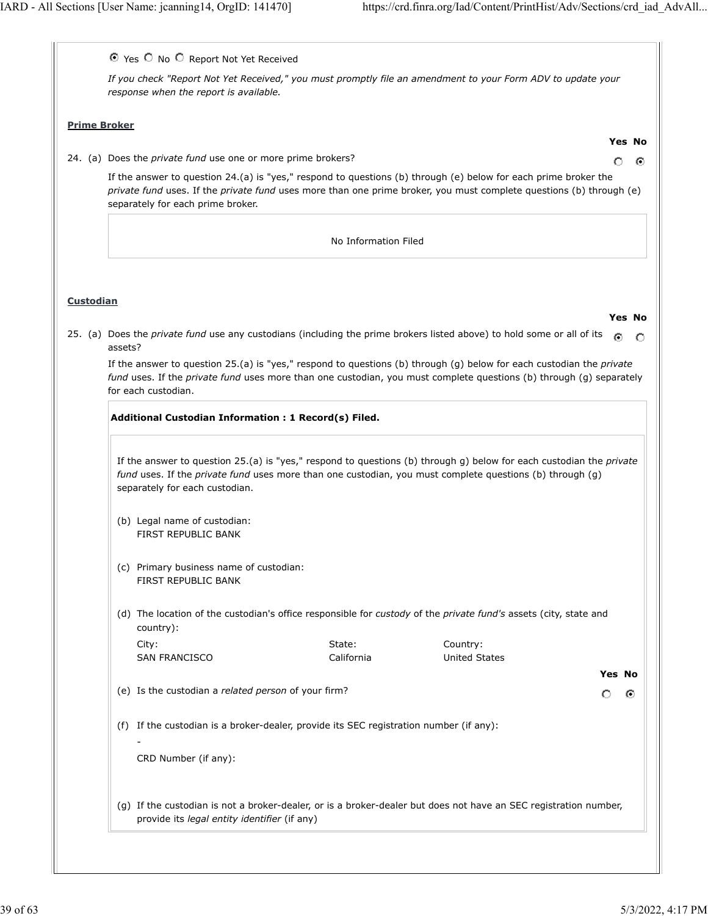⊙ Yes ○ No ○ Report Not Yet Received *If you check "Report Not Yet Received," you must promptly file an amendment to your Form ADV to update your response when the report is available.* **Prime Broker Yes No** 24. (a) Does the *private fund* use one or more prime brokers? O.  $\odot$ If the answer to question 24.(a) is "yes," respond to questions (b) through (e) below for each prime broker the *private fund* uses. If the *private fund* uses more than one prime broker, you must complete questions (b) through (e) separately for each prime broker. No Information Filed **Custodian Yes No** 25. (a) Does the *private fund* use any custodians (including the prime brokers listed above) to hold some or all of its  $\odot$ assets? If the answer to question 25.(a) is "yes," respond to questions (b) through (g) below for each custodian the *private fund* uses. If the *private fund* uses more than one custodian, you must complete questions (b) through (g) separately for each custodian. **Additional Custodian Information : 1 Record(s) Filed.** If the answer to question 25.(a) is "yes," respond to questions (b) through g) below for each custodian the *private fund* uses. If the *private fund* uses more than one custodian, you must complete questions (b) through (g) separately for each custodian. (b) Legal name of custodian: FIRST REPUBLIC BANK (c) Primary business name of custodian: FIRST REPUBLIC BANK (d) The location of the custodian's office responsible for *custody* of the *private fund's* assets (city, state and country): City: State: Country: SAN FRANCISCO California United States **Yes No** (e) Is the custodian a *related person* of your firm? ் ⊚ (f) If the custodian is a broker-dealer, provide its SEC registration number (if any): - CRD Number (if any): (g) If the custodian is not a broker-dealer, or is a broker-dealer but does not have an SEC registration number, provide its *legal entity identifier* (if any)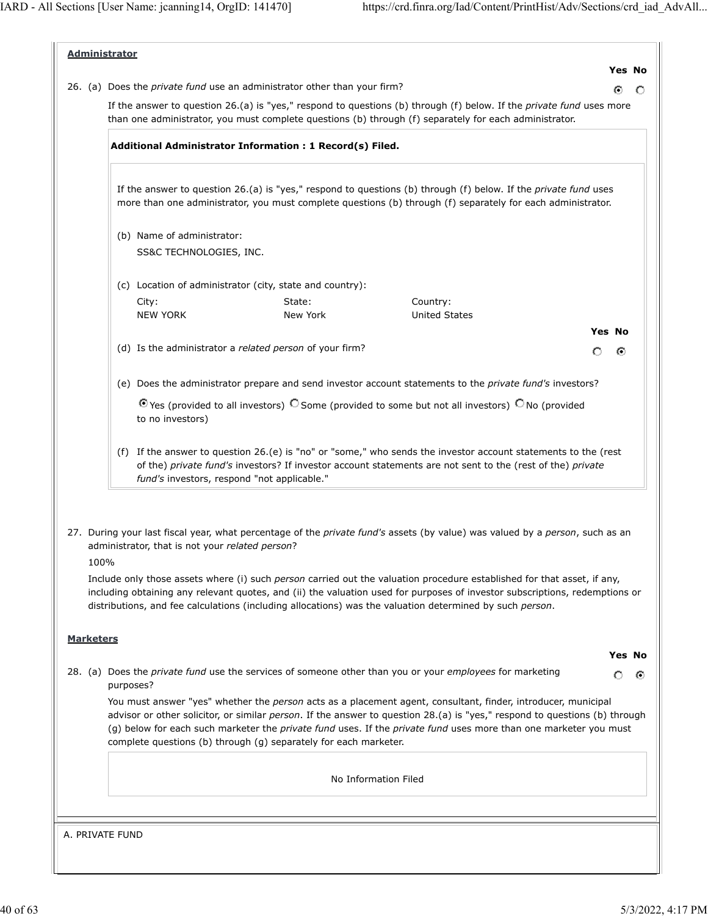|                  | 26. (a) Does the <i>private fund</i> use an administrator other than your firm? |                    |                                                                                                                                                                                                                                                                                                                                                                                                                                                                                                           | Θ<br>O                  |
|------------------|---------------------------------------------------------------------------------|--------------------|-----------------------------------------------------------------------------------------------------------------------------------------------------------------------------------------------------------------------------------------------------------------------------------------------------------------------------------------------------------------------------------------------------------------------------------------------------------------------------------------------------------|-------------------------|
|                  |                                                                                 |                    | If the answer to question 26.(a) is "yes," respond to questions (b) through (f) below. If the <i>private fund</i> uses more<br>than one administrator, you must complete questions (b) through (f) separately for each administrator.                                                                                                                                                                                                                                                                     |                         |
|                  | Additional Administrator Information : 1 Record(s) Filed.                       |                    |                                                                                                                                                                                                                                                                                                                                                                                                                                                                                                           |                         |
|                  |                                                                                 |                    | If the answer to question 26.(a) is "yes," respond to questions (b) through (f) below. If the private fund uses<br>more than one administrator, you must complete questions (b) through (f) separately for each administrator.                                                                                                                                                                                                                                                                            |                         |
|                  | (b) Name of administrator:<br>SS&C TECHNOLOGIES, INC.                           |                    |                                                                                                                                                                                                                                                                                                                                                                                                                                                                                                           |                         |
|                  | (c) Location of administrator (city, state and country):                        |                    |                                                                                                                                                                                                                                                                                                                                                                                                                                                                                                           |                         |
|                  | City:<br><b>NEW YORK</b>                                                        | State:<br>New York | Country:<br><b>United States</b>                                                                                                                                                                                                                                                                                                                                                                                                                                                                          |                         |
|                  | (d) Is the administrator a related person of your firm?                         |                    |                                                                                                                                                                                                                                                                                                                                                                                                                                                                                                           | <b>Yes No</b><br>о<br>⊙ |
|                  |                                                                                 |                    |                                                                                                                                                                                                                                                                                                                                                                                                                                                                                                           |                         |
|                  |                                                                                 |                    | (e) Does the administrator prepare and send investor account statements to the private fund's investors?<br>C Yes (provided to all investors) C Some (provided to some but not all investors) C No (provided                                                                                                                                                                                                                                                                                              |                         |
|                  | to no investors)                                                                |                    |                                                                                                                                                                                                                                                                                                                                                                                                                                                                                                           |                         |
|                  | fund's investors, respond "not applicable."                                     |                    | (f) If the answer to question 26.(e) is "no" or "some," who sends the investor account statements to the (rest<br>of the) private fund's investors? If investor account statements are not sent to the (rest of the) private                                                                                                                                                                                                                                                                              |                         |
|                  | administrator, that is not your related person?<br>100%                         |                    | 27. During your last fiscal year, what percentage of the private fund's assets (by value) was valued by a person, such as an<br>Include only those assets where (i) such <i>person</i> carried out the valuation procedure established for that asset, if any,<br>including obtaining any relevant quotes, and (ii) the valuation used for purposes of investor subscriptions, redemptions or<br>distributions, and fee calculations (including allocations) was the valuation determined by such person. |                         |
|                  |                                                                                 |                    |                                                                                                                                                                                                                                                                                                                                                                                                                                                                                                           | Yes No                  |
|                  | purposes?                                                                       |                    | 28. (a) Does the private fund use the services of someone other than you or your employees for marketing                                                                                                                                                                                                                                                                                                                                                                                                  | O<br>$\bullet$          |
|                  | complete questions (b) through (g) separately for each marketer.                |                    | You must answer "yes" whether the person acts as a placement agent, consultant, finder, introducer, municipal<br>advisor or other solicitor, or similar person. If the answer to question 28.(a) is "yes," respond to questions (b) through<br>(g) below for each such marketer the <i>private fund</i> uses. If the <i>private fund</i> uses more than one marketer you must                                                                                                                             |                         |
| <b>Marketers</b> |                                                                                 |                    | No Information Filed                                                                                                                                                                                                                                                                                                                                                                                                                                                                                      |                         |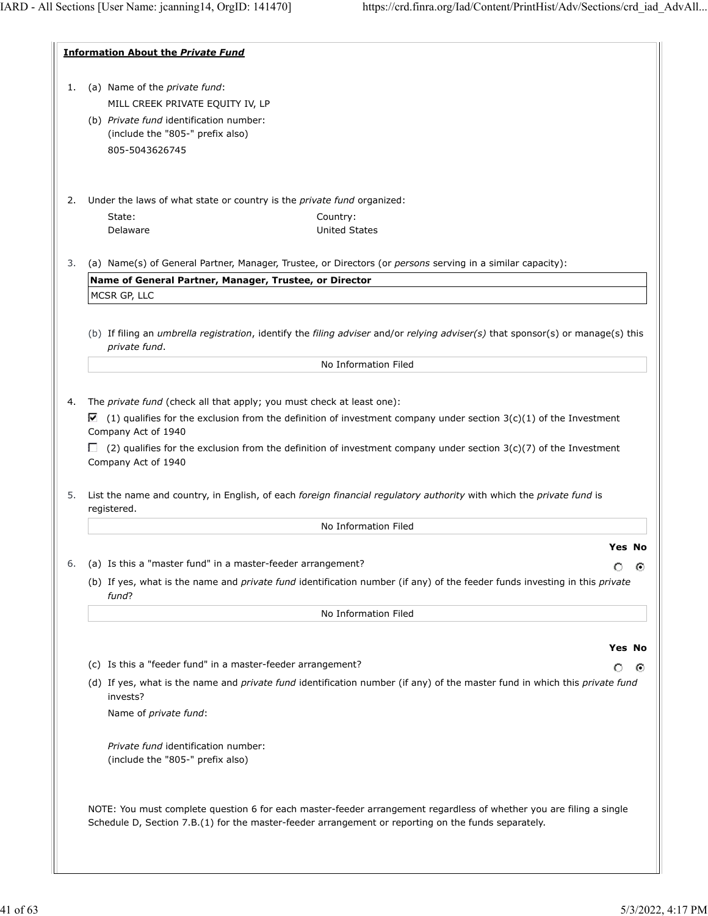|    | <b>Information About the Private Fund</b>                                                                                                                                  |                                                                                                                                 |               |
|----|----------------------------------------------------------------------------------------------------------------------------------------------------------------------------|---------------------------------------------------------------------------------------------------------------------------------|---------------|
| 1. | (a) Name of the <i>private fund</i> :<br>MILL CREEK PRIVATE EQUITY IV, LP<br>(b) Private fund identification number:<br>(include the "805-" prefix also)<br>805-5043626745 |                                                                                                                                 |               |
|    |                                                                                                                                                                            |                                                                                                                                 |               |
| 2. | State:<br>Delaware                                                                                                                                                         | Under the laws of what state or country is the private fund organized:<br>Country:<br><b>United States</b>                      |               |
| 3. |                                                                                                                                                                            | (a) Name(s) of General Partner, Manager, Trustee, or Directors (or persons serving in a similar capacity):                      |               |
|    |                                                                                                                                                                            | Name of General Partner, Manager, Trustee, or Director                                                                          |               |
|    | MCSR GP, LLC                                                                                                                                                               |                                                                                                                                 |               |
|    | private fund.                                                                                                                                                              | (b) If filing an umbrella registration, identify the filing adviser and/or relying adviser(s) that sponsor(s) or manage(s) this |               |
|    |                                                                                                                                                                            | No Information Filed                                                                                                            |               |
| 5. | Company Act of 1940<br>registered.                                                                                                                                         | List the name and country, in English, of each foreign financial regulatory authority with which the private fund is            |               |
|    |                                                                                                                                                                            | No Information Filed                                                                                                            |               |
|    |                                                                                                                                                                            |                                                                                                                                 | <b>Yes No</b> |
| 6. |                                                                                                                                                                            | (a) Is this a "master fund" in a master-feeder arrangement?                                                                     | G             |
|    | fund?                                                                                                                                                                      | (b) If yes, what is the name and private fund identification number (if any) of the feeder funds investing in this private      |               |
|    |                                                                                                                                                                            | No Information Filed                                                                                                            |               |
|    |                                                                                                                                                                            |                                                                                                                                 | <b>Yes No</b> |
|    |                                                                                                                                                                            | (c) Is this a "feeder fund" in a master-feeder arrangement?                                                                     | $\bullet$     |
|    | invests?                                                                                                                                                                   | (d) If yes, what is the name and private fund identification number (if any) of the master fund in which this private fund      |               |
|    | Name of private fund:                                                                                                                                                      |                                                                                                                                 |               |
|    | Private fund identification number:<br>(include the "805-" prefix also)                                                                                                    |                                                                                                                                 |               |
|    |                                                                                                                                                                            |                                                                                                                                 |               |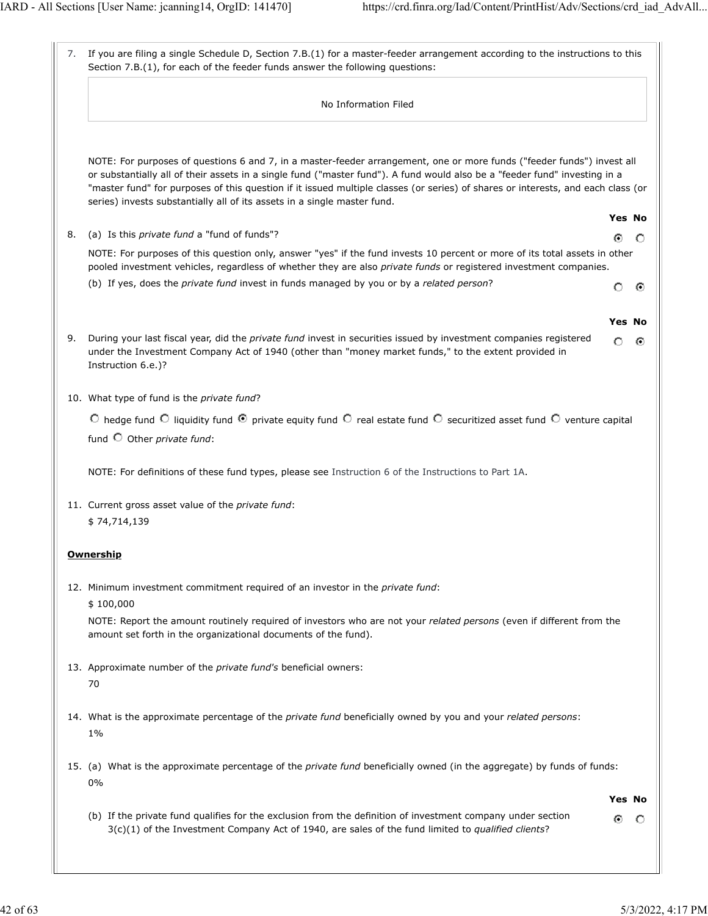|    | No Information Filed                                                                                                                                                                                                                                                                                                                                                                                                                                                 |               |   |
|----|----------------------------------------------------------------------------------------------------------------------------------------------------------------------------------------------------------------------------------------------------------------------------------------------------------------------------------------------------------------------------------------------------------------------------------------------------------------------|---------------|---|
|    | NOTE: For purposes of questions 6 and 7, in a master-feeder arrangement, one or more funds ("feeder funds") invest all<br>or substantially all of their assets in a single fund ("master fund"). A fund would also be a "feeder fund" investing in a<br>"master fund" for purposes of this question if it issued multiple classes (or series) of shares or interests, and each class (or<br>series) invests substantially all of its assets in a single master fund. |               |   |
|    |                                                                                                                                                                                                                                                                                                                                                                                                                                                                      | Yes No        |   |
| 8. | (a) Is this <i>private fund</i> a "fund of funds"?<br>NOTE: For purposes of this question only, answer "yes" if the fund invests 10 percent or more of its total assets in other<br>pooled investment vehicles, regardless of whether they are also private funds or registered investment companies.                                                                                                                                                                | Θ             | O |
|    | (b) If yes, does the private fund invest in funds managed by you or by a related person?                                                                                                                                                                                                                                                                                                                                                                             | $\circ$       | ⊙ |
|    |                                                                                                                                                                                                                                                                                                                                                                                                                                                                      | Yes No        |   |
| 9. | During your last fiscal year, did the private fund invest in securities issued by investment companies registered<br>under the Investment Company Act of 1940 (other than "money market funds," to the extent provided in<br>Instruction 6.e.)?                                                                                                                                                                                                                      | O             | ⊙ |
|    | 10. What type of fund is the private fund?                                                                                                                                                                                                                                                                                                                                                                                                                           |               |   |
|    | $\circ$ hedge fund $\circ$ liquidity fund $\circ$ private equity fund $\circ$ real estate fund $\circ$ securitized asset fund $\circ$ venture capital                                                                                                                                                                                                                                                                                                                |               |   |
|    | fund $\bigcirc$ Other private fund:                                                                                                                                                                                                                                                                                                                                                                                                                                  |               |   |
|    | NOTE: For definitions of these fund types, please see Instruction 6 of the Instructions to Part 1A.                                                                                                                                                                                                                                                                                                                                                                  |               |   |
|    | 11. Current gross asset value of the <i>private fund</i> :<br>\$74,714,139                                                                                                                                                                                                                                                                                                                                                                                           |               |   |
|    | <b>Ownership</b>                                                                                                                                                                                                                                                                                                                                                                                                                                                     |               |   |
|    | 12. Minimum investment commitment required of an investor in the <i>private fund</i> :<br>\$100,000                                                                                                                                                                                                                                                                                                                                                                  |               |   |
|    | NOTE: Report the amount routinely required of investors who are not your related persons (even if different from the<br>amount set forth in the organizational documents of the fund).                                                                                                                                                                                                                                                                               |               |   |
|    | 13. Approximate number of the <i>private fund's</i> beneficial owners:<br>70                                                                                                                                                                                                                                                                                                                                                                                         |               |   |
|    |                                                                                                                                                                                                                                                                                                                                                                                                                                                                      |               |   |
|    | 14. What is the approximate percentage of the private fund beneficially owned by you and your related persons:<br>$1\%$                                                                                                                                                                                                                                                                                                                                              |               |   |
|    | 15. (a) What is the approximate percentage of the <i>private fund</i> beneficially owned (in the aggregate) by funds of funds:<br>0%                                                                                                                                                                                                                                                                                                                                 | <b>Yes No</b> |   |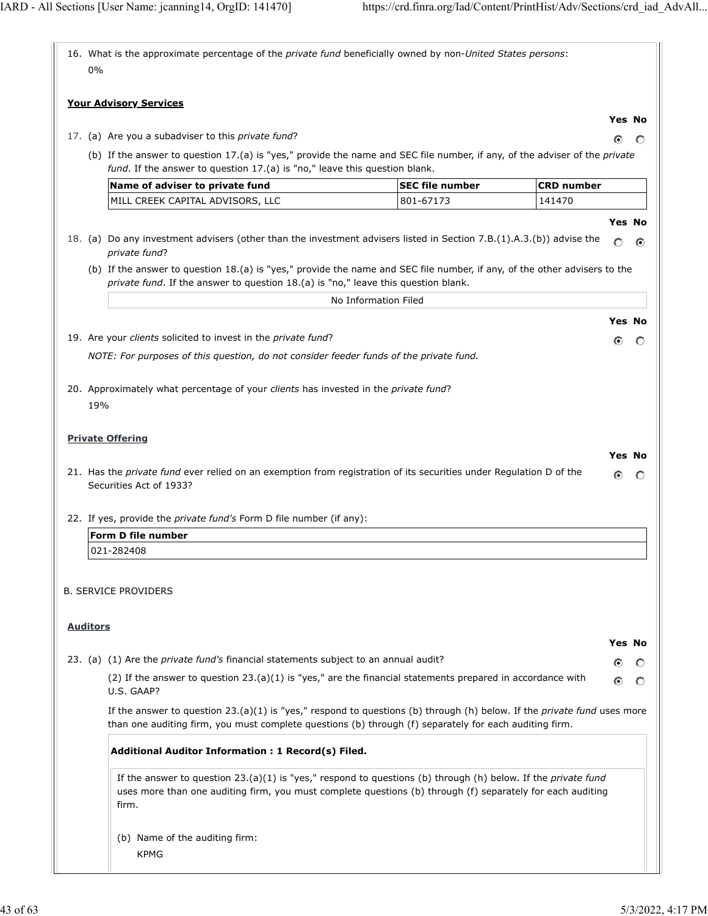| 0%              | 16. What is the approximate percentage of the private fund beneficially owned by non-United States persons:                                                                                                                 |                                                                                                                                                                                                                                      |               |   |
|-----------------|-----------------------------------------------------------------------------------------------------------------------------------------------------------------------------------------------------------------------------|--------------------------------------------------------------------------------------------------------------------------------------------------------------------------------------------------------------------------------------|---------------|---|
|                 | <b>Your Advisory Services</b>                                                                                                                                                                                               |                                                                                                                                                                                                                                      |               |   |
|                 |                                                                                                                                                                                                                             |                                                                                                                                                                                                                                      | <b>Yes No</b> |   |
|                 | 17. (a) Are you a subadviser to this <i>private fund</i> ?<br>fund. If the answer to question 17.(a) is "no," leave this question blank.                                                                                    | (b) If the answer to question 17.(a) is "yes," provide the name and SEC file number, if any, of the adviser of the private                                                                                                           |               |   |
|                 | Name of adviser to private fund                                                                                                                                                                                             | <b>SEC file number</b><br><b>CRD</b> number                                                                                                                                                                                          |               |   |
|                 | MILL CREEK CAPITAL ADVISORS, LLC                                                                                                                                                                                            | 801-67173<br>141470                                                                                                                                                                                                                  |               |   |
|                 |                                                                                                                                                                                                                             |                                                                                                                                                                                                                                      | <b>Yes No</b> |   |
|                 | private fund?                                                                                                                                                                                                               | 18. (a) Do any investment advisers (other than the investment advisers listed in Section 7.B.(1).A.3.(b)) advise the                                                                                                                 | O             | ⊙ |
|                 | private fund. If the answer to question 18.(a) is "no," leave this question blank.                                                                                                                                          | (b) If the answer to question 18.(a) is "yes," provide the name and SEC file number, if any, of the other advisers to the                                                                                                            |               |   |
|                 |                                                                                                                                                                                                                             | No Information Filed                                                                                                                                                                                                                 |               |   |
|                 |                                                                                                                                                                                                                             |                                                                                                                                                                                                                                      | Yes No        |   |
|                 | 19. Are your clients solicited to invest in the private fund?                                                                                                                                                               |                                                                                                                                                                                                                                      | Θ             |   |
|                 | NOTE: For purposes of this question, do not consider feeder funds of the private fund.                                                                                                                                      |                                                                                                                                                                                                                                      |               |   |
|                 | <b>Private Offering</b>                                                                                                                                                                                                     |                                                                                                                                                                                                                                      | <b>Yes No</b> |   |
|                 | 21. Has the private fund ever relied on an exemption from registration of its securities under Regulation D of the<br>Securities Act of 1933?<br>22. If yes, provide the <i>private fund's</i> Form D file number (if any): |                                                                                                                                                                                                                                      | $\odot$       |   |
|                 | Form D file number                                                                                                                                                                                                          |                                                                                                                                                                                                                                      |               |   |
|                 | 021-282408                                                                                                                                                                                                                  |                                                                                                                                                                                                                                      |               |   |
| <b>Auditors</b> | <b>B. SERVICE PROVIDERS</b>                                                                                                                                                                                                 |                                                                                                                                                                                                                                      | <b>Yes No</b> |   |
|                 | 23. (a) (1) Are the <i>private fund's</i> financial statements subject to an annual audit?                                                                                                                                  |                                                                                                                                                                                                                                      |               |   |
|                 | U.S. GAAP?                                                                                                                                                                                                                  | (2) If the answer to question $23.(a)(1)$ is "yes," are the financial statements prepared in accordance with                                                                                                                         | Θ             |   |
|                 | than one auditing firm, you must complete questions (b) through (f) separately for each auditing firm.                                                                                                                      | If the answer to question $23.(a)(1)$ is "yes," respond to questions (b) through (h) below. If the private fund uses more                                                                                                            |               |   |
|                 | Additional Auditor Information : 1 Record(s) Filed.                                                                                                                                                                         |                                                                                                                                                                                                                                      |               |   |
|                 | firm.                                                                                                                                                                                                                       | If the answer to question $23.(a)(1)$ is "yes," respond to questions (b) through (h) below. If the <i>private fund</i><br>uses more than one auditing firm, you must complete questions (b) through (f) separately for each auditing |               |   |
|                 | (b) Name of the auditing firm:<br><b>KPMG</b>                                                                                                                                                                               |                                                                                                                                                                                                                                      |               |   |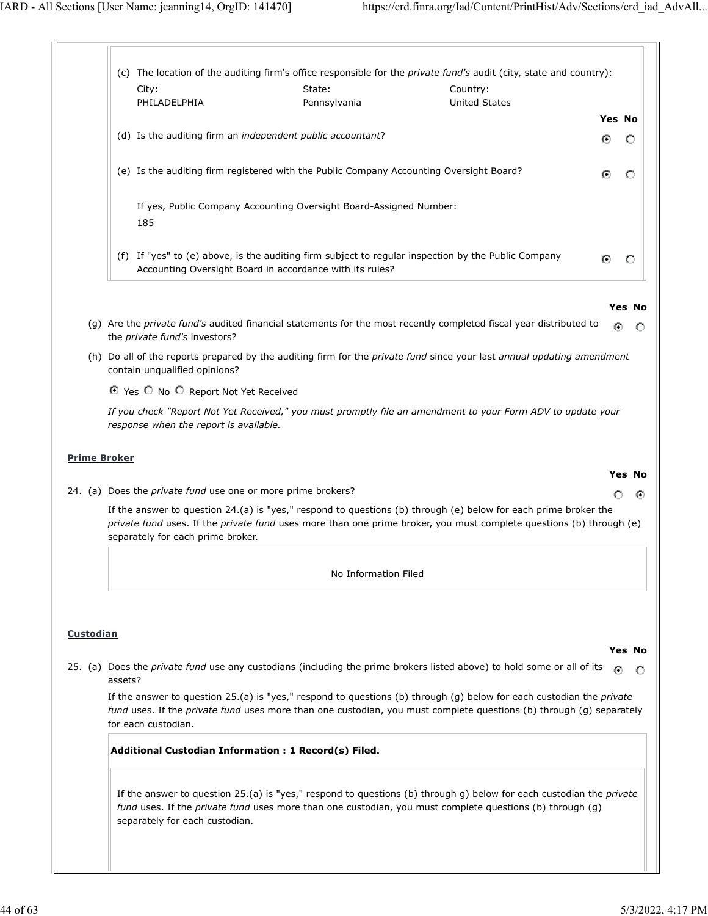|                     |                                                                     |                                                                                                                                                                 | (c) The location of the auditing firm's office responsible for the <i>private fund's</i> audit (city, state and country):                                                                                                                     |         |                    |
|---------------------|---------------------------------------------------------------------|-----------------------------------------------------------------------------------------------------------------------------------------------------------------|-----------------------------------------------------------------------------------------------------------------------------------------------------------------------------------------------------------------------------------------------|---------|--------------------|
|                     | City:<br>PHILADELPHIA                                               | State:<br>Pennsylvania                                                                                                                                          | Country:<br><b>United States</b>                                                                                                                                                                                                              |         |                    |
|                     |                                                                     |                                                                                                                                                                 |                                                                                                                                                                                                                                               | Yes No  |                    |
|                     |                                                                     | (d) Is the auditing firm an independent public accountant?                                                                                                      |                                                                                                                                                                                                                                               | Θ       |                    |
|                     |                                                                     | (e) Is the auditing firm registered with the Public Company Accounting Oversight Board?                                                                         |                                                                                                                                                                                                                                               | Θ       | C.                 |
|                     | 185                                                                 | If yes, Public Company Accounting Oversight Board-Assigned Number:                                                                                              |                                                                                                                                                                                                                                               |         |                    |
|                     |                                                                     | (f) If "yes" to (e) above, is the auditing firm subject to regular inspection by the Public Company<br>Accounting Oversight Board in accordance with its rules? |                                                                                                                                                                                                                                               | Θ       |                    |
|                     |                                                                     |                                                                                                                                                                 |                                                                                                                                                                                                                                               |         | <b>Yes No</b>      |
|                     | the <i>private fund's</i> investors?                                |                                                                                                                                                                 | (g) Are the private fund's audited financial statements for the most recently completed fiscal year distributed to                                                                                                                            | ⊙       | О                  |
|                     | contain unqualified opinions?                                       |                                                                                                                                                                 | (h) Do all of the reports prepared by the auditing firm for the private fund since your last annual updating amendment                                                                                                                        |         |                    |
|                     | ⊙ Yes ○ No ○ Report Not Yet Received                                |                                                                                                                                                                 |                                                                                                                                                                                                                                               |         |                    |
|                     | response when the report is available.                              |                                                                                                                                                                 | If you check "Report Not Yet Received," you must promptly file an amendment to your Form ADV to update your                                                                                                                                   |         |                    |
| <b>Prime Broker</b> |                                                                     |                                                                                                                                                                 |                                                                                                                                                                                                                                               |         |                    |
|                     |                                                                     |                                                                                                                                                                 |                                                                                                                                                                                                                                               |         | <b>Yes No</b>      |
|                     | 24. (a) Does the <i>private fund</i> use one or more prime brokers? |                                                                                                                                                                 |                                                                                                                                                                                                                                               |         | ⊙                  |
|                     | separately for each prime broker.                                   |                                                                                                                                                                 | If the answer to question 24.(a) is "yes," respond to questions (b) through (e) below for each prime broker the<br>private fund uses. If the private fund uses more than one prime broker, you must complete questions (b) through (e)        |         |                    |
|                     |                                                                     |                                                                                                                                                                 |                                                                                                                                                                                                                                               |         |                    |
|                     |                                                                     | No Information Filed                                                                                                                                            |                                                                                                                                                                                                                                               |         |                    |
|                     |                                                                     |                                                                                                                                                                 |                                                                                                                                                                                                                                               |         |                    |
|                     |                                                                     |                                                                                                                                                                 |                                                                                                                                                                                                                                               |         |                    |
| <b>Custodian</b>    |                                                                     |                                                                                                                                                                 | 25. (a) Does the private fund use any custodians (including the prime brokers listed above) to hold some or all of its                                                                                                                        | $\odot$ | <b>Yes No</b><br>O |
|                     | assets?<br>for each custodian.                                      |                                                                                                                                                                 | If the answer to question $25.(a)$ is "yes," respond to questions (b) through (g) below for each custodian the private<br>fund uses. If the private fund uses more than one custodian, you must complete questions (b) through (g) separately |         |                    |
|                     |                                                                     | Additional Custodian Information : 1 Record(s) Filed.                                                                                                           |                                                                                                                                                                                                                                               |         |                    |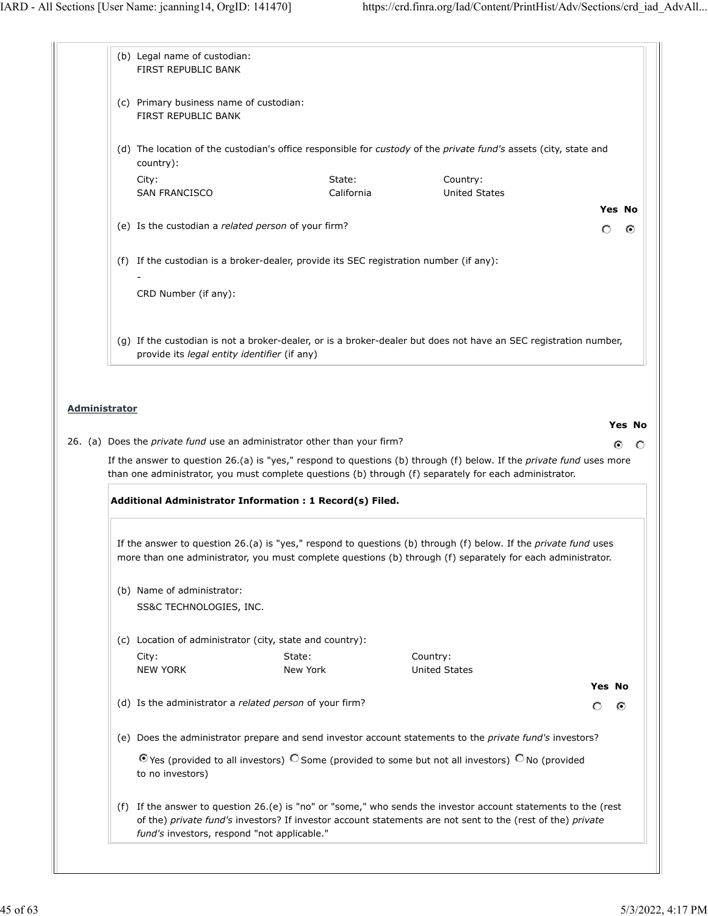|                      | (b) Legal name of custodian:<br>FIRST REPUBLIC BANK                                    |          |            |                                                                                                                                                                                                                                |                                                                                                                      |
|----------------------|----------------------------------------------------------------------------------------|----------|------------|--------------------------------------------------------------------------------------------------------------------------------------------------------------------------------------------------------------------------------|----------------------------------------------------------------------------------------------------------------------|
|                      |                                                                                        |          |            |                                                                                                                                                                                                                                |                                                                                                                      |
|                      | (c) Primary business name of custodian:<br><b>FIRST REPUBLIC BANK</b>                  |          |            |                                                                                                                                                                                                                                |                                                                                                                      |
|                      | country):                                                                              |          |            | (d) The location of the custodian's office responsible for custody of the private fund's assets (city, state and                                                                                                               |                                                                                                                      |
|                      | City:                                                                                  |          | State:     | Country:                                                                                                                                                                                                                       |                                                                                                                      |
|                      | <b>SAN FRANCISCO</b>                                                                   |          | California | <b>United States</b>                                                                                                                                                                                                           | <b>Yes No</b>                                                                                                        |
|                      | (e) Is the custodian a related person of your firm?                                    |          |            |                                                                                                                                                                                                                                | Ω<br>Θ                                                                                                               |
|                      | (f) If the custodian is a broker-dealer, provide its SEC registration number (if any): |          |            |                                                                                                                                                                                                                                |                                                                                                                      |
|                      | CRD Number (if any):                                                                   |          |            |                                                                                                                                                                                                                                |                                                                                                                      |
|                      |                                                                                        |          |            |                                                                                                                                                                                                                                |                                                                                                                      |
|                      | provide its legal entity identifier (if any)                                           |          |            |                                                                                                                                                                                                                                | (g) If the custodian is not a broker-dealer, or is a broker-dealer but does not have an SEC registration number,     |
|                      |                                                                                        |          |            |                                                                                                                                                                                                                                |                                                                                                                      |
|                      |                                                                                        |          |            |                                                                                                                                                                                                                                |                                                                                                                      |
|                      |                                                                                        |          |            |                                                                                                                                                                                                                                |                                                                                                                      |
| <b>Administrator</b> |                                                                                        |          |            |                                                                                                                                                                                                                                |                                                                                                                      |
|                      |                                                                                        |          |            |                                                                                                                                                                                                                                | <b>Yes No</b>                                                                                                        |
|                      | 26. (a) Does the <i>private fund</i> use an administrator other than your firm?        |          |            |                                                                                                                                                                                                                                |                                                                                                                      |
|                      |                                                                                        |          |            | than one administrator, you must complete questions (b) through (f) separately for each administrator.                                                                                                                         | If the answer to question 26.(a) is "yes," respond to questions (b) through (f) below. If the private fund uses more |
|                      |                                                                                        |          |            |                                                                                                                                                                                                                                |                                                                                                                      |
|                      | Additional Administrator Information : 1 Record(s) Filed.                              |          |            |                                                                                                                                                                                                                                |                                                                                                                      |
|                      |                                                                                        |          |            |                                                                                                                                                                                                                                |                                                                                                                      |
|                      |                                                                                        |          |            | If the answer to question 26.(a) is "yes," respond to questions (b) through (f) below. If the private fund uses<br>more than one administrator, you must complete questions (b) through (f) separately for each administrator. |                                                                                                                      |
|                      |                                                                                        |          |            |                                                                                                                                                                                                                                |                                                                                                                      |
|                      | (b) Name of administrator:                                                             |          |            |                                                                                                                                                                                                                                |                                                                                                                      |
|                      | SS&C TECHNOLOGIES, INC.                                                                |          |            |                                                                                                                                                                                                                                |                                                                                                                      |
|                      |                                                                                        |          |            |                                                                                                                                                                                                                                |                                                                                                                      |
|                      | (c) Location of administrator (city, state and country):<br>City:                      | State:   |            | Country:                                                                                                                                                                                                                       |                                                                                                                      |
|                      | <b>NEW YORK</b>                                                                        | New York |            | <b>United States</b>                                                                                                                                                                                                           |                                                                                                                      |
|                      |                                                                                        |          |            |                                                                                                                                                                                                                                | <b>Yes No</b>                                                                                                        |
|                      | (d) Is the administrator a related person of your firm?                                |          |            |                                                                                                                                                                                                                                | O<br>⊙                                                                                                               |
|                      |                                                                                        |          |            | (e) Does the administrator prepare and send investor account statements to the private fund's investors?                                                                                                                       |                                                                                                                      |
|                      | to no investors)                                                                       |          |            | C Yes (provided to all investors) C Some (provided to some but not all investors) C No (provided                                                                                                                               |                                                                                                                      |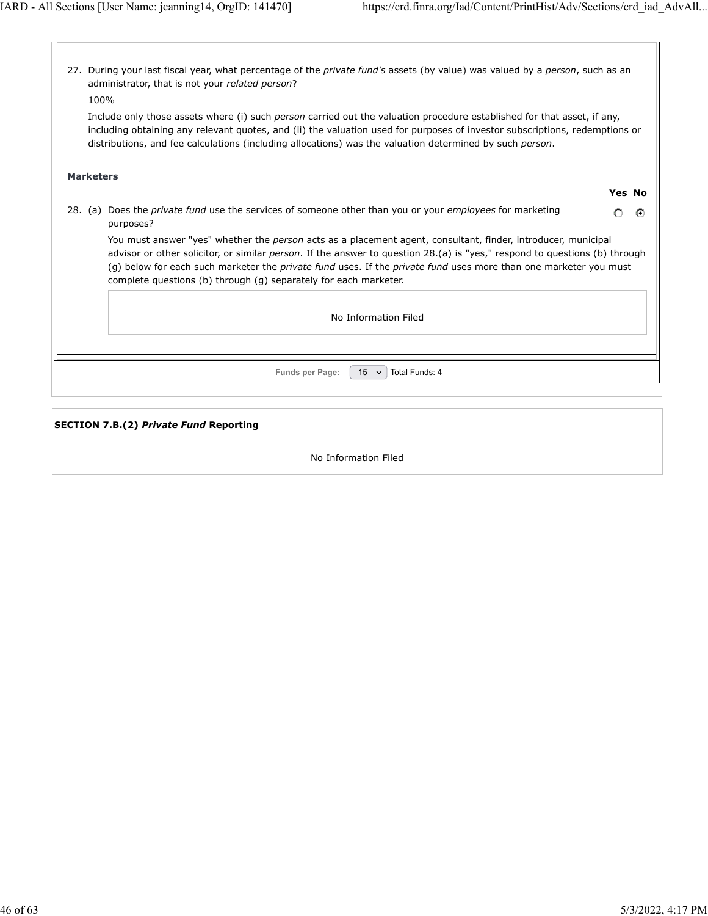| 27. During your last fiscal year, what percentage of the <i>private fund's</i> assets (by value) was valued by a <i>person</i> , such as an<br>administrator, that is not your related person?                                                                                                                                                                                                                                                    |
|---------------------------------------------------------------------------------------------------------------------------------------------------------------------------------------------------------------------------------------------------------------------------------------------------------------------------------------------------------------------------------------------------------------------------------------------------|
| 100%<br>Include only those assets where (i) such person carried out the valuation procedure established for that asset, if any,<br>including obtaining any relevant quotes, and (ii) the valuation used for purposes of investor subscriptions, redemptions or<br>distributions, and fee calculations (including allocations) was the valuation determined by such person.                                                                        |
| <b>Marketers</b><br>Yes No                                                                                                                                                                                                                                                                                                                                                                                                                        |
| 28. (a) Does the private fund use the services of someone other than you or your employees for marketing<br>ω<br>purposes?                                                                                                                                                                                                                                                                                                                        |
| You must answer "yes" whether the person acts as a placement agent, consultant, finder, introducer, municipal<br>advisor or other solicitor, or similar person. If the answer to question 28.(a) is "yes," respond to questions (b) through<br>(q) below for each such marketer the <i>private fund</i> uses. If the <i>private fund</i> uses more than one marketer you must<br>complete questions (b) through (g) separately for each marketer. |
| No Information Filed                                                                                                                                                                                                                                                                                                                                                                                                                              |
| Funds per Page:<br>Total Funds: 4<br>$15 \times$                                                                                                                                                                                                                                                                                                                                                                                                  |

**SECTION 7.B.(2)** *Private Fund* **Reporting** No Information Filed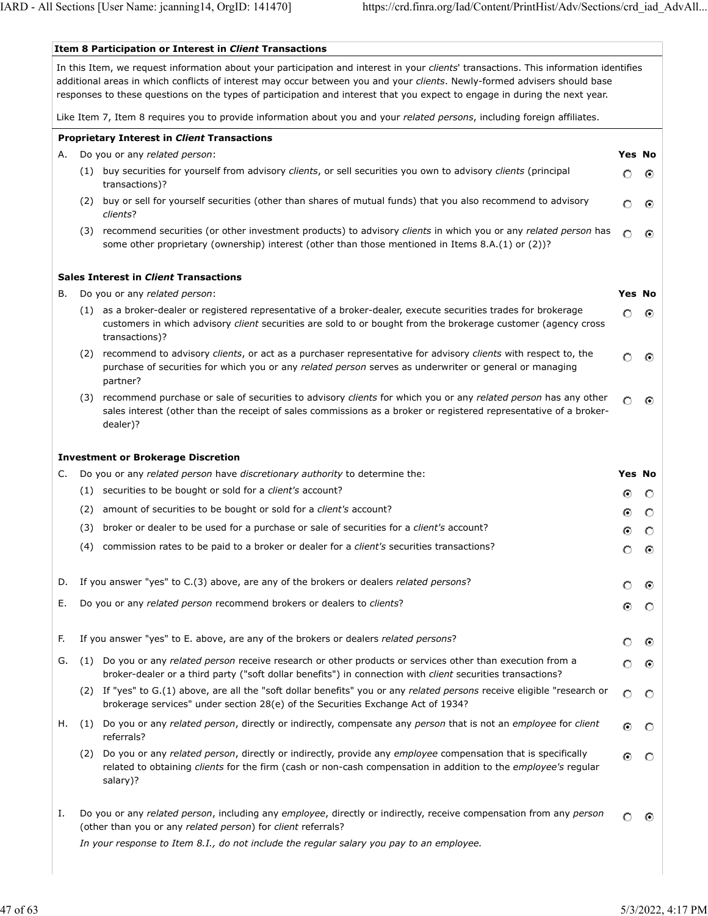|    |     | Item 8 Participation or Interest in Client Transactions                                                                                                                                                                                                                                                                                                                                          |   |                 |
|----|-----|--------------------------------------------------------------------------------------------------------------------------------------------------------------------------------------------------------------------------------------------------------------------------------------------------------------------------------------------------------------------------------------------------|---|-----------------|
|    |     | In this Item, we request information about your participation and interest in your clients' transactions. This information identifies<br>additional areas in which conflicts of interest may occur between you and your clients. Newly-formed advisers should base<br>responses to these questions on the types of participation and interest that you expect to engage in during the next year. |   |                 |
|    |     | Like Item 7, Item 8 requires you to provide information about you and your related persons, including foreign affiliates.                                                                                                                                                                                                                                                                        |   |                 |
|    |     | <b>Proprietary Interest in Client Transactions</b>                                                                                                                                                                                                                                                                                                                                               |   |                 |
| А. |     | Do you or any related person:                                                                                                                                                                                                                                                                                                                                                                    |   | Yes No          |
|    |     | (1) buy securities for yourself from advisory clients, or sell securities you own to advisory clients (principal<br>transactions)?                                                                                                                                                                                                                                                               | О | ⊙               |
|    |     | (2) buy or sell for yourself securities (other than shares of mutual funds) that you also recommend to advisory<br>clients?                                                                                                                                                                                                                                                                      |   | O               |
|    |     | (3) recommend securities (or other investment products) to advisory clients in which you or any related person has<br>some other proprietary (ownership) interest (other than those mentioned in Items 8.A.(1) or (2))?                                                                                                                                                                          |   | O               |
|    |     | <b>Sales Interest in Client Transactions</b>                                                                                                                                                                                                                                                                                                                                                     |   |                 |
| В. |     | Do you or any related person:                                                                                                                                                                                                                                                                                                                                                                    |   | Yes No          |
|    |     | (1) as a broker-dealer or registered representative of a broker-dealer, execute securities trades for brokerage<br>customers in which advisory client securities are sold to or bought from the brokerage customer (agency cross<br>transactions)?                                                                                                                                               | O | $\bullet$       |
|    | (2) | recommend to advisory clients, or act as a purchaser representative for advisory clients with respect to, the<br>purchase of securities for which you or any related person serves as underwriter or general or managing<br>partner?                                                                                                                                                             | O | ⊙               |
|    | (3) | recommend purchase or sale of securities to advisory clients for which you or any related person has any other<br>sales interest (other than the receipt of sales commissions as a broker or registered representative of a broker-<br>dealer)?                                                                                                                                                  | O | O               |
|    |     | <b>Investment or Brokerage Discretion</b>                                                                                                                                                                                                                                                                                                                                                        |   |                 |
|    |     |                                                                                                                                                                                                                                                                                                                                                                                                  |   |                 |
| C. |     | Do you or any related person have discretionary authority to determine the:                                                                                                                                                                                                                                                                                                                      |   | <b>Yes No</b>   |
|    |     | (1) securities to be bought or sold for a client's account?                                                                                                                                                                                                                                                                                                                                      | ⊙ | O               |
|    | (2) | amount of securities to be bought or sold for a client's account?                                                                                                                                                                                                                                                                                                                                | ⊙ | O               |
|    | (3) | broker or dealer to be used for a purchase or sale of securities for a client's account?                                                                                                                                                                                                                                                                                                         | ⊙ | O               |
|    | (4) | commission rates to be paid to a broker or dealer for a client's securities transactions?                                                                                                                                                                                                                                                                                                        | О | ⊙               |
| D. |     | If you answer "yes" to C.(3) above, are any of the brokers or dealers related persons?                                                                                                                                                                                                                                                                                                           |   | $\odot$         |
| Ε. |     | Do you or any related person recommend brokers or dealers to clients?                                                                                                                                                                                                                                                                                                                            | ⊙ | O               |
| F. |     | If you answer "yes" to E. above, are any of the brokers or dealers related persons?                                                                                                                                                                                                                                                                                                              | O | Θ               |
| G. |     | (1) Do you or any related person receive research or other products or services other than execution from a<br>broker-dealer or a third party ("soft dollar benefits") in connection with client securities transactions?                                                                                                                                                                        |   | ⊙               |
|    |     | (2) If "yes" to G.(1) above, are all the "soft dollar benefits" you or any related persons receive eligible "research or<br>brokerage services" under section 28(e) of the Securities Exchange Act of 1934?                                                                                                                                                                                      | O | -0              |
| Н. | (1) | Do you or any related person, directly or indirectly, compensate any person that is not an employee for client<br>referrals?                                                                                                                                                                                                                                                                     |   | $\circ$ $\circ$ |
|    | (2) | Do you or any related person, directly or indirectly, provide any employee compensation that is specifically<br>related to obtaining clients for the firm (cash or non-cash compensation in addition to the employee's regular<br>salary)?                                                                                                                                                       |   |                 |
| Ι. |     | Do you or any related person, including any employee, directly or indirectly, receive compensation from any person<br>(other than you or any related person) for client referrals?                                                                                                                                                                                                               |   |                 |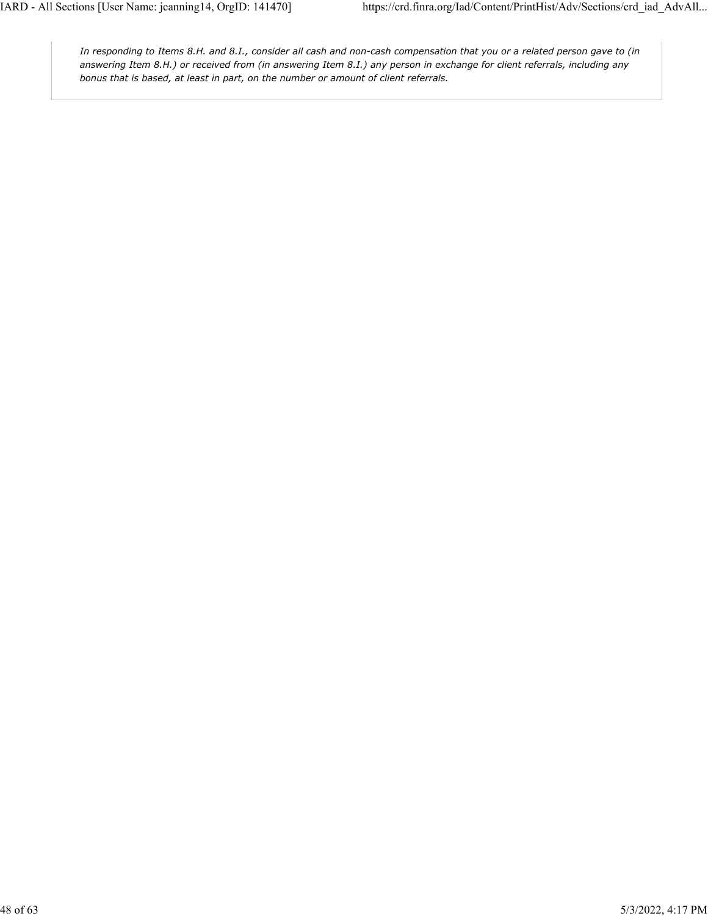*In responding to Items 8.H. and 8.I., consider all cash and non-cash compensation that you or a related person gave to (in answering Item 8.H.) or received from (in answering Item 8.I.) any person in exchange for client referrals, including any bonus that is based, at least in part, on the number or amount of client referrals.*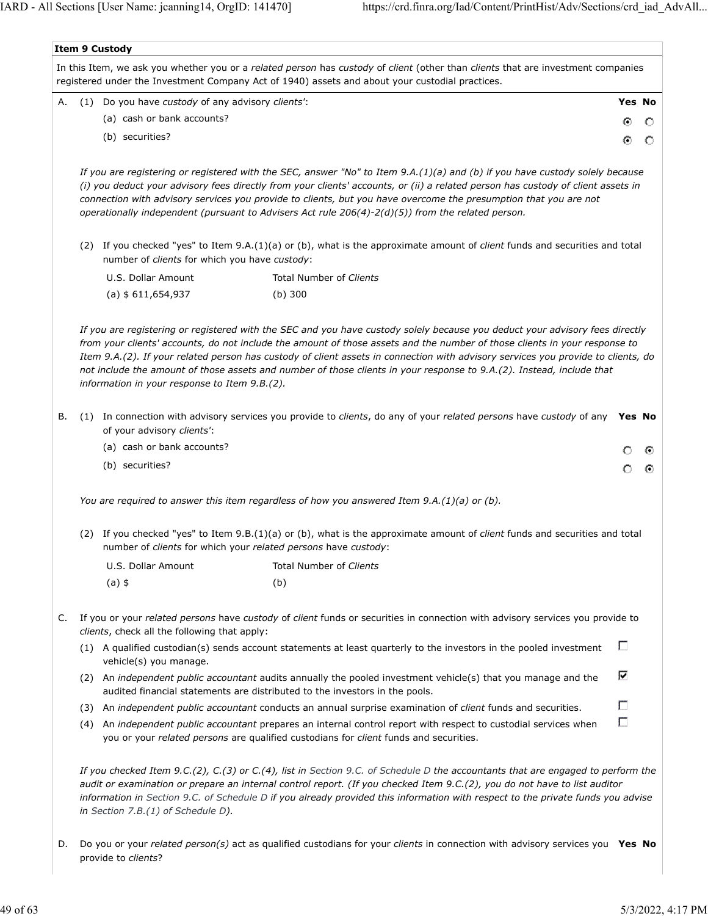| А. | <b>Item 9 Custody</b><br>In this Item, we ask you whether you or a related person has custody of client (other than clients that are investment companies<br>registered under the Investment Company Act of 1940) assets and about your custodial practices.<br>(1) Do you have custody of any advisory clients':<br><b>Yes No</b><br>(a) cash or bank accounts?<br>⊙<br>O<br>(b) securities?<br>⊙<br>- 0<br>If you are registering or registered with the SEC, answer "No" to Item 9.A.(1)(a) and (b) if you have custody solely because<br>(i) you deduct your advisory fees directly from your clients' accounts, or (ii) a related person has custody of client assets in<br>connection with advisory services you provide to clients, but you have overcome the presumption that you are not<br>operationally independent (pursuant to Advisers Act rule $206(4)-2(d)(5)$ ) from the related person.<br>(2) If you checked "yes" to Item 9.A.(1)(a) or (b), what is the approximate amount of client funds and securities and total<br>number of clients for which you have custody:<br>U.S. Dollar Amount<br>Total Number of Clients<br>(a) $$611,654,937$<br>(b) 300<br>If you are registering or registered with the SEC and you have custody solely because you deduct your advisory fees directly<br>from your clients' accounts, do not include the amount of those assets and the number of those clients in your response to<br>Item 9.A.(2). If your related person has custody of client assets in connection with advisory services you provide to clients, do<br>not include the amount of those assets and number of those clients in your response to 9.A.(2). Instead, include that<br>information in your response to Item 9.B.(2).<br>(1) In connection with advisory services you provide to clients, do any of your related persons have custody of any<br><b>Yes No</b><br>of your advisory clients':<br>(a) cash or bank accounts?<br>$\odot$<br>О<br>(b) securities?<br>O.<br>You are required to answer this item regardless of how you answered Item 9.A.(1)(a) or (b).<br>(2) If you checked "yes" to Item 9.B.(1)(a) or (b), what is the approximate amount of client funds and securities and total<br>number of clients for which your related persons have custody:<br>U.S. Dollar Amount<br>Total Number of Clients<br>$(a)$ \$<br>(b)<br>If you or your related persons have custody of client funds or securities in connection with advisory services you provide to<br>clients, check all the following that apply:<br>П<br>(1) A qualified custodian(s) sends account statements at least quarterly to the investors in the pooled investment<br>vehicle(s) you manage.<br>☑<br>(2) An independent public accountant audits annually the pooled investment vehicle(s) that you manage and the<br>audited financial statements are distributed to the investors in the pools.<br>г<br>(3) An independent public accountant conducts an annual surprise examination of client funds and securities.<br>Г<br>(4) An independent public accountant prepares an internal control report with respect to custodial services when<br>you or your related persons are qualified custodians for client funds and securities.<br>If you checked Item 9.C.(2), C.(3) or C.(4), list in Section 9.C. of Schedule D the accountants that are engaged to perform the<br>audit or examination or prepare an internal control report. (If you checked Item 9.C.(2), you do not have to list auditor<br>information in Section 9.C. of Schedule D if you already provided this information with respect to the private funds you advise |                                    |                                                                                                                               |  |   |
|----|----------------------------------------------------------------------------------------------------------------------------------------------------------------------------------------------------------------------------------------------------------------------------------------------------------------------------------------------------------------------------------------------------------------------------------------------------------------------------------------------------------------------------------------------------------------------------------------------------------------------------------------------------------------------------------------------------------------------------------------------------------------------------------------------------------------------------------------------------------------------------------------------------------------------------------------------------------------------------------------------------------------------------------------------------------------------------------------------------------------------------------------------------------------------------------------------------------------------------------------------------------------------------------------------------------------------------------------------------------------------------------------------------------------------------------------------------------------------------------------------------------------------------------------------------------------------------------------------------------------------------------------------------------------------------------------------------------------------------------------------------------------------------------------------------------------------------------------------------------------------------------------------------------------------------------------------------------------------------------------------------------------------------------------------------------------------------------------------------------------------------------------------------------------------------------------------------------------------------------------------------------------------------------------------------------------------------------------------------------------------------------------------------------------------------------------------------------------------------------------------------------------------------------------------------------------------------------------------------------------------------------------------------------------------------------------------------------------------------------------------------------------------------------------------------------------------------------------------------------------------------------------------------------------------------------------------------------------------------------------------------------------------------------------------------------------------------------------------------------------------------------------------------------------------------------------------------------------------------------------------------------------------------------------------------------------------------------------------------------------------------------------------------------------------------------------------------------------------------------------------------------------------------------------------------------------------------------------------------------------------------------------------------------------|------------------------------------|-------------------------------------------------------------------------------------------------------------------------------|--|---|
|    |                                                                                                                                                                                                                                                                                                                                                                                                                                                                                                                                                                                                                                                                                                                                                                                                                                                                                                                                                                                                                                                                                                                                                                                                                                                                                                                                                                                                                                                                                                                                                                                                                                                                                                                                                                                                                                                                                                                                                                                                                                                                                                                                                                                                                                                                                                                                                                                                                                                                                                                                                                                                                                                                                                                                                                                                                                                                                                                                                                                                                                                                                                                                                                                                                                                                                                                                                                                                                                                                                                                                                                                                                                                                |                                    |                                                                                                                               |  |   |
|    |                                                                                                                                                                                                                                                                                                                                                                                                                                                                                                                                                                                                                                                                                                                                                                                                                                                                                                                                                                                                                                                                                                                                                                                                                                                                                                                                                                                                                                                                                                                                                                                                                                                                                                                                                                                                                                                                                                                                                                                                                                                                                                                                                                                                                                                                                                                                                                                                                                                                                                                                                                                                                                                                                                                                                                                                                                                                                                                                                                                                                                                                                                                                                                                                                                                                                                                                                                                                                                                                                                                                                                                                                                                                |                                    |                                                                                                                               |  |   |
|    |                                                                                                                                                                                                                                                                                                                                                                                                                                                                                                                                                                                                                                                                                                                                                                                                                                                                                                                                                                                                                                                                                                                                                                                                                                                                                                                                                                                                                                                                                                                                                                                                                                                                                                                                                                                                                                                                                                                                                                                                                                                                                                                                                                                                                                                                                                                                                                                                                                                                                                                                                                                                                                                                                                                                                                                                                                                                                                                                                                                                                                                                                                                                                                                                                                                                                                                                                                                                                                                                                                                                                                                                                                                                |                                    |                                                                                                                               |  |   |
|    |                                                                                                                                                                                                                                                                                                                                                                                                                                                                                                                                                                                                                                                                                                                                                                                                                                                                                                                                                                                                                                                                                                                                                                                                                                                                                                                                                                                                                                                                                                                                                                                                                                                                                                                                                                                                                                                                                                                                                                                                                                                                                                                                                                                                                                                                                                                                                                                                                                                                                                                                                                                                                                                                                                                                                                                                                                                                                                                                                                                                                                                                                                                                                                                                                                                                                                                                                                                                                                                                                                                                                                                                                                                                |                                    |                                                                                                                               |  |   |
|    |                                                                                                                                                                                                                                                                                                                                                                                                                                                                                                                                                                                                                                                                                                                                                                                                                                                                                                                                                                                                                                                                                                                                                                                                                                                                                                                                                                                                                                                                                                                                                                                                                                                                                                                                                                                                                                                                                                                                                                                                                                                                                                                                                                                                                                                                                                                                                                                                                                                                                                                                                                                                                                                                                                                                                                                                                                                                                                                                                                                                                                                                                                                                                                                                                                                                                                                                                                                                                                                                                                                                                                                                                                                                |                                    |                                                                                                                               |  |   |
|    |                                                                                                                                                                                                                                                                                                                                                                                                                                                                                                                                                                                                                                                                                                                                                                                                                                                                                                                                                                                                                                                                                                                                                                                                                                                                                                                                                                                                                                                                                                                                                                                                                                                                                                                                                                                                                                                                                                                                                                                                                                                                                                                                                                                                                                                                                                                                                                                                                                                                                                                                                                                                                                                                                                                                                                                                                                                                                                                                                                                                                                                                                                                                                                                                                                                                                                                                                                                                                                                                                                                                                                                                                                                                |                                    |                                                                                                                               |  |   |
|    |                                                                                                                                                                                                                                                                                                                                                                                                                                                                                                                                                                                                                                                                                                                                                                                                                                                                                                                                                                                                                                                                                                                                                                                                                                                                                                                                                                                                                                                                                                                                                                                                                                                                                                                                                                                                                                                                                                                                                                                                                                                                                                                                                                                                                                                                                                                                                                                                                                                                                                                                                                                                                                                                                                                                                                                                                                                                                                                                                                                                                                                                                                                                                                                                                                                                                                                                                                                                                                                                                                                                                                                                                                                                |                                    |                                                                                                                               |  |   |
| В. |                                                                                                                                                                                                                                                                                                                                                                                                                                                                                                                                                                                                                                                                                                                                                                                                                                                                                                                                                                                                                                                                                                                                                                                                                                                                                                                                                                                                                                                                                                                                                                                                                                                                                                                                                                                                                                                                                                                                                                                                                                                                                                                                                                                                                                                                                                                                                                                                                                                                                                                                                                                                                                                                                                                                                                                                                                                                                                                                                                                                                                                                                                                                                                                                                                                                                                                                                                                                                                                                                                                                                                                                                                                                |                                    |                                                                                                                               |  |   |
|    |                                                                                                                                                                                                                                                                                                                                                                                                                                                                                                                                                                                                                                                                                                                                                                                                                                                                                                                                                                                                                                                                                                                                                                                                                                                                                                                                                                                                                                                                                                                                                                                                                                                                                                                                                                                                                                                                                                                                                                                                                                                                                                                                                                                                                                                                                                                                                                                                                                                                                                                                                                                                                                                                                                                                                                                                                                                                                                                                                                                                                                                                                                                                                                                                                                                                                                                                                                                                                                                                                                                                                                                                                                                                |                                    |                                                                                                                               |  |   |
|    |                                                                                                                                                                                                                                                                                                                                                                                                                                                                                                                                                                                                                                                                                                                                                                                                                                                                                                                                                                                                                                                                                                                                                                                                                                                                                                                                                                                                                                                                                                                                                                                                                                                                                                                                                                                                                                                                                                                                                                                                                                                                                                                                                                                                                                                                                                                                                                                                                                                                                                                                                                                                                                                                                                                                                                                                                                                                                                                                                                                                                                                                                                                                                                                                                                                                                                                                                                                                                                                                                                                                                                                                                                                                |                                    |                                                                                                                               |  | ⊙ |
|    |                                                                                                                                                                                                                                                                                                                                                                                                                                                                                                                                                                                                                                                                                                                                                                                                                                                                                                                                                                                                                                                                                                                                                                                                                                                                                                                                                                                                                                                                                                                                                                                                                                                                                                                                                                                                                                                                                                                                                                                                                                                                                                                                                                                                                                                                                                                                                                                                                                                                                                                                                                                                                                                                                                                                                                                                                                                                                                                                                                                                                                                                                                                                                                                                                                                                                                                                                                                                                                                                                                                                                                                                                                                                |                                    |                                                                                                                               |  |   |
|    |                                                                                                                                                                                                                                                                                                                                                                                                                                                                                                                                                                                                                                                                                                                                                                                                                                                                                                                                                                                                                                                                                                                                                                                                                                                                                                                                                                                                                                                                                                                                                                                                                                                                                                                                                                                                                                                                                                                                                                                                                                                                                                                                                                                                                                                                                                                                                                                                                                                                                                                                                                                                                                                                                                                                                                                                                                                                                                                                                                                                                                                                                                                                                                                                                                                                                                                                                                                                                                                                                                                                                                                                                                                                |                                    |                                                                                                                               |  |   |
|    |                                                                                                                                                                                                                                                                                                                                                                                                                                                                                                                                                                                                                                                                                                                                                                                                                                                                                                                                                                                                                                                                                                                                                                                                                                                                                                                                                                                                                                                                                                                                                                                                                                                                                                                                                                                                                                                                                                                                                                                                                                                                                                                                                                                                                                                                                                                                                                                                                                                                                                                                                                                                                                                                                                                                                                                                                                                                                                                                                                                                                                                                                                                                                                                                                                                                                                                                                                                                                                                                                                                                                                                                                                                                |                                    |                                                                                                                               |  |   |
|    |                                                                                                                                                                                                                                                                                                                                                                                                                                                                                                                                                                                                                                                                                                                                                                                                                                                                                                                                                                                                                                                                                                                                                                                                                                                                                                                                                                                                                                                                                                                                                                                                                                                                                                                                                                                                                                                                                                                                                                                                                                                                                                                                                                                                                                                                                                                                                                                                                                                                                                                                                                                                                                                                                                                                                                                                                                                                                                                                                                                                                                                                                                                                                                                                                                                                                                                                                                                                                                                                                                                                                                                                                                                                |                                    |                                                                                                                               |  |   |
| C. |                                                                                                                                                                                                                                                                                                                                                                                                                                                                                                                                                                                                                                                                                                                                                                                                                                                                                                                                                                                                                                                                                                                                                                                                                                                                                                                                                                                                                                                                                                                                                                                                                                                                                                                                                                                                                                                                                                                                                                                                                                                                                                                                                                                                                                                                                                                                                                                                                                                                                                                                                                                                                                                                                                                                                                                                                                                                                                                                                                                                                                                                                                                                                                                                                                                                                                                                                                                                                                                                                                                                                                                                                                                                |                                    |                                                                                                                               |  |   |
|    |                                                                                                                                                                                                                                                                                                                                                                                                                                                                                                                                                                                                                                                                                                                                                                                                                                                                                                                                                                                                                                                                                                                                                                                                                                                                                                                                                                                                                                                                                                                                                                                                                                                                                                                                                                                                                                                                                                                                                                                                                                                                                                                                                                                                                                                                                                                                                                                                                                                                                                                                                                                                                                                                                                                                                                                                                                                                                                                                                                                                                                                                                                                                                                                                                                                                                                                                                                                                                                                                                                                                                                                                                                                                |                                    |                                                                                                                               |  |   |
|    |                                                                                                                                                                                                                                                                                                                                                                                                                                                                                                                                                                                                                                                                                                                                                                                                                                                                                                                                                                                                                                                                                                                                                                                                                                                                                                                                                                                                                                                                                                                                                                                                                                                                                                                                                                                                                                                                                                                                                                                                                                                                                                                                                                                                                                                                                                                                                                                                                                                                                                                                                                                                                                                                                                                                                                                                                                                                                                                                                                                                                                                                                                                                                                                                                                                                                                                                                                                                                                                                                                                                                                                                                                                                |                                    |                                                                                                                               |  |   |
|    |                                                                                                                                                                                                                                                                                                                                                                                                                                                                                                                                                                                                                                                                                                                                                                                                                                                                                                                                                                                                                                                                                                                                                                                                                                                                                                                                                                                                                                                                                                                                                                                                                                                                                                                                                                                                                                                                                                                                                                                                                                                                                                                                                                                                                                                                                                                                                                                                                                                                                                                                                                                                                                                                                                                                                                                                                                                                                                                                                                                                                                                                                                                                                                                                                                                                                                                                                                                                                                                                                                                                                                                                                                                                |                                    |                                                                                                                               |  |   |
|    |                                                                                                                                                                                                                                                                                                                                                                                                                                                                                                                                                                                                                                                                                                                                                                                                                                                                                                                                                                                                                                                                                                                                                                                                                                                                                                                                                                                                                                                                                                                                                                                                                                                                                                                                                                                                                                                                                                                                                                                                                                                                                                                                                                                                                                                                                                                                                                                                                                                                                                                                                                                                                                                                                                                                                                                                                                                                                                                                                                                                                                                                                                                                                                                                                                                                                                                                                                                                                                                                                                                                                                                                                                                                |                                    |                                                                                                                               |  |   |
|    |                                                                                                                                                                                                                                                                                                                                                                                                                                                                                                                                                                                                                                                                                                                                                                                                                                                                                                                                                                                                                                                                                                                                                                                                                                                                                                                                                                                                                                                                                                                                                                                                                                                                                                                                                                                                                                                                                                                                                                                                                                                                                                                                                                                                                                                                                                                                                                                                                                                                                                                                                                                                                                                                                                                                                                                                                                                                                                                                                                                                                                                                                                                                                                                                                                                                                                                                                                                                                                                                                                                                                                                                                                                                | in Section 7.B.(1) of Schedule D). |                                                                                                                               |  |   |
| D. |                                                                                                                                                                                                                                                                                                                                                                                                                                                                                                                                                                                                                                                                                                                                                                                                                                                                                                                                                                                                                                                                                                                                                                                                                                                                                                                                                                                                                                                                                                                                                                                                                                                                                                                                                                                                                                                                                                                                                                                                                                                                                                                                                                                                                                                                                                                                                                                                                                                                                                                                                                                                                                                                                                                                                                                                                                                                                                                                                                                                                                                                                                                                                                                                                                                                                                                                                                                                                                                                                                                                                                                                                                                                | provide to clients?                | Do you or your related person(s) act as qualified custodians for your clients in connection with advisory services you Yes No |  |   |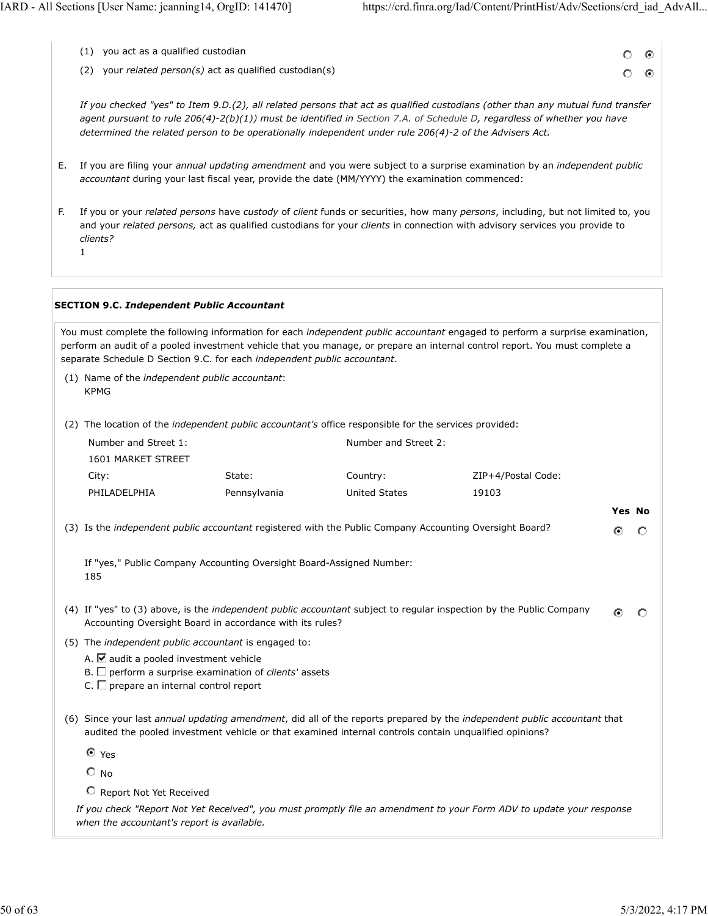| (1) you act as a qualified custodian<br>(2) your related person(s) act as qualified custodian(s)<br>If you checked "yes" to Item 9.D.(2), all related persons that act as qualified custodians (other than any mutual fund transfer<br>agent pursuant to rule 206(4)-2(b)(1)) must be identified in Section 7.A. of Schedule D, regardless of whether you have<br>determined the related person to be operationally independent under rule 206(4)-2 of the Advisers Act.<br>If you are filing your annual updating amendment and you were subject to a surprise examination by an independent public<br>Е.<br>accountant during your last fiscal year, provide the date (MM/YYYY) the examination commenced:<br>If you or your related persons have custody of client funds or securities, how many persons, including, but not limited to, you<br>F.<br>and your related persons, act as qualified custodians for your clients in connection with advisory services you provide to<br>clients?<br>$\mathbf{1}$<br><b>SECTION 9.C. Independent Public Accountant</b><br>You must complete the following information for each independent public accountant engaged to perform a surprise examination,<br>perform an audit of a pooled investment vehicle that you manage, or prepare an internal control report. You must complete a<br>separate Schedule D Section 9.C. for each independent public accountant.<br>(1) Name of the independent public accountant:<br><b>KPMG</b><br>(2) The location of the independent public accountant's office responsible for the services provided:<br>Number and Street 1:<br>Number and Street 2:<br>1601 MARKET STREET<br>Country:<br>ZIP+4/Postal Code:<br>City:<br>State:<br>PHILADELPHIA<br>Pennsylvania<br>United States<br>19103<br><b>Yes No</b><br>(3) Is the independent public accountant registered with the Public Company Accounting Oversight Board?<br>ω<br>If "yes," Public Company Accounting Oversight Board-Assigned Number:<br>185 |                                                                                                                                                                   |                                                                                                                          |  |
|-------------------------------------------------------------------------------------------------------------------------------------------------------------------------------------------------------------------------------------------------------------------------------------------------------------------------------------------------------------------------------------------------------------------------------------------------------------------------------------------------------------------------------------------------------------------------------------------------------------------------------------------------------------------------------------------------------------------------------------------------------------------------------------------------------------------------------------------------------------------------------------------------------------------------------------------------------------------------------------------------------------------------------------------------------------------------------------------------------------------------------------------------------------------------------------------------------------------------------------------------------------------------------------------------------------------------------------------------------------------------------------------------------------------------------------------------------------------------------------------------------------------------------------------------------------------------------------------------------------------------------------------------------------------------------------------------------------------------------------------------------------------------------------------------------------------------------------------------------------------------------------------------------------------------------------------------------------------------------------------------|-------------------------------------------------------------------------------------------------------------------------------------------------------------------|--------------------------------------------------------------------------------------------------------------------------|--|
|                                                                                                                                                                                                                                                                                                                                                                                                                                                                                                                                                                                                                                                                                                                                                                                                                                                                                                                                                                                                                                                                                                                                                                                                                                                                                                                                                                                                                                                                                                                                                                                                                                                                                                                                                                                                                                                                                                                                                                                                 |                                                                                                                                                                   |                                                                                                                          |  |
|                                                                                                                                                                                                                                                                                                                                                                                                                                                                                                                                                                                                                                                                                                                                                                                                                                                                                                                                                                                                                                                                                                                                                                                                                                                                                                                                                                                                                                                                                                                                                                                                                                                                                                                                                                                                                                                                                                                                                                                                 |                                                                                                                                                                   |                                                                                                                          |  |
|                                                                                                                                                                                                                                                                                                                                                                                                                                                                                                                                                                                                                                                                                                                                                                                                                                                                                                                                                                                                                                                                                                                                                                                                                                                                                                                                                                                                                                                                                                                                                                                                                                                                                                                                                                                                                                                                                                                                                                                                 |                                                                                                                                                                   |                                                                                                                          |  |
|                                                                                                                                                                                                                                                                                                                                                                                                                                                                                                                                                                                                                                                                                                                                                                                                                                                                                                                                                                                                                                                                                                                                                                                                                                                                                                                                                                                                                                                                                                                                                                                                                                                                                                                                                                                                                                                                                                                                                                                                 |                                                                                                                                                                   |                                                                                                                          |  |
|                                                                                                                                                                                                                                                                                                                                                                                                                                                                                                                                                                                                                                                                                                                                                                                                                                                                                                                                                                                                                                                                                                                                                                                                                                                                                                                                                                                                                                                                                                                                                                                                                                                                                                                                                                                                                                                                                                                                                                                                 |                                                                                                                                                                   |                                                                                                                          |  |
|                                                                                                                                                                                                                                                                                                                                                                                                                                                                                                                                                                                                                                                                                                                                                                                                                                                                                                                                                                                                                                                                                                                                                                                                                                                                                                                                                                                                                                                                                                                                                                                                                                                                                                                                                                                                                                                                                                                                                                                                 |                                                                                                                                                                   |                                                                                                                          |  |
|                                                                                                                                                                                                                                                                                                                                                                                                                                                                                                                                                                                                                                                                                                                                                                                                                                                                                                                                                                                                                                                                                                                                                                                                                                                                                                                                                                                                                                                                                                                                                                                                                                                                                                                                                                                                                                                                                                                                                                                                 |                                                                                                                                                                   |                                                                                                                          |  |
|                                                                                                                                                                                                                                                                                                                                                                                                                                                                                                                                                                                                                                                                                                                                                                                                                                                                                                                                                                                                                                                                                                                                                                                                                                                                                                                                                                                                                                                                                                                                                                                                                                                                                                                                                                                                                                                                                                                                                                                                 |                                                                                                                                                                   |                                                                                                                          |  |
|                                                                                                                                                                                                                                                                                                                                                                                                                                                                                                                                                                                                                                                                                                                                                                                                                                                                                                                                                                                                                                                                                                                                                                                                                                                                                                                                                                                                                                                                                                                                                                                                                                                                                                                                                                                                                                                                                                                                                                                                 |                                                                                                                                                                   |                                                                                                                          |  |
|                                                                                                                                                                                                                                                                                                                                                                                                                                                                                                                                                                                                                                                                                                                                                                                                                                                                                                                                                                                                                                                                                                                                                                                                                                                                                                                                                                                                                                                                                                                                                                                                                                                                                                                                                                                                                                                                                                                                                                                                 |                                                                                                                                                                   |                                                                                                                          |  |
|                                                                                                                                                                                                                                                                                                                                                                                                                                                                                                                                                                                                                                                                                                                                                                                                                                                                                                                                                                                                                                                                                                                                                                                                                                                                                                                                                                                                                                                                                                                                                                                                                                                                                                                                                                                                                                                                                                                                                                                                 |                                                                                                                                                                   |                                                                                                                          |  |
|                                                                                                                                                                                                                                                                                                                                                                                                                                                                                                                                                                                                                                                                                                                                                                                                                                                                                                                                                                                                                                                                                                                                                                                                                                                                                                                                                                                                                                                                                                                                                                                                                                                                                                                                                                                                                                                                                                                                                                                                 |                                                                                                                                                                   |                                                                                                                          |  |
|                                                                                                                                                                                                                                                                                                                                                                                                                                                                                                                                                                                                                                                                                                                                                                                                                                                                                                                                                                                                                                                                                                                                                                                                                                                                                                                                                                                                                                                                                                                                                                                                                                                                                                                                                                                                                                                                                                                                                                                                 |                                                                                                                                                                   |                                                                                                                          |  |
|                                                                                                                                                                                                                                                                                                                                                                                                                                                                                                                                                                                                                                                                                                                                                                                                                                                                                                                                                                                                                                                                                                                                                                                                                                                                                                                                                                                                                                                                                                                                                                                                                                                                                                                                                                                                                                                                                                                                                                                                 |                                                                                                                                                                   |                                                                                                                          |  |
|                                                                                                                                                                                                                                                                                                                                                                                                                                                                                                                                                                                                                                                                                                                                                                                                                                                                                                                                                                                                                                                                                                                                                                                                                                                                                                                                                                                                                                                                                                                                                                                                                                                                                                                                                                                                                                                                                                                                                                                                 |                                                                                                                                                                   |                                                                                                                          |  |
|                                                                                                                                                                                                                                                                                                                                                                                                                                                                                                                                                                                                                                                                                                                                                                                                                                                                                                                                                                                                                                                                                                                                                                                                                                                                                                                                                                                                                                                                                                                                                                                                                                                                                                                                                                                                                                                                                                                                                                                                 | Accounting Oversight Board in accordance with its rules?                                                                                                          | (4) If "yes" to (3) above, is the independent public accountant subject to regular inspection by the Public Company      |  |
|                                                                                                                                                                                                                                                                                                                                                                                                                                                                                                                                                                                                                                                                                                                                                                                                                                                                                                                                                                                                                                                                                                                                                                                                                                                                                                                                                                                                                                                                                                                                                                                                                                                                                                                                                                                                                                                                                                                                                                                                 | (5) The independent public accountant is engaged to:                                                                                                              |                                                                                                                          |  |
|                                                                                                                                                                                                                                                                                                                                                                                                                                                                                                                                                                                                                                                                                                                                                                                                                                                                                                                                                                                                                                                                                                                                                                                                                                                                                                                                                                                                                                                                                                                                                                                                                                                                                                                                                                                                                                                                                                                                                                                                 | A. V audit a pooled investment vehicle<br>$B.$ $\Box$ perform a surprise examination of <i>clients'</i> assets<br>C. $\square$ prepare an internal control report |                                                                                                                          |  |
|                                                                                                                                                                                                                                                                                                                                                                                                                                                                                                                                                                                                                                                                                                                                                                                                                                                                                                                                                                                                                                                                                                                                                                                                                                                                                                                                                                                                                                                                                                                                                                                                                                                                                                                                                                                                                                                                                                                                                                                                 | audited the pooled investment vehicle or that examined internal controls contain unqualified opinions?                                                            | (6) Since your last annual updating amendment, did all of the reports prepared by the independent public accountant that |  |
| $\bullet$ Yes                                                                                                                                                                                                                                                                                                                                                                                                                                                                                                                                                                                                                                                                                                                                                                                                                                                                                                                                                                                                                                                                                                                                                                                                                                                                                                                                                                                                                                                                                                                                                                                                                                                                                                                                                                                                                                                                                                                                                                                   |                                                                                                                                                                   |                                                                                                                          |  |
|                                                                                                                                                                                                                                                                                                                                                                                                                                                                                                                                                                                                                                                                                                                                                                                                                                                                                                                                                                                                                                                                                                                                                                                                                                                                                                                                                                                                                                                                                                                                                                                                                                                                                                                                                                                                                                                                                                                                                                                                 |                                                                                                                                                                   |                                                                                                                          |  |
| $\circ$ No                                                                                                                                                                                                                                                                                                                                                                                                                                                                                                                                                                                                                                                                                                                                                                                                                                                                                                                                                                                                                                                                                                                                                                                                                                                                                                                                                                                                                                                                                                                                                                                                                                                                                                                                                                                                                                                                                                                                                                                      |                                                                                                                                                                   |                                                                                                                          |  |
| C Report Not Yet Received                                                                                                                                                                                                                                                                                                                                                                                                                                                                                                                                                                                                                                                                                                                                                                                                                                                                                                                                                                                                                                                                                                                                                                                                                                                                                                                                                                                                                                                                                                                                                                                                                                                                                                                                                                                                                                                                                                                                                                       |                                                                                                                                                                   |                                                                                                                          |  |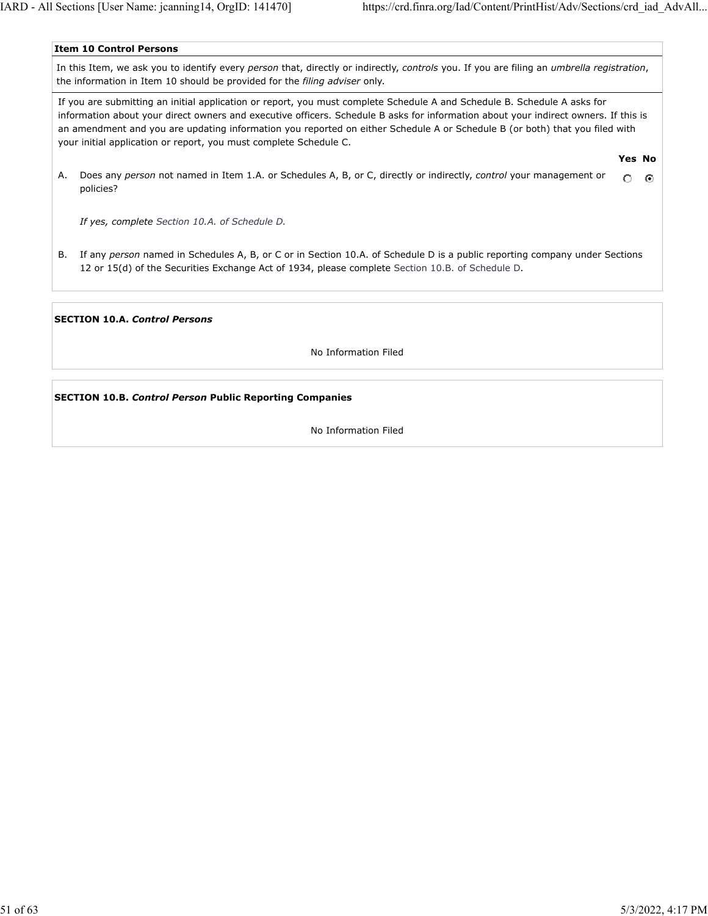#### **Item 10 Control Persons**

In this Item, we ask you to identify every *person* that, directly or indirectly, *controls* you. If you are filing an *umbrella registration*, the information in Item 10 should be provided for the *filing adviser* only.

If you are submitting an initial application or report, you must complete Schedule A and Schedule B. Schedule A asks for information about your direct owners and executive officers. Schedule B asks for information about your indirect owners. If this is an amendment and you are updating information you reported on either Schedule A or Schedule B (or both) that you filed with your initial application or report, you must complete Schedule C.

**Yes No**

A. Does any *person* not named in Item 1.A. or Schedules A, B, or C, directly or indirectly, *control* your management or  $O$   $\odot$ policies?

*If yes, complete Section 10.A. of Schedule D.*

B. If any *person* named in Schedules A, B, or C or in Section 10.A. of Schedule D is a public reporting company under Sections 12 or 15(d) of the Securities Exchange Act of 1934, please complete Section 10.B. of Schedule D.

**SECTION 10.A.** *Control Persons*

No Information Filed

**SECTION 10.B.** *Control Person* **Public Reporting Companies**

No Information Filed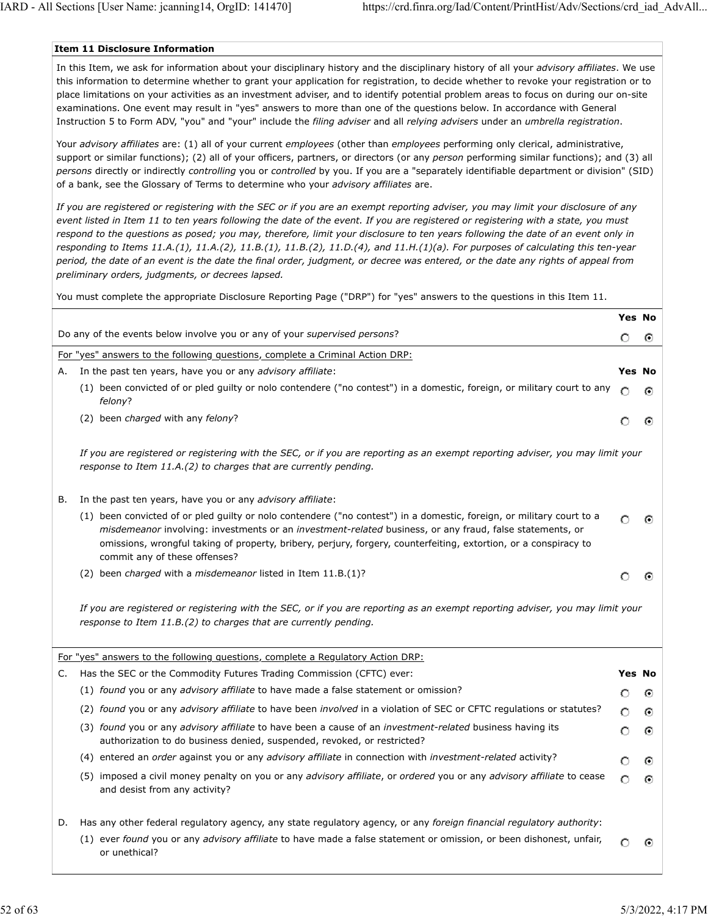#### **Item 11 Disclosure Information**

In this Item, we ask for information about your disciplinary history and the disciplinary history of all your *advisory affiliates*. We use this information to determine whether to grant your application for registration, to decide whether to revoke your registration or to place limitations on your activities as an investment adviser, and to identify potential problem areas to focus on during our on-site examinations. One event may result in "yes" answers to more than one of the questions below. In accordance with General Instruction 5 to Form ADV, "you" and "your" include the *filing adviser* and all *relying advisers* under an *umbrella registration*.

Your *advisory affiliates* are: (1) all of your current *employees* (other than *employees* performing only clerical, administrative, support or similar functions); (2) all of your officers, partners, or directors (or any *person* performing similar functions); and (3) all *persons* directly or indirectly *controlling* you or *controlled* by you. If you are a "separately identifiable department or division" (SID) of a bank, see the Glossary of Terms to determine who your *advisory affiliates* are.

*If you are registered or registering with the SEC or if you are an exempt reporting adviser, you may limit your disclosure of any event listed in Item 11 to ten years following the date of the event. If you are registered or registering with a state, you must respond to the questions as posed; you may, therefore, limit your disclosure to ten years following the date of an event only in responding to Items 11.A.(1), 11.A.(2), 11.B.(1), 11.B.(2), 11.D.(4), and 11.H.(1)(a). For purposes of calculating this ten-year period, the date of an event is the date the final order, judgment, or decree was entered, or the date any rights of appeal from preliminary orders, judgments, or decrees lapsed.*

You must complete the appropriate Disclosure Reporting Page ("DRP") for "yes" answers to the questions in this Item 11.

|                                                                                   |                                                                                                                                                                                                                                                                                                                                                                                               | <b>Yes No</b> |           |  |  |
|-----------------------------------------------------------------------------------|-----------------------------------------------------------------------------------------------------------------------------------------------------------------------------------------------------------------------------------------------------------------------------------------------------------------------------------------------------------------------------------------------|---------------|-----------|--|--|
| Do any of the events below involve you or any of your <i>supervised persons</i> ? |                                                                                                                                                                                                                                                                                                                                                                                               |               |           |  |  |
|                                                                                   | For "yes" answers to the following questions, complete a Criminal Action DRP:                                                                                                                                                                                                                                                                                                                 |               |           |  |  |
| А.                                                                                | In the past ten years, have you or any advisory affiliate:                                                                                                                                                                                                                                                                                                                                    |               |           |  |  |
|                                                                                   | (1) been convicted of or pled guilty or nolo contendere ("no contest") in a domestic, foreign, or military court to any<br>felony?                                                                                                                                                                                                                                                            | Ω             | ⊙         |  |  |
|                                                                                   | (2) been charged with any felony?                                                                                                                                                                                                                                                                                                                                                             | Ω             | ⊙         |  |  |
|                                                                                   | If you are registered or registering with the SEC, or if you are reporting as an exempt reporting adviser, you may limit your<br>response to Item 11.A.(2) to charges that are currently pending.                                                                                                                                                                                             |               |           |  |  |
| в.                                                                                | In the past ten years, have you or any advisory affiliate:                                                                                                                                                                                                                                                                                                                                    |               |           |  |  |
|                                                                                   | (1) been convicted of or pled quilty or nolo contendere ("no contest") in a domestic, foreign, or military court to a<br>misdemeanor involving: investments or an <i>investment-related</i> business, or any fraud, false statements, or<br>omissions, wrongful taking of property, bribery, perjury, forgery, counterfeiting, extortion, or a conspiracy to<br>commit any of these offenses? | O             | $\bullet$ |  |  |
|                                                                                   | (2) been <i>charged</i> with a <i>misdemeanor</i> listed in Item 11.B.(1)?                                                                                                                                                                                                                                                                                                                    | Ω             | ⊙         |  |  |
|                                                                                   | If you are registered or registering with the SEC, or if you are reporting as an exempt reporting adviser, you may limit your<br>response to Item 11.B.(2) to charges that are currently pending.                                                                                                                                                                                             |               |           |  |  |
|                                                                                   | For "yes" answers to the following questions, complete a Regulatory Action DRP:                                                                                                                                                                                                                                                                                                               |               |           |  |  |
| C.                                                                                | Has the SEC or the Commodity Futures Trading Commission (CFTC) ever:                                                                                                                                                                                                                                                                                                                          | <b>Yes No</b> |           |  |  |
|                                                                                   | (1) found you or any <i>advisory affiliate</i> to have made a false statement or omission?                                                                                                                                                                                                                                                                                                    | O             | ⊙         |  |  |
|                                                                                   | (2) found you or any advisory affiliate to have been involved in a violation of SEC or CFTC regulations or statutes?                                                                                                                                                                                                                                                                          | О             | ⊙         |  |  |
|                                                                                   | (3) found you or any advisory affiliate to have been a cause of an investment-related business having its<br>authorization to do business denied, suspended, revoked, or restricted?                                                                                                                                                                                                          | O             | ⊙         |  |  |
|                                                                                   | (4) entered an order against you or any advisory affiliate in connection with investment-related activity?                                                                                                                                                                                                                                                                                    | O             | ⊙         |  |  |
|                                                                                   | (5) imposed a civil money penalty on you or any <i>advisory affiliate</i> , or <i>ordered</i> you or any <i>advisory affiliate</i> to cease<br>and desist from any activity?                                                                                                                                                                                                                  | O             | $\odot$   |  |  |
| D.                                                                                | Has any other federal regulatory agency, any state regulatory agency, or any foreign financial regulatory authority:                                                                                                                                                                                                                                                                          |               |           |  |  |
|                                                                                   | (1) ever found you or any advisory affiliate to have made a false statement or omission, or been dishonest, unfair,<br>or unethical?                                                                                                                                                                                                                                                          | O             | ⊙         |  |  |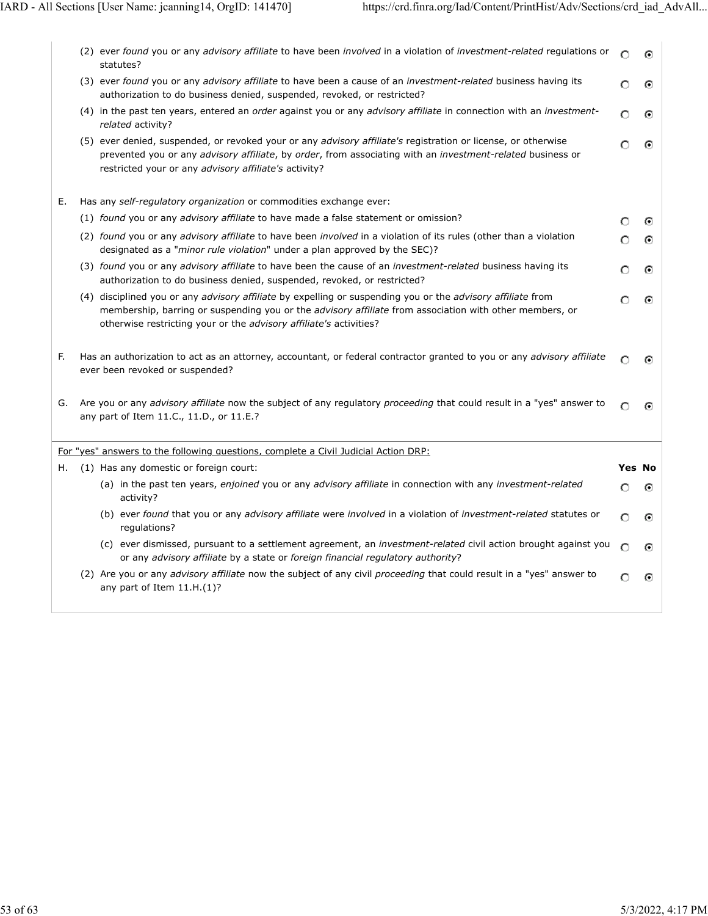| (2) ever found you or any advisory affiliate to have been involved in a violation of investment-related regulations or                                                                            |                                                                                                                                                                                                                                                                                                                                                                                                                                                                                                                                                                                                                                                                                                                                                                                                                                                                                                                                                                                                                                                                                                                                                                                                                                                                                                                                                                                                                                                                     |                  |  |  |  |  |
|---------------------------------------------------------------------------------------------------------------------------------------------------------------------------------------------------|---------------------------------------------------------------------------------------------------------------------------------------------------------------------------------------------------------------------------------------------------------------------------------------------------------------------------------------------------------------------------------------------------------------------------------------------------------------------------------------------------------------------------------------------------------------------------------------------------------------------------------------------------------------------------------------------------------------------------------------------------------------------------------------------------------------------------------------------------------------------------------------------------------------------------------------------------------------------------------------------------------------------------------------------------------------------------------------------------------------------------------------------------------------------------------------------------------------------------------------------------------------------------------------------------------------------------------------------------------------------------------------------------------------------------------------------------------------------|------------------|--|--|--|--|
|                                                                                                                                                                                                   | С                                                                                                                                                                                                                                                                                                                                                                                                                                                                                                                                                                                                                                                                                                                                                                                                                                                                                                                                                                                                                                                                                                                                                                                                                                                                                                                                                                                                                                                                   | Θ                |  |  |  |  |
| (3) ever found you or any advisory affiliate to have been a cause of an investment-related business having its<br>authorization to do business denied, suspended, revoked, or restricted?         |                                                                                                                                                                                                                                                                                                                                                                                                                                                                                                                                                                                                                                                                                                                                                                                                                                                                                                                                                                                                                                                                                                                                                                                                                                                                                                                                                                                                                                                                     | Θ                |  |  |  |  |
|                                                                                                                                                                                                   | O                                                                                                                                                                                                                                                                                                                                                                                                                                                                                                                                                                                                                                                                                                                                                                                                                                                                                                                                                                                                                                                                                                                                                                                                                                                                                                                                                                                                                                                                   | ⊙                |  |  |  |  |
|                                                                                                                                                                                                   | О                                                                                                                                                                                                                                                                                                                                                                                                                                                                                                                                                                                                                                                                                                                                                                                                                                                                                                                                                                                                                                                                                                                                                                                                                                                                                                                                                                                                                                                                   | Θ                |  |  |  |  |
|                                                                                                                                                                                                   |                                                                                                                                                                                                                                                                                                                                                                                                                                                                                                                                                                                                                                                                                                                                                                                                                                                                                                                                                                                                                                                                                                                                                                                                                                                                                                                                                                                                                                                                     |                  |  |  |  |  |
|                                                                                                                                                                                                   | O                                                                                                                                                                                                                                                                                                                                                                                                                                                                                                                                                                                                                                                                                                                                                                                                                                                                                                                                                                                                                                                                                                                                                                                                                                                                                                                                                                                                                                                                   | ⊙                |  |  |  |  |
|                                                                                                                                                                                                   |                                                                                                                                                                                                                                                                                                                                                                                                                                                                                                                                                                                                                                                                                                                                                                                                                                                                                                                                                                                                                                                                                                                                                                                                                                                                                                                                                                                                                                                                     | Θ                |  |  |  |  |
|                                                                                                                                                                                                   |                                                                                                                                                                                                                                                                                                                                                                                                                                                                                                                                                                                                                                                                                                                                                                                                                                                                                                                                                                                                                                                                                                                                                                                                                                                                                                                                                                                                                                                                     | ⊙                |  |  |  |  |
|                                                                                                                                                                                                   |                                                                                                                                                                                                                                                                                                                                                                                                                                                                                                                                                                                                                                                                                                                                                                                                                                                                                                                                                                                                                                                                                                                                                                                                                                                                                                                                                                                                                                                                     | ⊙                |  |  |  |  |
| Has an authorization to act as an attorney, accountant, or federal contractor granted to you or any <i>advisory affiliate</i><br>F.<br>ever been revoked or suspended?                            |                                                                                                                                                                                                                                                                                                                                                                                                                                                                                                                                                                                                                                                                                                                                                                                                                                                                                                                                                                                                                                                                                                                                                                                                                                                                                                                                                                                                                                                                     |                  |  |  |  |  |
| Are you or any advisory affiliate now the subject of any regulatory proceeding that could result in a "yes" answer to<br>G.<br>any part of Item 11.C., 11.D., or 11.E.?                           |                                                                                                                                                                                                                                                                                                                                                                                                                                                                                                                                                                                                                                                                                                                                                                                                                                                                                                                                                                                                                                                                                                                                                                                                                                                                                                                                                                                                                                                                     |                  |  |  |  |  |
|                                                                                                                                                                                                   |                                                                                                                                                                                                                                                                                                                                                                                                                                                                                                                                                                                                                                                                                                                                                                                                                                                                                                                                                                                                                                                                                                                                                                                                                                                                                                                                                                                                                                                                     |                  |  |  |  |  |
|                                                                                                                                                                                                   |                                                                                                                                                                                                                                                                                                                                                                                                                                                                                                                                                                                                                                                                                                                                                                                                                                                                                                                                                                                                                                                                                                                                                                                                                                                                                                                                                                                                                                                                     |                  |  |  |  |  |
|                                                                                                                                                                                                   | С                                                                                                                                                                                                                                                                                                                                                                                                                                                                                                                                                                                                                                                                                                                                                                                                                                                                                                                                                                                                                                                                                                                                                                                                                                                                                                                                                                                                                                                                   | Θ                |  |  |  |  |
|                                                                                                                                                                                                   | С                                                                                                                                                                                                                                                                                                                                                                                                                                                                                                                                                                                                                                                                                                                                                                                                                                                                                                                                                                                                                                                                                                                                                                                                                                                                                                                                                                                                                                                                   | Θ                |  |  |  |  |
| (b) ever found that you or any advisory affiliate were involved in a violation of investment-related statutes or                                                                                  |                                                                                                                                                                                                                                                                                                                                                                                                                                                                                                                                                                                                                                                                                                                                                                                                                                                                                                                                                                                                                                                                                                                                                                                                                                                                                                                                                                                                                                                                     |                  |  |  |  |  |
| (c) ever dismissed, pursuant to a settlement agreement, an investment-related civil action brought against you<br>or any advisory affiliate by a state or foreign financial regulatory authority? | O                                                                                                                                                                                                                                                                                                                                                                                                                                                                                                                                                                                                                                                                                                                                                                                                                                                                                                                                                                                                                                                                                                                                                                                                                                                                                                                                                                                                                                                                   | Θ                |  |  |  |  |
|                                                                                                                                                                                                   | (4) in the past ten years, entered an order against you or any advisory affiliate in connection with an investment-<br>(5) ever denied, suspended, or revoked your or any <i>advisory affiliate's</i> registration or license, or otherwise<br>prevented you or any <i>advisory affiliate</i> , by order, from associating with an <i>investment-related</i> business or<br>Has any self-regulatory organization or commodities exchange ever:<br>(1) found you or any <i>advisory affiliate</i> to have made a false statement or omission?<br>(2) found you or any <i>advisory affiliate</i> to have been <i>involved</i> in a violation of its rules (other than a violation<br>designated as a "minor rule violation" under a plan approved by the SEC)?<br>(3) found you or any advisory affiliate to have been the cause of an investment-related business having its<br>authorization to do business denied, suspended, revoked, or restricted?<br>(4) disciplined you or any advisory affiliate by expelling or suspending you or the advisory affiliate from<br>membership, barring or suspending you or the advisory affiliate from association with other members, or<br>otherwise restricting your or the <i>advisory affiliate's</i> activities?<br>For "yes" answers to the following questions, complete a Civil Judicial Action DRP:<br>(a) in the past ten years, enjoined you or any advisory affiliate in connection with any investment-related | О<br>C<br>Yes No |  |  |  |  |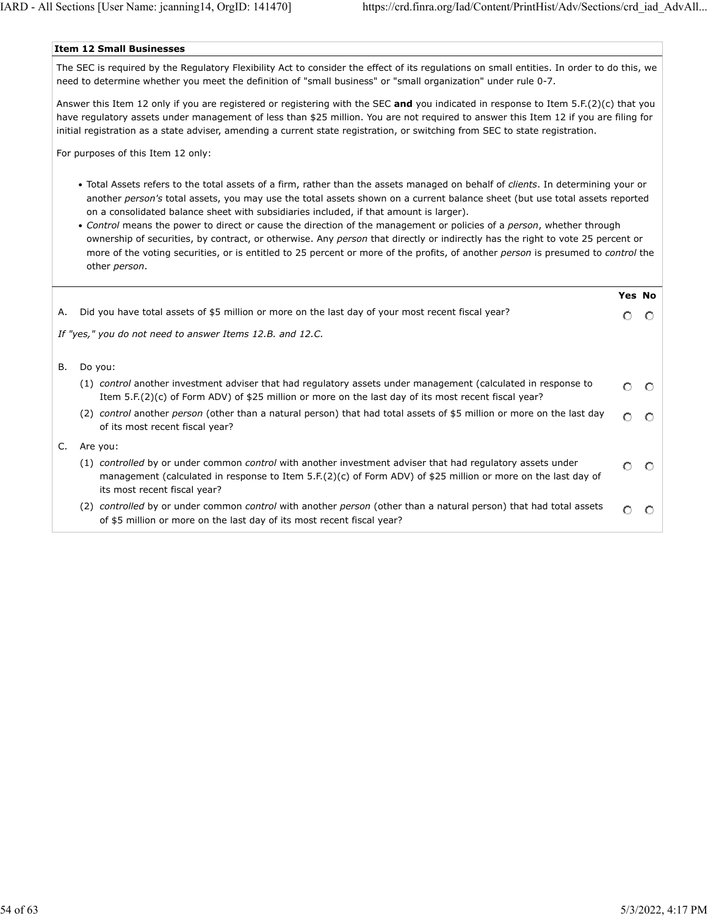#### **Item 12 Small Businesses**

The SEC is required by the Regulatory Flexibility Act to consider the effect of its regulations on small entities. In order to do this, we need to determine whether you meet the definition of "small business" or "small organization" under rule 0-7.

Answer this Item 12 only if you are registered or registering with the SEC **and** you indicated in response to Item 5.F.(2)(c) that you have regulatory assets under management of less than \$25 million. You are not required to answer this Item 12 if you are filing for initial registration as a state adviser, amending a current state registration, or switching from SEC to state registration.

For purposes of this Item 12 only:

- Total Assets refers to the total assets of a firm, rather than the assets managed on behalf of *clients*. In determining your or another *person's* total assets, you may use the total assets shown on a current balance sheet (but use total assets reported on a consolidated balance sheet with subsidiaries included, if that amount is larger).
- *Control* means the power to direct or cause the direction of the management or policies of a *person*, whether through ownership of securities, by contract, or otherwise. Any *person* that directly or indirectly has the right to vote 25 percent or more of the voting securities, or is entitled to 25 percent or more of the profits, of another *person* is presumed to *control* the other *person*.

|    |                                                                                                                                                                                                                                                                | Yes No |   |
|----|----------------------------------------------------------------------------------------------------------------------------------------------------------------------------------------------------------------------------------------------------------------|--------|---|
| А. | Did you have total assets of \$5 million or more on the last day of your most recent fiscal year?                                                                                                                                                              |        |   |
|    | If "yes," you do not need to answer Items 12.B. and 12.C.                                                                                                                                                                                                      |        |   |
| В. | Do you:                                                                                                                                                                                                                                                        |        |   |
|    | (1) control another investment adviser that had regulatory assets under management (calculated in response to<br>Item $5.F.(2)(c)$ of Form ADV) of \$25 million or more on the last day of its most recent fiscal year?                                        | O      | O |
|    | control another person (other than a natural person) that had total assets of \$5 million or more on the last day<br>(2)<br>of its most recent fiscal year?                                                                                                    | O.     | O |
| C. | Are you:                                                                                                                                                                                                                                                       |        |   |
|    | (1) controlled by or under common control with another investment adviser that had regulatory assets under<br>management (calculated in response to Item 5.F. $(2)(c)$ of Form ADV) of \$25 million or more on the last day of<br>its most recent fiscal year? | O      | O |
|    | (2) controlled by or under common control with another person (other than a natural person) that had total assets<br>of \$5 million or more on the last day of its most recent fiscal year?                                                                    | O      |   |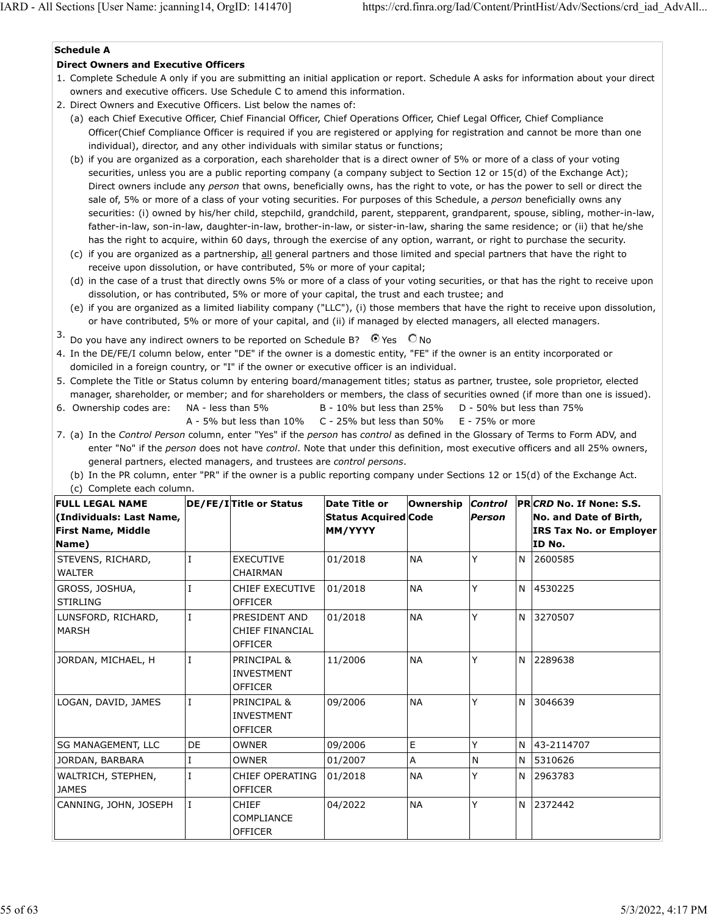## **Schedule A**

## **Direct Owners and Executive Officers**

- 1. Complete Schedule A only if you are submitting an initial application or report. Schedule A asks for information about your direct owners and executive officers. Use Schedule C to amend this information.
- 2. Direct Owners and Executive Officers. List below the names of:
	- (a) each Chief Executive Officer, Chief Financial Officer, Chief Operations Officer, Chief Legal Officer, Chief Compliance Officer(Chief Compliance Officer is required if you are registered or applying for registration and cannot be more than one individual), director, and any other individuals with similar status or functions;
	- (b) if you are organized as a corporation, each shareholder that is a direct owner of 5% or more of a class of your voting securities, unless you are a public reporting company (a company subject to Section 12 or 15(d) of the Exchange Act); Direct owners include any *person* that owns, beneficially owns, has the right to vote, or has the power to sell or direct the sale of, 5% or more of a class of your voting securities. For purposes of this Schedule, a *person* beneficially owns any securities: (i) owned by his/her child, stepchild, grandchild, parent, stepparent, grandparent, spouse, sibling, mother-in-law, father-in-law, son-in-law, daughter-in-law, brother-in-law, or sister-in-law, sharing the same residence; or (ii) that he/she has the right to acquire, within 60 days, through the exercise of any option, warrant, or right to purchase the security.
	- (c) if you are organized as a partnership, all general partners and those limited and special partners that have the right to receive upon dissolution, or have contributed, 5% or more of your capital;
	- (d) in the case of a trust that directly owns 5% or more of a class of your voting securities, or that has the right to receive upon dissolution, or has contributed, 5% or more of your capital, the trust and each trustee; and
	- (e) if you are organized as a limited liability company ("LLC"), (i) those members that have the right to receive upon dissolution, or have contributed, 5% or more of your capital, and (ii) if managed by elected managers, all elected managers.

<sup>3.</sup> Do you have any indirect owners to be reported on Schedule B?  $\bullet$  Yes  $\circ$  No

- 4. In the DE/FE/I column below, enter "DE" if the owner is a domestic entity, "FE" if the owner is an entity incorporated or domiciled in a foreign country, or "I" if the owner or executive officer is an individual.
- 5. Complete the Title or Status column by entering board/management titles; status as partner, trustee, sole proprietor, elected manager, shareholder, or member; and for shareholders or members, the class of securities owned (if more than one is issued).
- 6. Ownership codes are: NA less than 5% B 10% but less than 25% D 50% but less than 75%
	- A 5% but less than 10% C 25% but less than 50% E 75% or more
- 7. (a) In the *Control Person* column, enter "Yes" if the *person* has *control* as defined in the Glossary of Terms to Form ADV, and enter "No" if the *person* does not have *control*. Note that under this definition, most executive officers and all 25% owners, general partners, elected managers, and trustees are *control persons*.
	- (b) In the PR column, enter "PR" if the owner is a public reporting company under Sections 12 or 15(d) of the Exchange Act. (c) Complete each column.

| <b>FULL LEGAL NAME</b>                                         |    | DE/FE/I Title or Status                             | Date Title or                                 | <b>Ownership</b> | <b>Control</b> |   | <b>PRCRD No. If None: S.S.</b>                                     |
|----------------------------------------------------------------|----|-----------------------------------------------------|-----------------------------------------------|------------------|----------------|---|--------------------------------------------------------------------|
| (Individuals: Last Name,<br><b>First Name, Middle</b><br>Name) |    |                                                     | <b>Status Acquired Code</b><br><b>MM/YYYY</b> |                  | Person         |   | No. and Date of Birth,<br><b>IRS Tax No. or Employer</b><br>ID No. |
| STEVENS, RICHARD,<br><b>WALTER</b>                             |    | <b>EXECUTIVE</b><br>CHAIRMAN                        | 01/2018                                       | <b>NA</b>        | Υ              | N | 2600585                                                            |
| GROSS, JOSHUA,<br><b>STIRLING</b>                              |    | CHIEF EXECUTIVE<br><b>OFFICER</b>                   | 01/2018                                       | <b>NA</b>        | Y              | N | 4530225                                                            |
| LUNSFORD, RICHARD,<br>MARSH                                    |    | PRESIDENT AND<br>CHIEF FINANCIAL<br><b>OFFICER</b>  | 01/2018                                       | <b>NA</b>        | Y              | N | 3270507                                                            |
| JORDAN, MICHAEL, H                                             |    | PRINCIPAL &<br><b>INVESTMENT</b><br><b>OFFICER</b>  | 11/2006                                       | <b>NA</b>        | Y              | N | 2289638                                                            |
| LOGAN, DAVID, JAMES                                            |    | PRINCIPAL &<br><b>INVESTMENT</b><br><b>OFFICER</b>  | 09/2006                                       | <b>NA</b>        | Y              | N | 3046639                                                            |
| <b>SG MANAGEMENT, LLC</b>                                      | DE | <b>OWNER</b>                                        | 09/2006                                       | E                | Y              | N | 43-2114707                                                         |
| JORDAN, BARBARA                                                |    | <b>OWNER</b>                                        | 01/2007                                       | A                | N              | N | 5310626                                                            |
| WALTRICH, STEPHEN,<br><b>JAMES</b>                             |    | <b>CHIEF OPERATING</b><br><b>OFFICER</b>            | 01/2018                                       | <b>NA</b>        | Y              | N | 2963783                                                            |
| CANNING, JOHN, JOSEPH                                          |    | <b>CHIEF</b><br><b>COMPLIANCE</b><br><b>OFFICER</b> | 04/2022                                       | <b>NA</b>        | Y              | N | 2372442                                                            |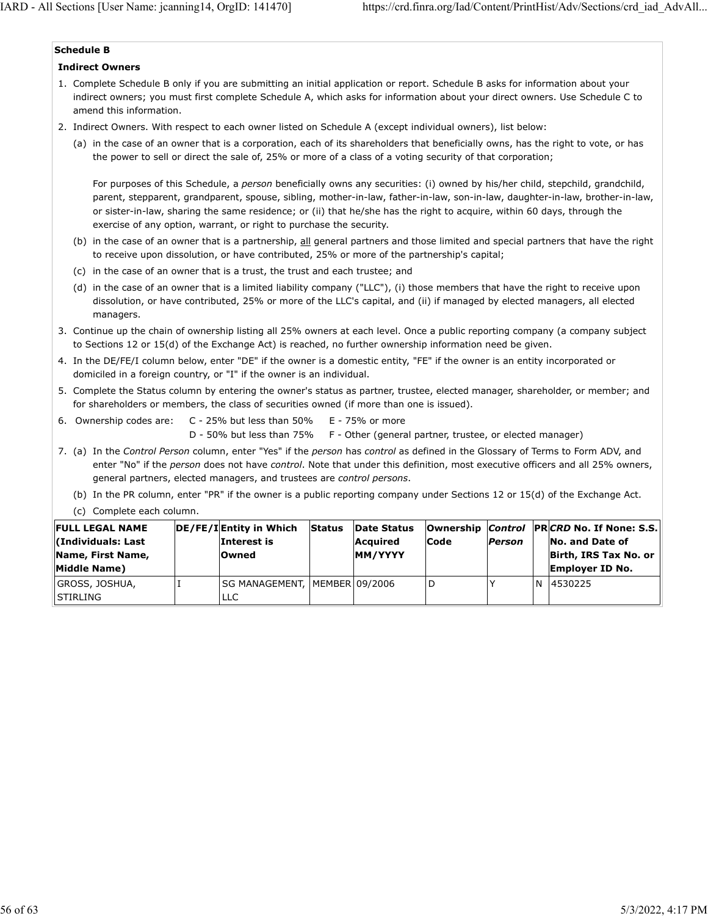## **Schedule B**

#### **Indirect Owners**

- 1. Complete Schedule B only if you are submitting an initial application or report. Schedule B asks for information about your indirect owners; you must first complete Schedule A, which asks for information about your direct owners. Use Schedule C to amend this information.
- 2. Indirect Owners. With respect to each owner listed on Schedule A (except individual owners), list below:
	- (a) in the case of an owner that is a corporation, each of its shareholders that beneficially owns, has the right to vote, or has the power to sell or direct the sale of, 25% or more of a class of a voting security of that corporation;

For purposes of this Schedule, a *person* beneficially owns any securities: (i) owned by his/her child, stepchild, grandchild, parent, stepparent, grandparent, spouse, sibling, mother-in-law, father-in-law, son-in-law, daughter-in-law, brother-in-law, or sister-in-law, sharing the same residence; or (ii) that he/she has the right to acquire, within 60 days, through the exercise of any option, warrant, or right to purchase the security.

- (b) in the case of an owner that is a partnership, all general partners and those limited and special partners that have the right to receive upon dissolution, or have contributed, 25% or more of the partnership's capital;
- (c) in the case of an owner that is a trust, the trust and each trustee; and
- (d) in the case of an owner that is a limited liability company ("LLC"), (i) those members that have the right to receive upon dissolution, or have contributed, 25% or more of the LLC's capital, and (ii) if managed by elected managers, all elected managers.
- 3. Continue up the chain of ownership listing all 25% owners at each level. Once a public reporting company (a company subject to Sections 12 or 15(d) of the Exchange Act) is reached, no further ownership information need be given.
- 4. In the DE/FE/I column below, enter "DE" if the owner is a domestic entity, "FE" if the owner is an entity incorporated or domiciled in a foreign country, or "I" if the owner is an individual.
- 5. Complete the Status column by entering the owner's status as partner, trustee, elected manager, shareholder, or member; and for shareholders or members, the class of securities owned (if more than one is issued).
- 
- 6. Ownership codes are: C 25% but less than 50% E 75% or more
	- D 50% but less than 75% F Other (general partner, trustee, or elected manager)
- 7. (a) In the *Control Person* column, enter "Yes" if the *person* has *control* as defined in the Glossary of Terms to Form ADV, and enter "No" if the *person* does not have *control*. Note that under this definition, most executive officers and all 25% owners, general partners, elected managers, and trustees are *control persons*.
	- (b) In the PR column, enter "PR" if the owner is a public reporting company under Sections 12 or 15(d) of the Exchange Act.
	- (c) Complete each column.

| <b>IFULL LEGAL NAME</b><br>CIndividuals: Last<br>Name, First Name,<br>Middle Name) | DE/FE/I Entity in Which<br>Interest is<br><b>Owned</b> | <b>Status</b> | Date Status<br><b>Acquired</b><br>MM/YYYY | <b>Code</b> | <b>Person</b> | Ownership Control PRCRD No. If None: S.S.<br>No. and Date of<br>Birth, IRS Tax No. or<br><b>Employer ID No.</b> |
|------------------------------------------------------------------------------------|--------------------------------------------------------|---------------|-------------------------------------------|-------------|---------------|-----------------------------------------------------------------------------------------------------------------|
| ' GROSS, JOSHUA,<br><b>ISTIRLING</b>                                               | ISG MANAGEMENT,   MEMBER 09/2006<br><b>LLC</b>         |               |                                           | ١D          |               | N 4530225                                                                                                       |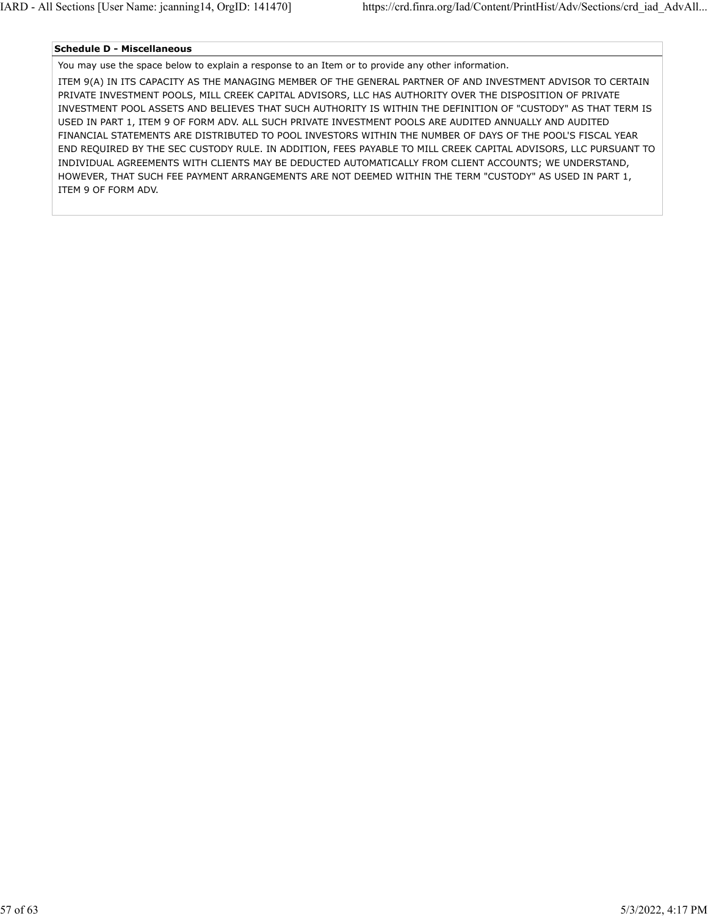#### **Schedule D - Miscellaneous**

You may use the space below to explain a response to an Item or to provide any other information.

ITEM 9(A) IN ITS CAPACITY AS THE MANAGING MEMBER OF THE GENERAL PARTNER OF AND INVESTMENT ADVISOR TO CERTAIN PRIVATE INVESTMENT POOLS, MILL CREEK CAPITAL ADVISORS, LLC HAS AUTHORITY OVER THE DISPOSITION OF PRIVATE INVESTMENT POOL ASSETS AND BELIEVES THAT SUCH AUTHORITY IS WITHIN THE DEFINITION OF "CUSTODY" AS THAT TERM IS USED IN PART 1, ITEM 9 OF FORM ADV. ALL SUCH PRIVATE INVESTMENT POOLS ARE AUDITED ANNUALLY AND AUDITED FINANCIAL STATEMENTS ARE DISTRIBUTED TO POOL INVESTORS WITHIN THE NUMBER OF DAYS OF THE POOL'S FISCAL YEAR END REQUIRED BY THE SEC CUSTODY RULE. IN ADDITION, FEES PAYABLE TO MILL CREEK CAPITAL ADVISORS, LLC PURSUANT TO INDIVIDUAL AGREEMENTS WITH CLIENTS MAY BE DEDUCTED AUTOMATICALLY FROM CLIENT ACCOUNTS; WE UNDERSTAND, HOWEVER, THAT SUCH FEE PAYMENT ARRANGEMENTS ARE NOT DEEMED WITHIN THE TERM "CUSTODY" AS USED IN PART 1, ITEM 9 OF FORM ADV.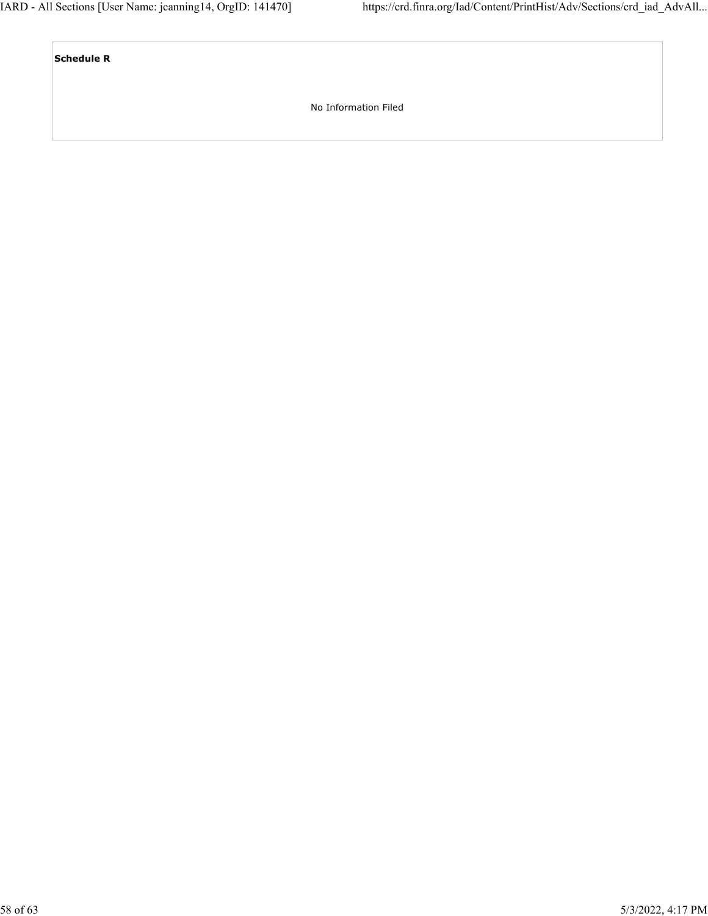**Schedule R**

No Information Filed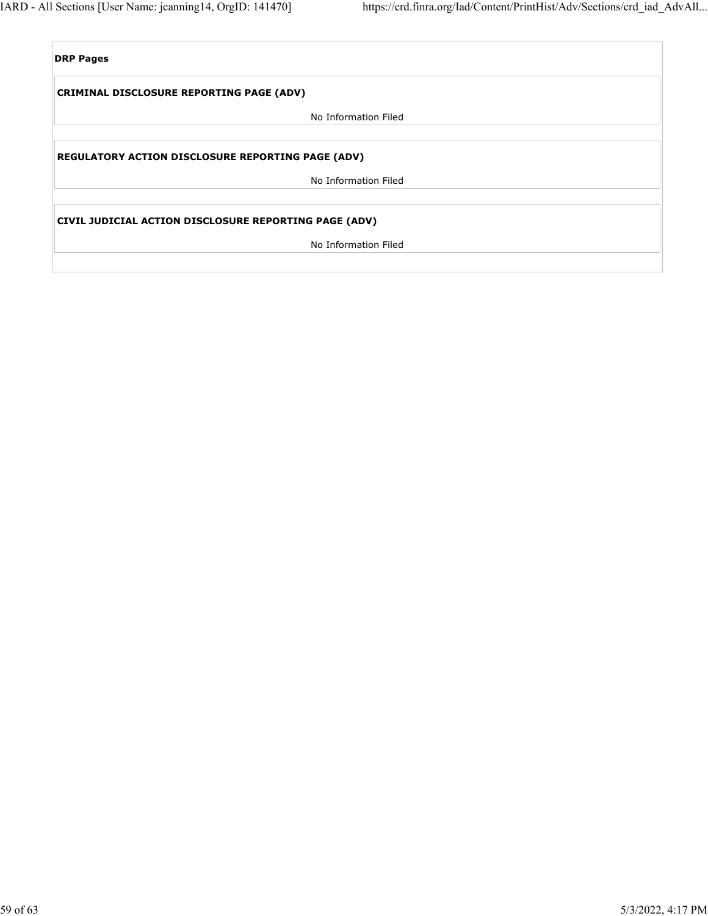| <b>DRP Pages</b>                                             |  |
|--------------------------------------------------------------|--|
| <b>CRIMINAL DISCLOSURE REPORTING PAGE (ADV)</b>              |  |
| No Information Filed                                         |  |
| <b>REGULATORY ACTION DISCLOSURE REPORTING PAGE (ADV)</b>     |  |
| No Information Filed                                         |  |
| <b>CIVIL JUDICIAL ACTION DISCLOSURE REPORTING PAGE (ADV)</b> |  |
| No Information Filed                                         |  |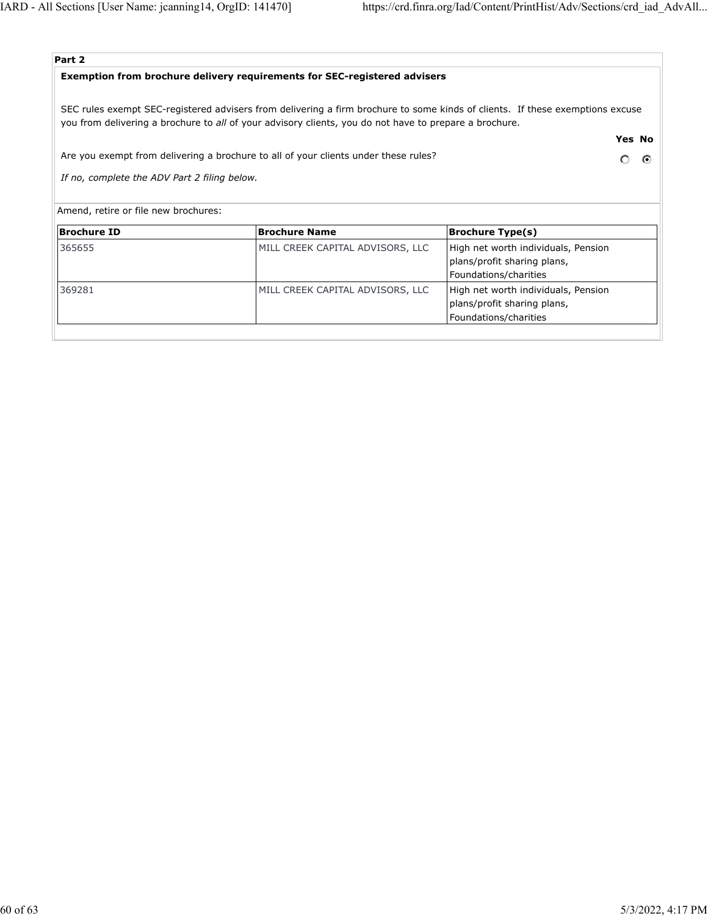| Part 2                                                     | <b>Exemption from brochure delivery requirements for SEC-registered advisers</b>                                                                                                                                                        |                                     |        |   |
|------------------------------------------------------------|-----------------------------------------------------------------------------------------------------------------------------------------------------------------------------------------------------------------------------------------|-------------------------------------|--------|---|
|                                                            |                                                                                                                                                                                                                                         |                                     |        |   |
|                                                            | SEC rules exempt SEC-registered advisers from delivering a firm brochure to some kinds of clients. If these exemptions excuse<br>you from delivering a brochure to all of your advisory clients, you do not have to prepare a brochure. |                                     |        |   |
|                                                            |                                                                                                                                                                                                                                         |                                     | Yes No |   |
|                                                            | Are you exempt from delivering a brochure to all of your clients under these rules?                                                                                                                                                     |                                     |        | ⊙ |
| If no, complete the ADV Part 2 filing below.               |                                                                                                                                                                                                                                         |                                     |        |   |
|                                                            |                                                                                                                                                                                                                                         |                                     |        |   |
| Amend, retire or file new brochures:<br><b>Brochure ID</b> | <b>Brochure Name</b>                                                                                                                                                                                                                    | <b>Brochure Type(s)</b>             |        |   |
| 365655                                                     | MILL CREEK CAPITAL ADVISORS, LLC                                                                                                                                                                                                        | High net worth individuals, Pension |        |   |
|                                                            |                                                                                                                                                                                                                                         | plans/profit sharing plans,         |        |   |
|                                                            |                                                                                                                                                                                                                                         | Foundations/charities               |        |   |
| 369281                                                     | MILL CREEK CAPITAL ADVISORS, LLC                                                                                                                                                                                                        | High net worth individuals, Pension |        |   |
|                                                            |                                                                                                                                                                                                                                         | plans/profit sharing plans,         |        |   |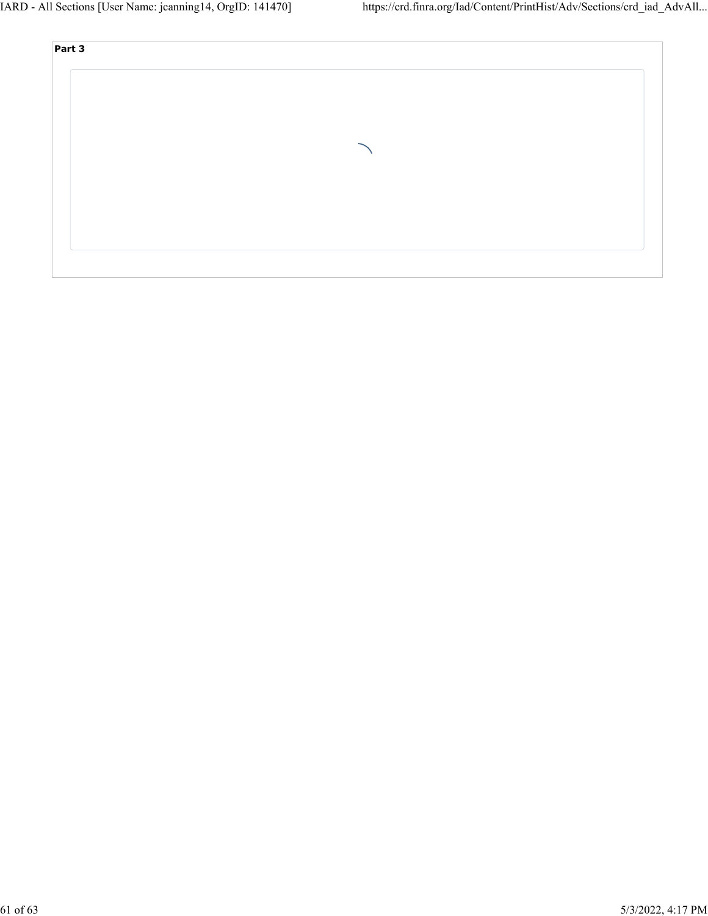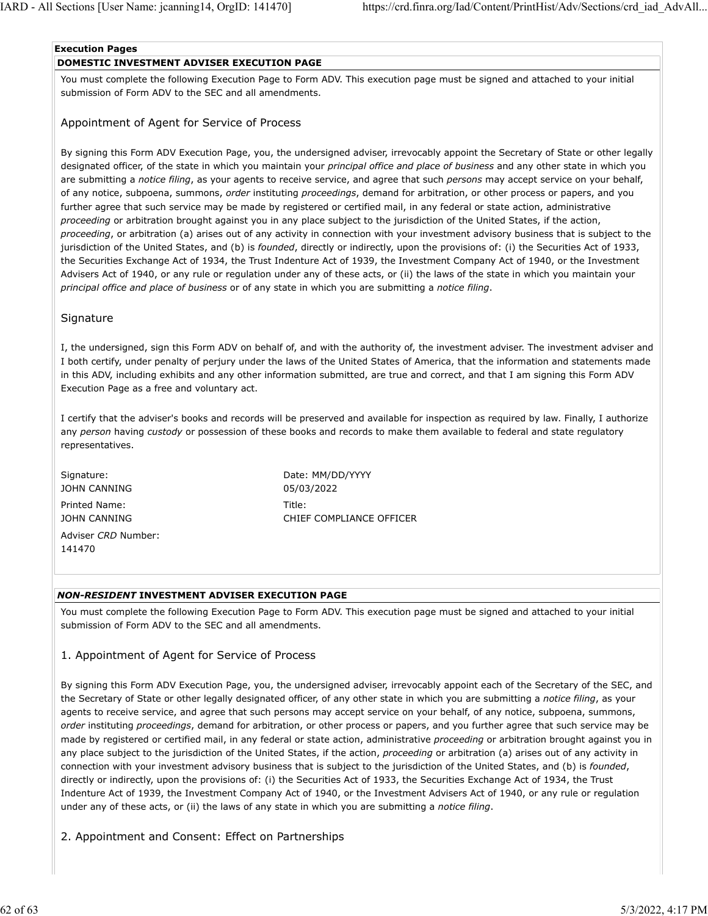#### **Execution Pages**

#### **DOMESTIC INVESTMENT ADVISER EXECUTION PAGE**

You must complete the following Execution Page to Form ADV. This execution page must be signed and attached to your initial submission of Form ADV to the SEC and all amendments.

## Appointment of Agent for Service of Process

By signing this Form ADV Execution Page, you, the undersigned adviser, irrevocably appoint the Secretary of State or other legally designated officer, of the state in which you maintain your *principal office and place of business* and any other state in which you are submitting a *notice filing*, as your agents to receive service, and agree that such *persons* may accept service on your behalf, of any notice, subpoena, summons, *order* instituting *proceedings*, demand for arbitration, or other process or papers, and you further agree that such service may be made by registered or certified mail, in any federal or state action, administrative *proceeding* or arbitration brought against you in any place subject to the jurisdiction of the United States, if the action, *proceeding*, or arbitration (a) arises out of any activity in connection with your investment advisory business that is subject to the jurisdiction of the United States, and (b) is *founded*, directly or indirectly, upon the provisions of: (i) the Securities Act of 1933, the Securities Exchange Act of 1934, the Trust Indenture Act of 1939, the Investment Company Act of 1940, or the Investment Advisers Act of 1940, or any rule or regulation under any of these acts, or (ii) the laws of the state in which you maintain your *principal office and place of business* or of any state in which you are submitting a *notice filing*.

## **Signature**

I, the undersigned, sign this Form ADV on behalf of, and with the authority of, the investment adviser. The investment adviser and I both certify, under penalty of perjury under the laws of the United States of America, that the information and statements made in this ADV, including exhibits and any other information submitted, are true and correct, and that I am signing this Form ADV Execution Page as a free and voluntary act.

I certify that the adviser's books and records will be preserved and available for inspection as required by law. Finally, I authorize any *person* having *custody* or possession of these books and records to make them available to federal and state regulatory representatives.

Signature: JOHN CANNING Printed Name: JOHN CANNING Adviser *CRD* Number: 141470

Date: MM/DD/YYYY 05/03/2022 Title: CHIEF COMPLIANCE OFFICER

## *NON-RESIDENT* **INVESTMENT ADVISER EXECUTION PAGE**

You must complete the following Execution Page to Form ADV. This execution page must be signed and attached to your initial submission of Form ADV to the SEC and all amendments.

## 1. Appointment of Agent for Service of Process

By signing this Form ADV Execution Page, you, the undersigned adviser, irrevocably appoint each of the Secretary of the SEC, and the Secretary of State or other legally designated officer, of any other state in which you are submitting a *notice filing*, as your agents to receive service, and agree that such persons may accept service on your behalf, of any notice, subpoena, summons, *order* instituting *proceedings*, demand for arbitration, or other process or papers, and you further agree that such service may be made by registered or certified mail, in any federal or state action, administrative *proceeding* or arbitration brought against you in any place subject to the jurisdiction of the United States, if the action, *proceeding* or arbitration (a) arises out of any activity in connection with your investment advisory business that is subject to the jurisdiction of the United States, and (b) is *founded*, directly or indirectly, upon the provisions of: (i) the Securities Act of 1933, the Securities Exchange Act of 1934, the Trust Indenture Act of 1939, the Investment Company Act of 1940, or the Investment Advisers Act of 1940, or any rule or regulation under any of these acts, or (ii) the laws of any state in which you are submitting a *notice filing*.

## 2. Appointment and Consent: Effect on Partnerships